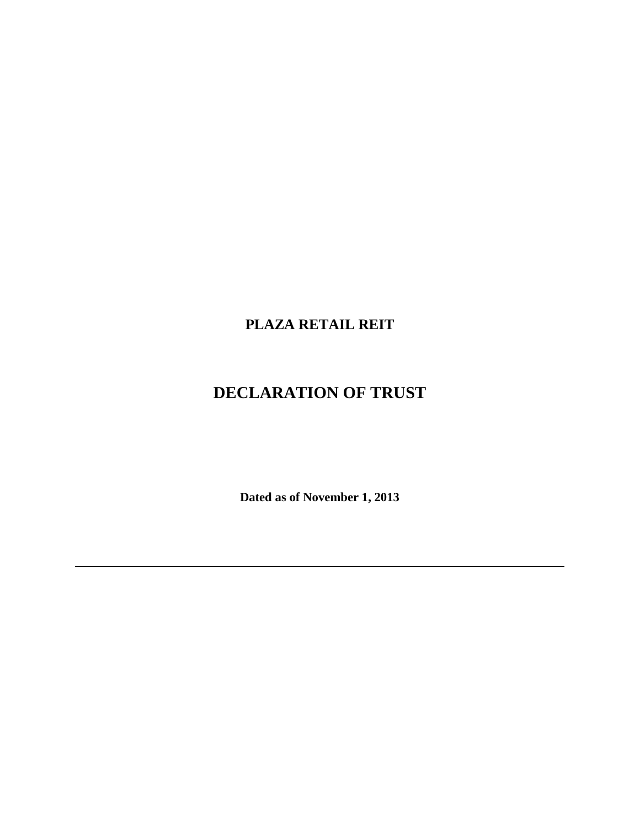# **PLAZA RETAIL REIT**

# **DECLARATION OF TRUST**

**Dated as of November 1, 2013**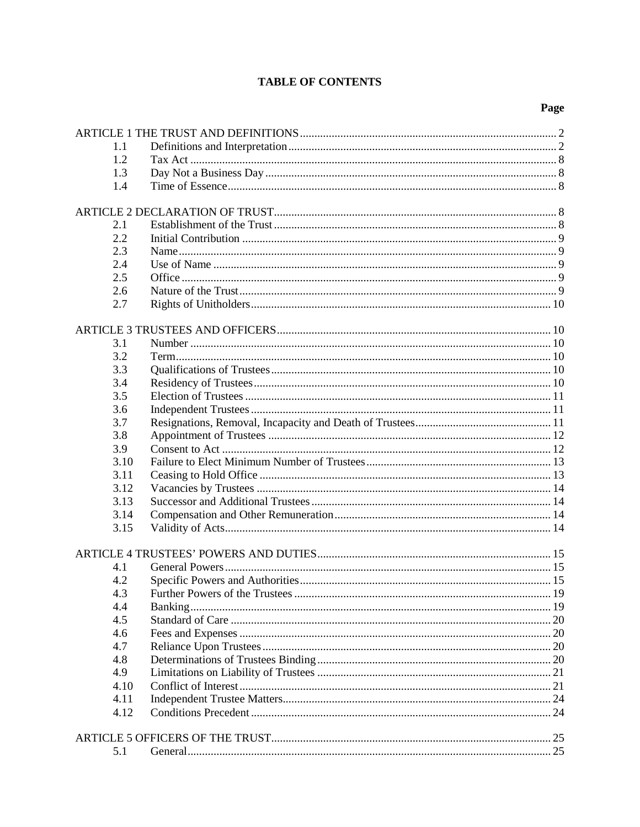# **TABLE OF CONTENTS**

# Page

| 1.1  |  |
|------|--|
| 1.2  |  |
| 1.3  |  |
| 1.4  |  |
|      |  |
|      |  |
| 2.1  |  |
| 2.2  |  |
| 2.3  |  |
| 2.4  |  |
| 2.5  |  |
| 2.6  |  |
| 2.7  |  |
|      |  |
|      |  |
| 3.1  |  |
| 3.2  |  |
| 3.3  |  |
| 3.4  |  |
| 3.5  |  |
| 3.6  |  |
| 3.7  |  |
| 3.8  |  |
| 3.9  |  |
| 3.10 |  |
| 3.11 |  |
| 3.12 |  |
| 3.13 |  |
| 3.14 |  |
| 3.15 |  |
|      |  |
|      |  |
| 4.1  |  |
| 4.2  |  |
| 4.3  |  |
| 4.4  |  |
| 4.5  |  |
| 4.6  |  |
| 4.7  |  |
| 4.8  |  |
| 4.9  |  |
| 4.10 |  |
| 4.11 |  |
| 4.12 |  |
|      |  |
|      |  |
| 5.1  |  |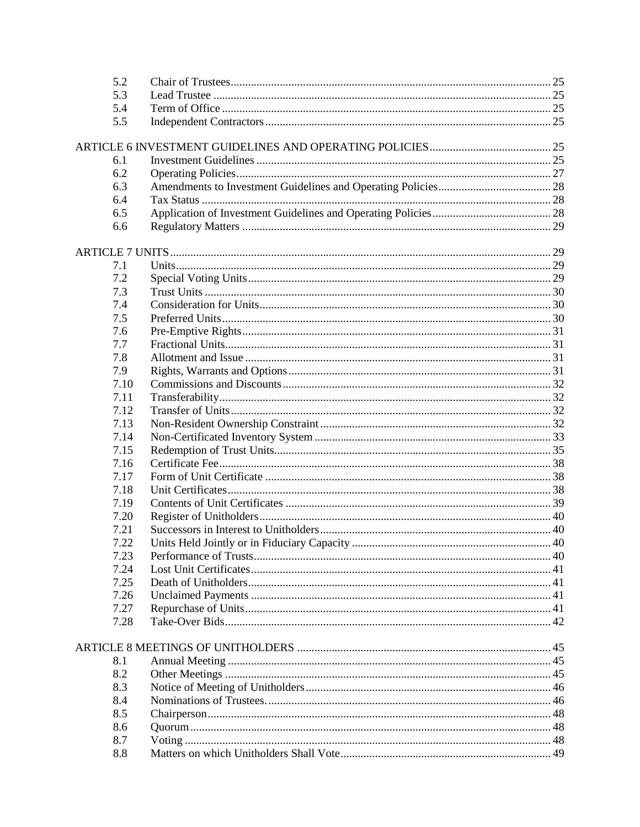| 5.2  |  |
|------|--|
| 5.3  |  |
| 5.4  |  |
| 5.5  |  |
|      |  |
|      |  |
| 6.1  |  |
| 6.2  |  |
| 6.3  |  |
| 6.4  |  |
| 6.5  |  |
| 6.6  |  |
|      |  |
|      |  |
| 7.1  |  |
| 7.2  |  |
| 7.3  |  |
| 7.4  |  |
| 7.5  |  |
| 7.6  |  |
| 7.7  |  |
| 7.8  |  |
| 7.9  |  |
| 7.10 |  |
| 7.11 |  |
| 7.12 |  |
| 7.13 |  |
| 7.14 |  |
| 7.15 |  |
| 7.16 |  |
| 7.17 |  |
| 7.18 |  |
| 7.19 |  |
| 7.20 |  |
| 7.21 |  |
| 7.22 |  |
| 7.23 |  |
| 7.24 |  |
| 7.25 |  |
| 7.26 |  |
| 7.27 |  |
| 7.28 |  |
|      |  |
|      |  |
| 8.1  |  |
| 8.2  |  |
| 8.3  |  |
| 8.4  |  |
| 8.5  |  |
| 8.6  |  |
| 8.7  |  |
| 8.8  |  |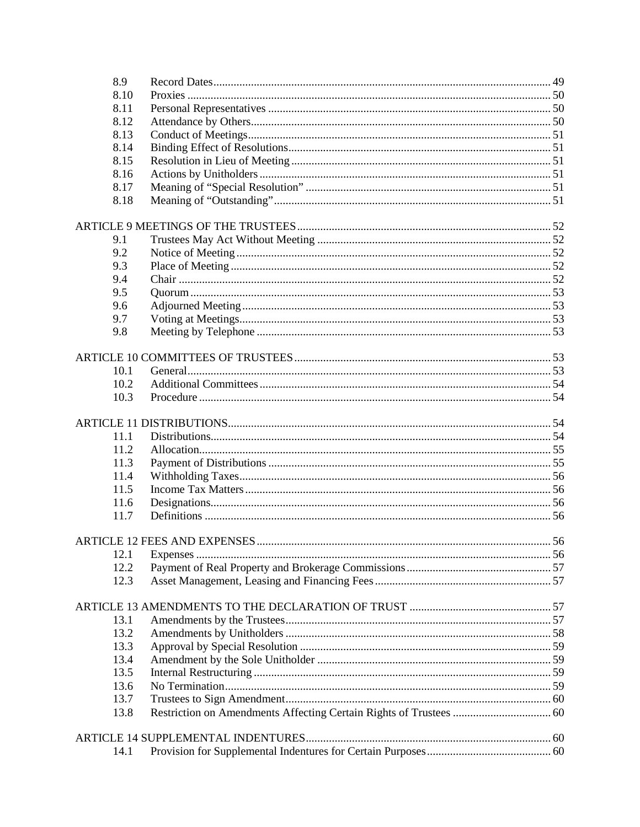| 8.9  |                              |     |
|------|------------------------------|-----|
| 8.10 |                              |     |
| 8.11 |                              |     |
| 8.12 |                              |     |
| 8.13 |                              |     |
| 8.14 |                              |     |
| 8.15 |                              |     |
| 8.16 |                              |     |
| 8.17 |                              |     |
| 8.18 |                              |     |
|      |                              |     |
| 9.1  |                              |     |
| 9.2  |                              |     |
| 9.3  |                              |     |
| 9.4  |                              |     |
| 9.5  |                              |     |
| 9.6  |                              |     |
| 9.7  |                              |     |
| 9.8  |                              |     |
|      |                              |     |
| 10.1 |                              |     |
| 10.2 |                              |     |
| 10.3 |                              |     |
|      |                              |     |
| 11.1 |                              |     |
| 11.2 |                              |     |
| 11.3 |                              |     |
| 11.4 |                              |     |
| 11.5 |                              |     |
| 11.6 |                              |     |
| 11.7 |                              |     |
|      | ARTICLE 12 FEES AND EXPENSES | .56 |
| 12.1 |                              |     |
| 12.2 |                              |     |
| 12.3 |                              |     |
|      |                              |     |
| 13.1 |                              |     |
| 13.2 |                              |     |
| 13.3 |                              |     |
| 13.4 |                              |     |
| 13.5 |                              |     |
| 13.6 |                              |     |
| 13.7 |                              |     |
| 13.8 |                              |     |
|      |                              |     |
| 14.1 |                              |     |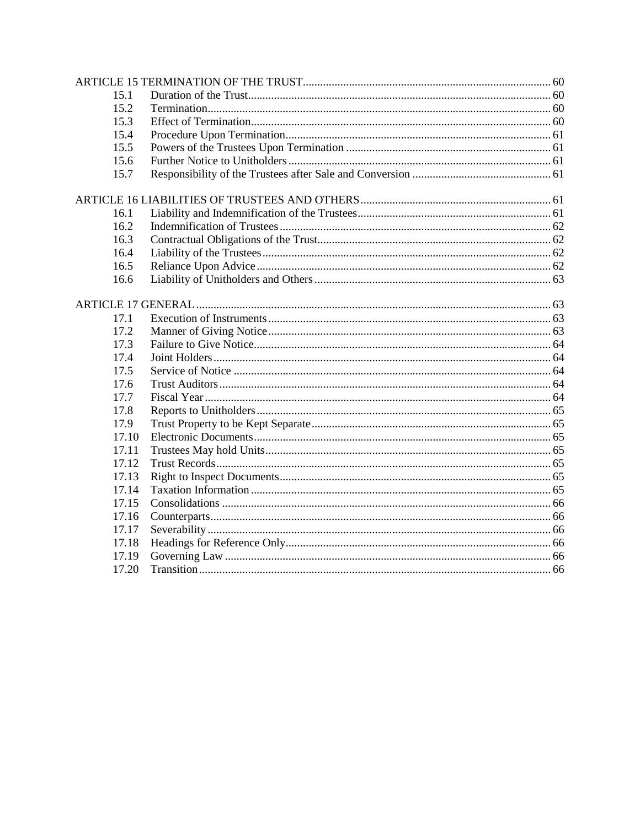| 15.1  |  |  |
|-------|--|--|
| 15.2  |  |  |
| 15.3  |  |  |
| 15.4  |  |  |
| 15.5  |  |  |
| 15.6  |  |  |
| 15.7  |  |  |
|       |  |  |
| 16.1  |  |  |
| 16.2  |  |  |
| 16.3  |  |  |
| 16.4  |  |  |
| 16.5  |  |  |
| 16.6  |  |  |
|       |  |  |
| 17.1  |  |  |
| 17.2  |  |  |
| 17.3  |  |  |
| 17.4  |  |  |
| 17.5  |  |  |
| 17.6  |  |  |
| 17.7  |  |  |
| 17.8  |  |  |
| 17.9  |  |  |
| 17.10 |  |  |
| 17.11 |  |  |
| 17.12 |  |  |
| 17.13 |  |  |
| 17.14 |  |  |
| 17.15 |  |  |
| 17.16 |  |  |
| 17.17 |  |  |
| 17.18 |  |  |
| 17.19 |  |  |
| 17.20 |  |  |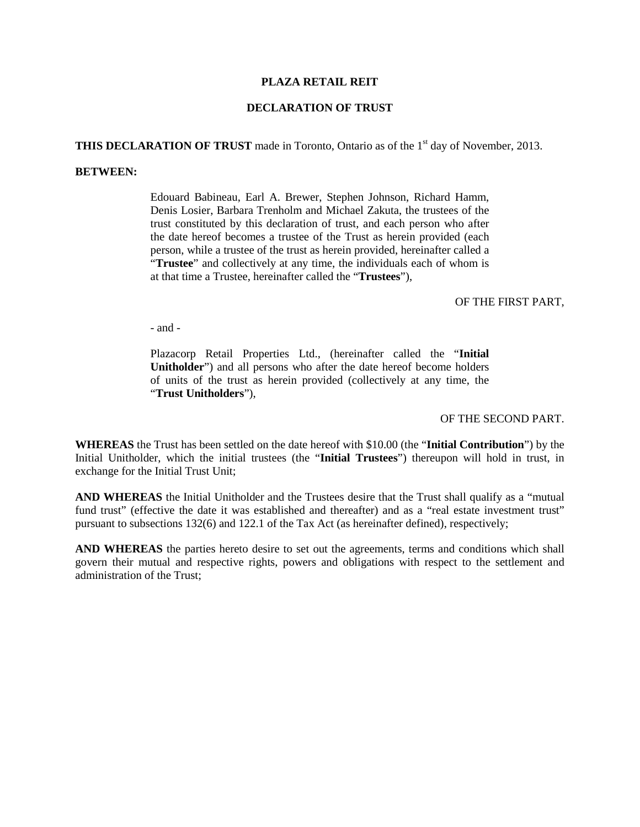#### **PLAZA RETAIL REIT**

#### **DECLARATION OF TRUST**

**THIS DECLARATION OF TRUST** made in Toronto, Ontario as of the 1<sup>st</sup> day of November, 2013.

#### **BETWEEN:**

Edouard Babineau, Earl A. Brewer, Stephen Johnson, Richard Hamm, Denis Losier, Barbara Trenholm and Michael Zakuta, the trustees of the trust constituted by this declaration of trust, and each person who after the date hereof becomes a trustee of the Trust as herein provided (each person, while a trustee of the trust as herein provided, hereinafter called a "**Trustee**" and collectively at any time, the individuals each of whom is at that time a Trustee, hereinafter called the "**Trustees**"),

#### OF THE FIRST PART,

- and -

Plazacorp Retail Properties Ltd., (hereinafter called the "**Initial Unitholder**") and all persons who after the date hereof become holders of units of the trust as herein provided (collectively at any time, the "**Trust Unitholders**"),

OF THE SECOND PART.

**WHEREAS** the Trust has been settled on the date hereof with \$10.00 (the "**Initial Contribution**") by the Initial Unitholder, which the initial trustees (the "**Initial Trustees**") thereupon will hold in trust, in exchange for the Initial Trust Unit;

**AND WHEREAS** the Initial Unitholder and the Trustees desire that the Trust shall qualify as a "mutual fund trust" (effective the date it was established and thereafter) and as a "real estate investment trust" pursuant to subsections 132(6) and 122.1 of the Tax Act (as hereinafter defined), respectively;

**AND WHEREAS** the parties hereto desire to set out the agreements, terms and conditions which shall govern their mutual and respective rights, powers and obligations with respect to the settlement and administration of the Trust;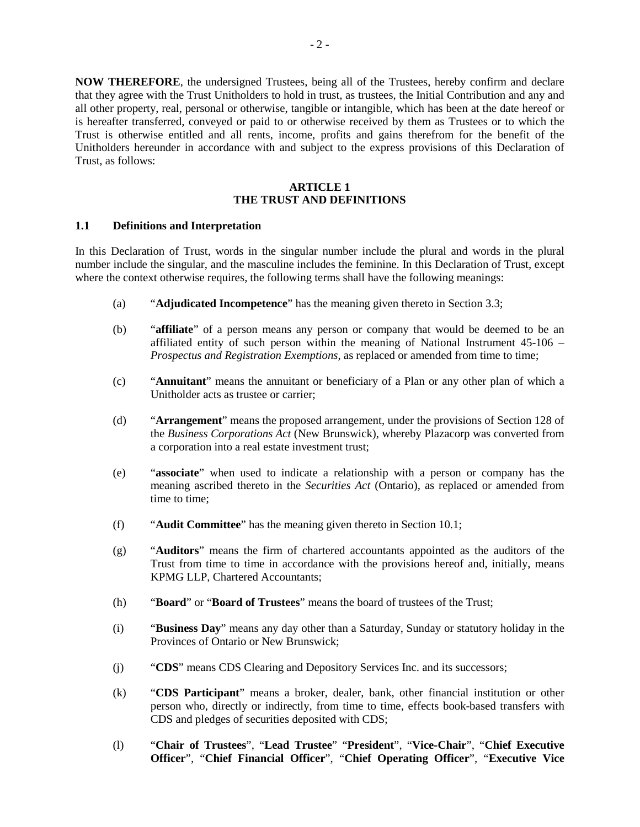**NOW THEREFORE**, the undersigned Trustees, being all of the Trustees, hereby confirm and declare that they agree with the Trust Unitholders to hold in trust, as trustees, the Initial Contribution and any and all other property, real, personal or otherwise, tangible or intangible, which has been at the date hereof or is hereafter transferred, conveyed or paid to or otherwise received by them as Trustees or to which the Trust is otherwise entitled and all rents, income, profits and gains therefrom for the benefit of the Unitholders hereunder in accordance with and subject to the express provisions of this Declaration of Trust, as follows:

#### **ARTICLE 1 THE TRUST AND DEFINITIONS**

#### <span id="page-6-1"></span><span id="page-6-0"></span>**1.1 Definitions and Interpretation**

In this Declaration of Trust, words in the singular number include the plural and words in the plural number include the singular, and the masculine includes the feminine. In this Declaration of Trust, except where the context otherwise requires, the following terms shall have the following meanings:

- (a) "**Adjudicated Incompetence**" has the meaning given thereto in Section 3.3;
- (b) "**affiliate**" of a person means any person or company that would be deemed to be an affiliated entity of such person within the meaning of National Instrument 45-106 – *Prospectus and Registration Exemptions*, as replaced or amended from time to time;
- (c) "**Annuitant**" means the annuitant or beneficiary of a Plan or any other plan of which a Unitholder acts as trustee or carrier;
- (d) "**Arrangement**" means the proposed arrangement, under the provisions of Section 128 of the *Business Corporations Act* (New Brunswick), whereby Plazacorp was converted from a corporation into a real estate investment trust;
- (e) "**associate**" when used to indicate a relationship with a person or company has the meaning ascribed thereto in the *Securities Act* (Ontario), as replaced or amended from time to time;
- (f) "**Audit Committee**" has the meaning given thereto in Section [10.1;](#page-57-5)
- (g) "**Auditors**" means the firm of chartered accountants appointed as the auditors of the Trust from time to time in accordance with the provisions hereof and, initially, means KPMG LLP, Chartered Accountants;
- (h) "**Board**" or "**Board of Trustees**" means the board of trustees of the Trust;
- (i) "**Business Day**" means any day other than a Saturday, Sunday or statutory holiday in the Provinces of Ontario or New Brunswick;
- (j) "**CDS**" means CDS Clearing and Depository Services Inc. and its successors;
- (k) "**CDS Participant**" means a broker, dealer, bank, other financial institution or other person who, directly or indirectly, from time to time, effects book-based transfers with CDS and pledges of securities deposited with CDS;
- (l) "**Chair of Trustees**", "**Lead Trustee**" "**President**", "**Vice-Chair**", "**Chief Executive Officer**", "**Chief Financial Officer**", "**Chief Operating Officer**", "**Executive Vice**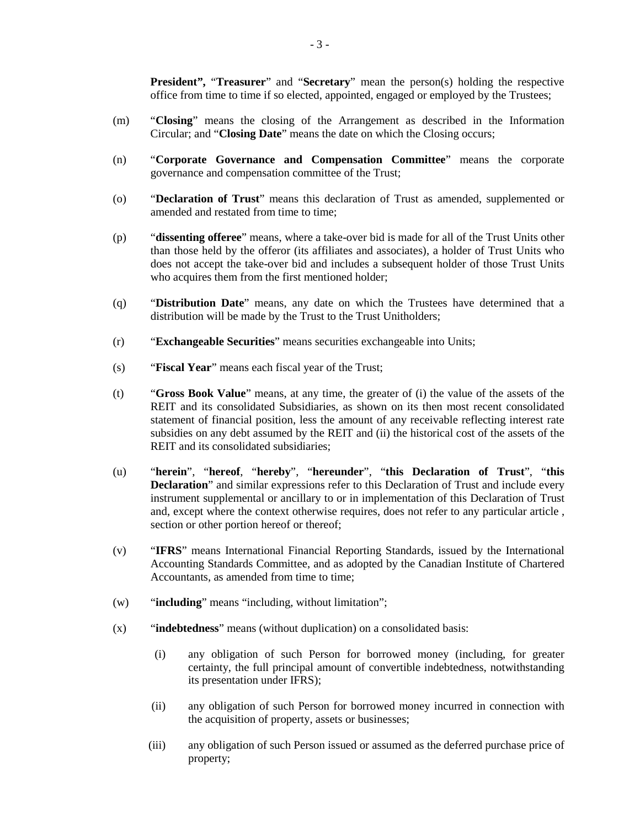**President", "Treasurer"** and "**Secretary**" mean the person(s) holding the respective office from time to time if so elected, appointed, engaged or employed by the Trustees;

- (m) "**Closing**" means the closing of the Arrangement as described in the Information Circular; and "**Closing Date**" means the date on which the Closing occurs;
- (n) "**Corporate Governance and Compensation Committee**" means the corporate governance and compensation committee of the Trust;
- (o) "**Declaration of Trust**" means this declaration of Trust as amended, supplemented or amended and restated from time to time;
- (p) "**dissenting offeree**" means, where a take-over bid is made for all of the Trust Units other than those held by the offeror (its affiliates and associates), a holder of Trust Units who does not accept the take-over bid and includes a subsequent holder of those Trust Units who acquires them from the first mentioned holder;
- (q) "**Distribution Date**" means, any date on which the Trustees have determined that a distribution will be made by the Trust to the Trust Unitholders;
- (r) "**Exchangeable Securities**" means securities exchangeable into Units;
- (s) "**Fiscal Year**" means each fiscal year of the Trust;
- (t) "**Gross Book Value**" means, at any time, the greater of (i) the value of the assets of the REIT and its consolidated Subsidiaries, as shown on its then most recent consolidated statement of financial position, less the amount of any receivable reflecting interest rate subsidies on any debt assumed by the REIT and (ii) the historical cost of the assets of the REIT and its consolidated subsidiaries;
- (u) "**herein**", "**hereof**, "**hereby**", "**hereunder**", "**this Declaration of Trust**", "**this Declaration**" and similar expressions refer to this Declaration of Trust and include every instrument supplemental or ancillary to or in implementation of this Declaration of Trust and, except where the context otherwise requires, does not refer to any particular article , section or other portion hereof or thereof;
- (v) "**IFRS**" means International Financial Reporting Standards, issued by the International Accounting Standards Committee, and as adopted by the Canadian Institute of Chartered Accountants, as amended from time to time;
- (w) "**including**" means "including, without limitation";
- (x) "**indebtedness**" means (without duplication) on a consolidated basis:
	- (i) any obligation of such Person for borrowed money (including, for greater certainty, the full principal amount of convertible indebtedness, notwithstanding its presentation under IFRS);
	- (ii) any obligation of such Person for borrowed money incurred in connection with the acquisition of property, assets or businesses;
	- (iii) any obligation of such Person issued or assumed as the deferred purchase price of property;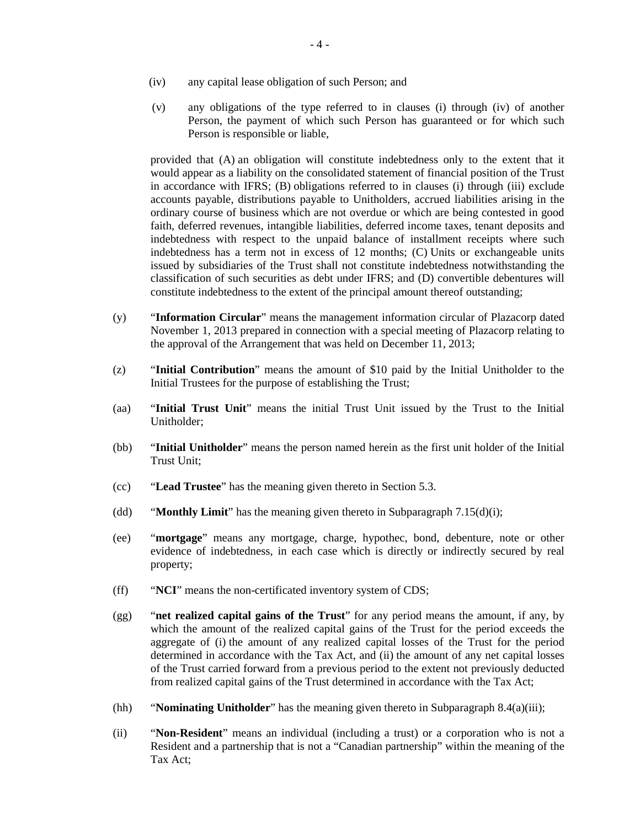- (iv) any capital lease obligation of such Person; and
- (v) any obligations of the type referred to in clauses (i) through (iv) of another Person, the payment of which such Person has guaranteed or for which such Person is responsible or liable,

provided that (A) an obligation will constitute indebtedness only to the extent that it would appear as a liability on the consolidated statement of financial position of the Trust in accordance with IFRS; (B) obligations referred to in clauses (i) through (iii) exclude accounts payable, distributions payable to Unitholders, accrued liabilities arising in the ordinary course of business which are not overdue or which are being contested in good faith, deferred revenues, intangible liabilities, deferred income taxes, tenant deposits and indebtedness with respect to the unpaid balance of installment receipts where such indebtedness has a term not in excess of 12 months; (C) Units or exchangeable units issued by subsidiaries of the Trust shall not constitute indebtedness notwithstanding the classification of such securities as debt under IFRS; and (D) convertible debentures will constitute indebtedness to the extent of the principal amount thereof outstanding;

- (y) "**Information Circular**" means the management information circular of Plazacorp dated November 1, 2013 prepared in connection with a special meeting of Plazacorp relating to the approval of the Arrangement that was held on December 11, 2013;
- (z) "**Initial Contribution**" means the amount of \$10 paid by the Initial Unitholder to the Initial Trustees for the purpose of establishing the Trust;
- (aa) "**Initial Trust Unit**" means the initial Trust Unit issued by the Trust to the Initial Unitholder;
- (bb) "**Initial Unitholder**" means the person named herein as the first unit holder of the Initial Trust Unit;
- (cc) "**Lead Trustee**" has the meaning given thereto in Section [5.3.](#page-29-3)
- (dd) "**Monthly Limit**" has the meaning given thereto in Subparagraph [7.15\(d\)\(i\);](#page-41-0)
- (ee) "**mortgage**" means any mortgage, charge, hypothec, bond, debenture, note or other evidence of indebtedness, in each case which is directly or indirectly secured by real property;
- (ff) "**NCI**" means the non-certificated inventory system of CDS;
- (gg) "**net realized capital gains of the Trust**" for any period means the amount, if any, by which the amount of the realized capital gains of the Trust for the period exceeds the aggregate of (i) the amount of any realized capital losses of the Trust for the period determined in accordance with the Tax Act, and (ii) the amount of any net capital losses of the Trust carried forward from a previous period to the extent not previously deducted from realized capital gains of the Trust determined in accordance with the Tax Act;
- (hh) "**Nominating Unitholder**" has the meaning given thereto in Subparagraph [8.4\(a\)\(iii\);](#page-50-2)
- (ii) "**Non-Resident**" means an individual (including a trust) or a corporation who is not a Resident and a partnership that is not a "Canadian partnership" within the meaning of the Tax Act;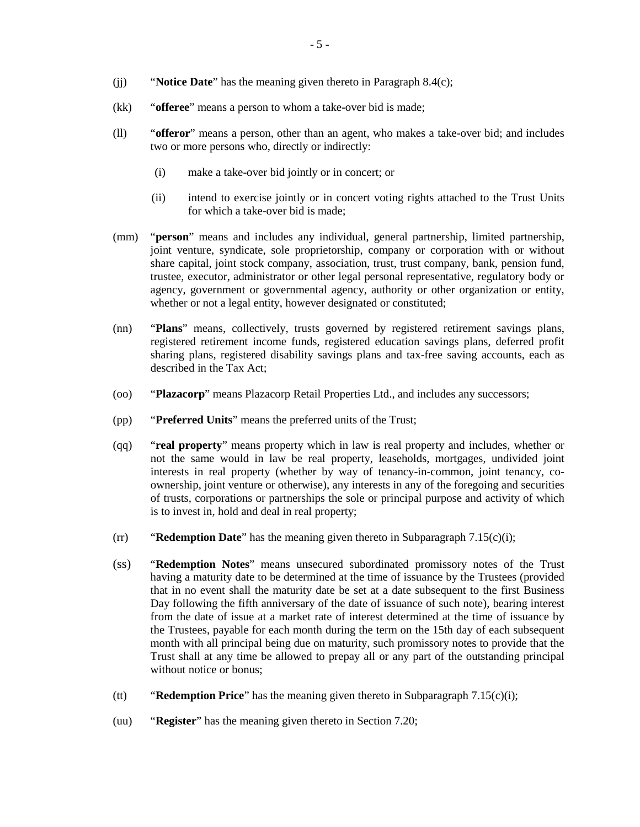- (jj) "**Notice Date**" has the meaning given thereto in Paragraph [8.4\(c\);](#page-51-0)
- (kk) "**offeree**" means a person to whom a take-over bid is made;
- (ll) "**offeror**" means a person, other than an agent, who makes a take-over bid; and includes two or more persons who, directly or indirectly:
	- (i) make a take-over bid jointly or in concert; or
	- (ii) intend to exercise jointly or in concert voting rights attached to the Trust Units for which a take-over bid is made;
- (mm) "**person**" means and includes any individual, general partnership, limited partnership, joint venture, syndicate, sole proprietorship, company or corporation with or without share capital, joint stock company, association, trust, trust company, bank, pension fund, trustee, executor, administrator or other legal personal representative, regulatory body or agency, government or governmental agency, authority or other organization or entity, whether or not a legal entity, however designated or constituted;
- (nn) "**Plans**" means, collectively, trusts governed by registered retirement savings plans, registered retirement income funds, registered education savings plans, deferred profit sharing plans, registered disability savings plans and tax-free saving accounts, each as described in the Tax Act;
- (oo) "**Plazacorp**" means Plazacorp Retail Properties Ltd., and includes any successors;
- (pp) "**Preferred Units**" means the preferred units of the Trust;
- (qq) "**real property**" means property which in law is real property and includes, whether or not the same would in law be real property, leaseholds, mortgages, undivided joint interests in real property (whether by way of tenancy-in-common, joint tenancy, coownership, joint venture or otherwise), any interests in any of the foregoing and securities of trusts, corporations or partnerships the sole or principal purpose and activity of which is to invest in, hold and deal in real property;
- (rr) "**Redemption Date**" has the meaning given thereto in Subparagraph [7.15\(c\)\(i\);](#page-40-0)
- (ss) "**Redemption Notes**" means unsecured subordinated promissory notes of the Trust having a maturity date to be determined at the time of issuance by the Trustees (provided that in no event shall the maturity date be set at a date subsequent to the first Business Day following the fifth anniversary of the date of issuance of such note), bearing interest from the date of issue at a market rate of interest determined at the time of issuance by the Trustees, payable for each month during the term on the 15th day of each subsequent month with all principal being due on maturity, such promissory notes to provide that the Trust shall at any time be allowed to prepay all or any part of the outstanding principal without notice or bonus;
- (tt) "**Redemption Price**" has the meaning given thereto in Subparagraph [7.15\(c\)\(i\);](#page-40-0)
- (uu) "**Register**" has the meaning given thereto in Section [7.20;](#page-44-0)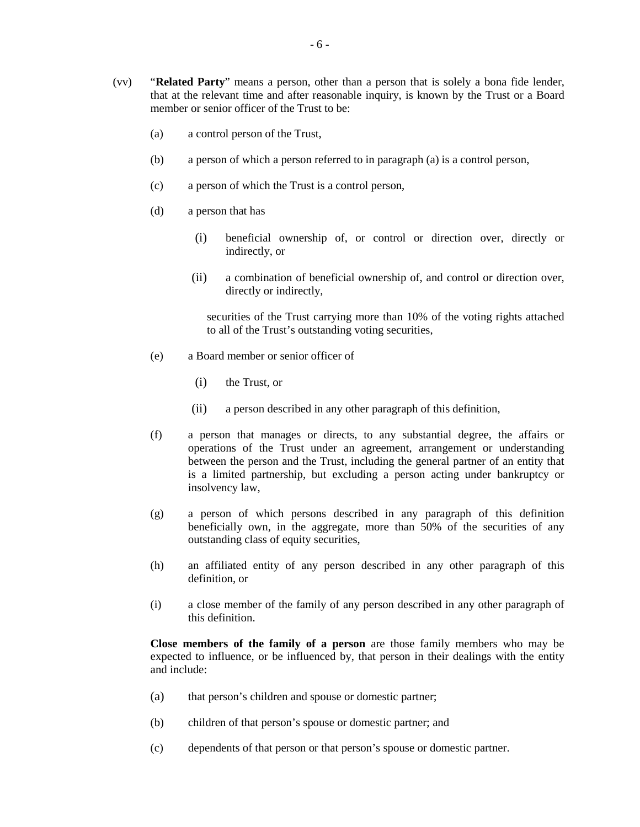- (vv) "**Related Party**" means a person, other than a person that is solely a bona fide lender, that at the relevant time and after reasonable inquiry, is known by the Trust or a Board member or senior officer of the Trust to be:
	- (a) a control person of the Trust,
	- (b) a person of which a person referred to in paragraph (a) is a control person,
	- (c) a person of which the Trust is a control person,
	- (d) a person that has
		- (i) beneficial ownership of, or control or direction over, directly or indirectly, or
		- (ii) a combination of beneficial ownership of, and control or direction over, directly or indirectly,

securities of the Trust carrying more than 10% of the voting rights attached to all of the Trust's outstanding voting securities,

- (e) a Board member or senior officer of
	- (i) the Trust, or
	- (ii) a person described in any other paragraph of this definition,
- (f) a person that manages or directs, to any substantial degree, the affairs or operations of the Trust under an agreement, arrangement or understanding between the person and the Trust, including the general partner of an entity that is a limited partnership, but excluding a person acting under bankruptcy or insolvency law,
- (g) a person of which persons described in any paragraph of this definition beneficially own, in the aggregate, more than 50% of the securities of any outstanding class of equity securities,
- (h) an affiliated entity of any person described in any other paragraph of this definition, or
- (i) a close member of the family of any person described in any other paragraph of this definition.

**Close members of the family of a person** are those family members who may be expected to influence, or be influenced by, that person in their dealings with the entity and include:

- (a) that person's children and spouse or domestic partner;
- (b) children of that person's spouse or domestic partner; and
- (c) dependents of that person or that person's spouse or domestic partner.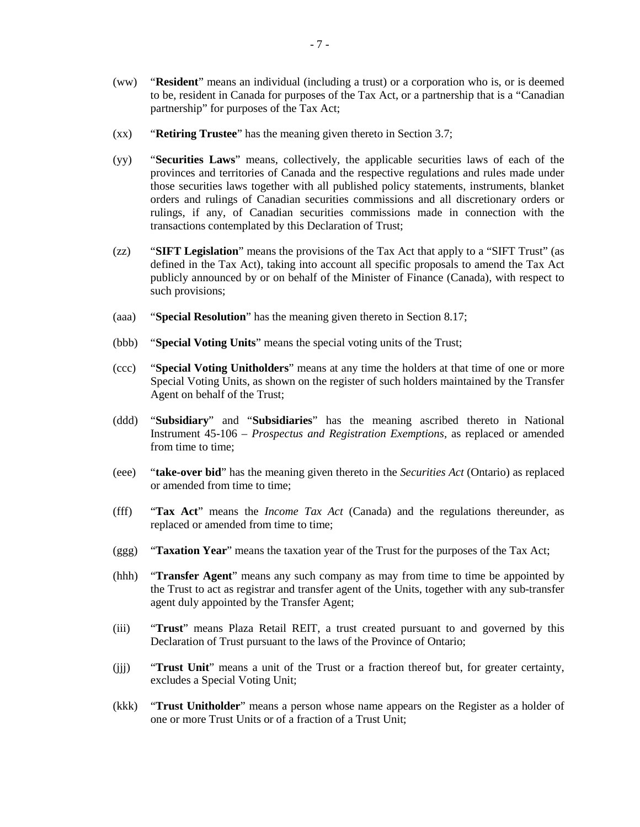- (ww) "**Resident**" means an individual (including a trust) or a corporation who is, or is deemed to be, resident in Canada for purposes of the Tax Act, or a partnership that is a "Canadian partnership" for purposes of the Tax Act;
- (xx) "**Retiring Trustee**" has the meaning given thereto in Section [3.7;](#page-15-2)
- (yy) "**Securities Laws**" means, collectively, the applicable securities laws of each of the provinces and territories of Canada and the respective regulations and rules made under those securities laws together with all published policy statements, instruments, blanket orders and rulings of Canadian securities commissions and all discretionary orders or rulings, if any, of Canadian securities commissions made in connection with the transactions contemplated by this Declaration of Trust;
- (zz) "**SIFT Legislation**" means the provisions of the Tax Act that apply to a "SIFT Trust" (as defined in the Tax Act), taking into account all specific proposals to amend the Tax Act publicly announced by or on behalf of the Minister of Finance (Canada), with respect to such provisions;
- (aaa) "**Special Resolution**" has the meaning given thereto in Section [8.17;](#page-55-4)
- (bbb) "**Special Voting Units**" means the special voting units of the Trust;
- (ccc) "**Special Voting Unitholders**" means at any time the holders at that time of one or more Special Voting Units, as shown on the register of such holders maintained by the Transfer Agent on behalf of the Trust;
- (ddd) "**Subsidiary**" and "**Subsidiaries**" has the meaning ascribed thereto in National Instrument 45-106 – *Prospectus and Registration Exemptions*, as replaced or amended from time to time;
- (eee) "**take-over bid**" has the meaning given thereto in the *Securities Act* (Ontario) as replaced or amended from time to time;
- (fff) "**Tax Act**" means the *Income Tax Act* (Canada) and the regulations thereunder, as replaced or amended from time to time;
- (ggg) "**Taxation Year**" means the taxation year of the Trust for the purposes of the Tax Act;
- (hhh) "**Transfer Agent**" means any such company as may from time to time be appointed by the Trust to act as registrar and transfer agent of the Units, together with any sub-transfer agent duly appointed by the Transfer Agent;
- (iii) "**Trust**" means Plaza Retail REIT, a trust created pursuant to and governed by this Declaration of Trust pursuant to the laws of the Province of Ontario;
- (jjj) "**Trust Unit**" means a unit of the Trust or a fraction thereof but, for greater certainty, excludes a Special Voting Unit;
- (kkk) "**Trust Unitholder**" means a person whose name appears on the Register as a holder of one or more Trust Units or of a fraction of a Trust Unit;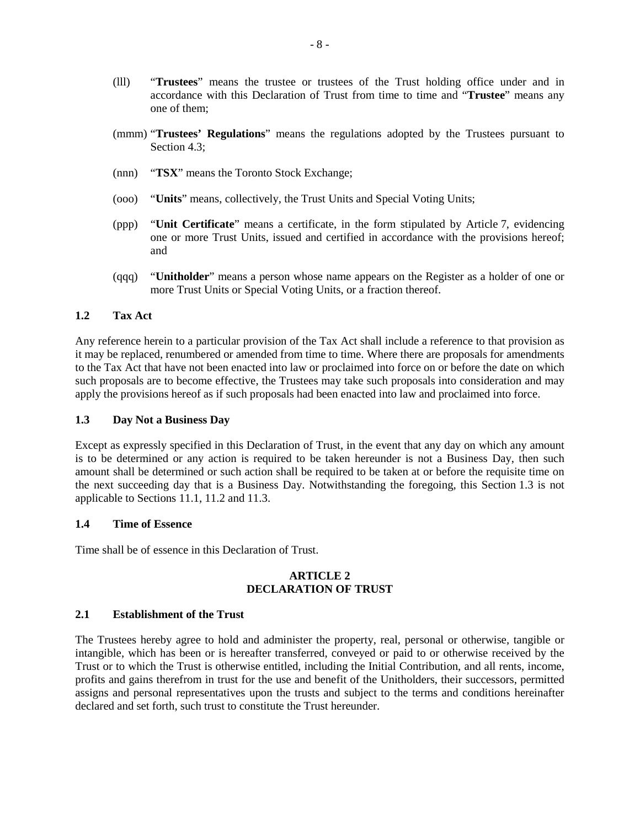- (lll) "**Trustees**" means the trustee or trustees of the Trust holding office under and in accordance with this Declaration of Trust from time to time and "**Trustee**" means any one of them;
- (mmm) "**Trustees' Regulations**" means the regulations adopted by the Trustees pursuant to Section 4.3:
- (nnn) "**TSX**" means the Toronto Stock Exchange;
- (ooo) "**Units**" means, collectively, the Trust Units and Special Voting Units;
- (ppp) "**Unit Certificate**" means a certificate, in the form stipulated by [Article](#page-33-1) 7, evidencing one or more Trust Units, issued and certified in accordance with the provisions hereof; and
- (qqq) "**Unitholder**" means a person whose name appears on the Register as a holder of one or more Trust Units or Special Voting Units, or a fraction thereof.

#### <span id="page-12-0"></span>**1.2 Tax Act**

Any reference herein to a particular provision of the Tax Act shall include a reference to that provision as it may be replaced, renumbered or amended from time to time. Where there are proposals for amendments to the Tax Act that have not been enacted into law or proclaimed into force on or before the date on which such proposals are to become effective, the Trustees may take such proposals into consideration and may apply the provisions hereof as if such proposals had been enacted into law and proclaimed into force.

#### <span id="page-12-1"></span>**1.3 Day Not a Business Day**

Except as expressly specified in this Declaration of Trust, in the event that any day on which any amount is to be determined or any action is required to be taken hereunder is not a Business Day, then such amount shall be determined or such action shall be required to be taken at or before the requisite time on the next succeeding day that is a Business Day. Notwithstanding the foregoing, this Section [1.3](#page-12-1) is not applicable to Sections [11.1,](#page-58-3) [11.2](#page-59-0) and [11.3.](#page-59-1)

#### <span id="page-12-2"></span>**1.4 Time of Essence**

Time shall be of essence in this Declaration of Trust.

## **ARTICLE 2 DECLARATION OF TRUST**

#### <span id="page-12-4"></span><span id="page-12-3"></span>**2.1 Establishment of the Trust**

The Trustees hereby agree to hold and administer the property, real, personal or otherwise, tangible or intangible, which has been or is hereafter transferred, conveyed or paid to or otherwise received by the Trust or to which the Trust is otherwise entitled, including the Initial Contribution, and all rents, income, profits and gains therefrom in trust for the use and benefit of the Unitholders, their successors, permitted assigns and personal representatives upon the trusts and subject to the terms and conditions hereinafter declared and set forth, such trust to constitute the Trust hereunder.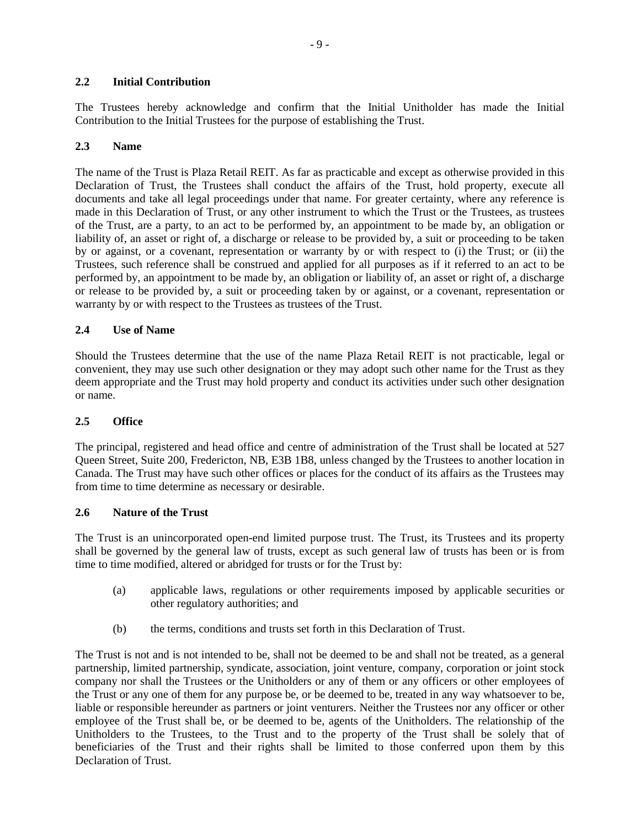## <span id="page-13-0"></span>**2.2 Initial Contribution**

The Trustees hereby acknowledge and confirm that the Initial Unitholder has made the Initial Contribution to the Initial Trustees for the purpose of establishing the Trust.

## <span id="page-13-1"></span>**2.3 Name**

The name of the Trust is Plaza Retail REIT. As far as practicable and except as otherwise provided in this Declaration of Trust, the Trustees shall conduct the affairs of the Trust, hold property, execute all documents and take all legal proceedings under that name. For greater certainty, where any reference is made in this Declaration of Trust, or any other instrument to which the Trust or the Trustees, as trustees of the Trust, are a party, to an act to be performed by, an appointment to be made by, an obligation or liability of, an asset or right of, a discharge or release to be provided by, a suit or proceeding to be taken by or against, or a covenant, representation or warranty by or with respect to (i) the Trust; or (ii) the Trustees, such reference shall be construed and applied for all purposes as if it referred to an act to be performed by, an appointment to be made by, an obligation or liability of, an asset or right of, a discharge or release to be provided by, a suit or proceeding taken by or against, or a covenant, representation or warranty by or with respect to the Trustees as trustees of the Trust.

## <span id="page-13-2"></span>**2.4 Use of Name**

Should the Trustees determine that the use of the name Plaza Retail REIT is not practicable, legal or convenient, they may use such other designation or they may adopt such other name for the Trust as they deem appropriate and the Trust may hold property and conduct its activities under such other designation or name.

## <span id="page-13-3"></span>**2.5 Office**

The principal, registered and head office and centre of administration of the Trust shall be located at 527 Queen Street, Suite 200, Fredericton, NB, E3B 1B8, unless changed by the Trustees to another location in Canada. The Trust may have such other offices or places for the conduct of its affairs as the Trustees may from time to time determine as necessary or desirable.

## <span id="page-13-4"></span>**2.6 Nature of the Trust**

The Trust is an unincorporated open-end limited purpose trust. The Trust, its Trustees and its property shall be governed by the general law of trusts, except as such general law of trusts has been or is from time to time modified, altered or abridged for trusts or for the Trust by:

- (a) applicable laws, regulations or other requirements imposed by applicable securities or other regulatory authorities; and
- (b) the terms, conditions and trusts set forth in this Declaration of Trust.

The Trust is not and is not intended to be, shall not be deemed to be and shall not be treated, as a general partnership, limited partnership, syndicate, association, joint venture, company, corporation or joint stock company nor shall the Trustees or the Unitholders or any of them or any officers or other employees of the Trust or any one of them for any purpose be, or be deemed to be, treated in any way whatsoever to be, liable or responsible hereunder as partners or joint venturers. Neither the Trustees nor any officer or other employee of the Trust shall be, or be deemed to be, agents of the Unitholders. The relationship of the Unitholders to the Trustees, to the Trust and to the property of the Trust shall be solely that of beneficiaries of the Trust and their rights shall be limited to those conferred upon them by this Declaration of Trust.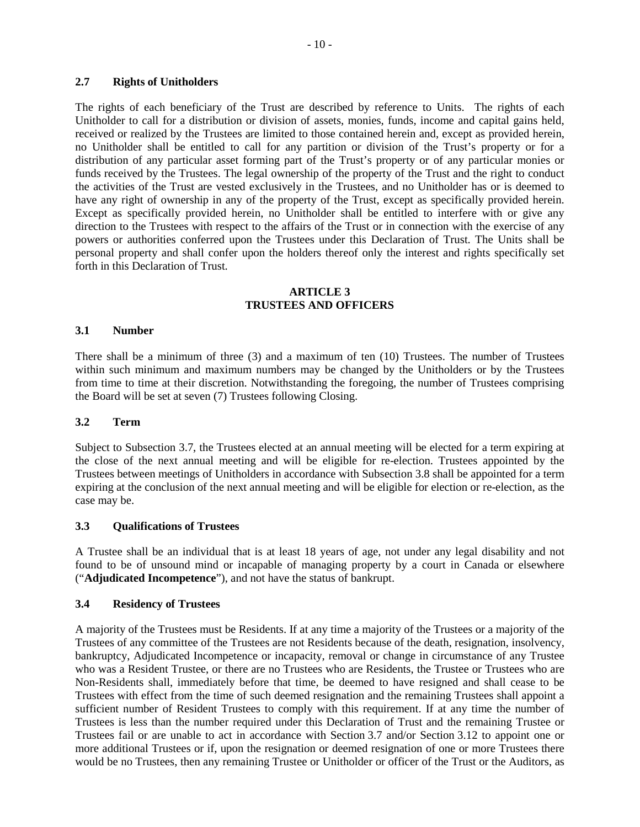#### <span id="page-14-0"></span>**2.7 Rights of Unitholders**

The rights of each beneficiary of the Trust are described by reference to Units. The rights of each Unitholder to call for a distribution or division of assets, monies, funds, income and capital gains held, received or realized by the Trustees are limited to those contained herein and, except as provided herein, no Unitholder shall be entitled to call for any partition or division of the Trust's property or for a distribution of any particular asset forming part of the Trust's property or of any particular monies or funds received by the Trustees. The legal ownership of the property of the Trust and the right to conduct the activities of the Trust are vested exclusively in the Trustees, and no Unitholder has or is deemed to have any right of ownership in any of the property of the Trust, except as specifically provided herein. Except as specifically provided herein, no Unitholder shall be entitled to interfere with or give any direction to the Trustees with respect to the affairs of the Trust or in connection with the exercise of any powers or authorities conferred upon the Trustees under this Declaration of Trust. The Units shall be personal property and shall confer upon the holders thereof only the interest and rights specifically set forth in this Declaration of Trust.

#### **ARTICLE 3 TRUSTEES AND OFFICERS**

#### <span id="page-14-2"></span><span id="page-14-1"></span>**3.1 Number**

There shall be a minimum of three (3) and a maximum of ten (10) Trustees. The number of Trustees within such minimum and maximum numbers may be changed by the Unitholders or by the Trustees from time to time at their discretion. Notwithstanding the foregoing, the number of Trustees comprising the Board will be set at seven (7) Trustees following Closing.

#### <span id="page-14-3"></span>**3.2 Term**

Subject to Subsection 3.7, the Trustees elected at an annual meeting will be elected for a term expiring at the close of the next annual meeting and will be eligible for re-election. Trustees appointed by the Trustees between meetings of Unitholders in accordance with Subsection [3.8](#page-16-0) shall be appointed for a term expiring at the conclusion of the next annual meeting and will be eligible for election or re-election, as the case may be.

#### <span id="page-14-4"></span>**3.3 Qualifications of Trustees**

A Trustee shall be an individual that is at least 18 years of age, not under any legal disability and not found to be of unsound mind or incapable of managing property by a court in Canada or elsewhere ("**Adjudicated Incompetence**"), and not have the status of bankrupt.

#### <span id="page-14-5"></span>**3.4 Residency of Trustees**

A majority of the Trustees must be Residents. If at any time a majority of the Trustees or a majority of the Trustees of any committee of the Trustees are not Residents because of the death, resignation, insolvency, bankruptcy, Adjudicated Incompetence or incapacity, removal or change in circumstance of any Trustee who was a Resident Trustee, or there are no Trustees who are Residents, the Trustee or Trustees who are Non-Residents shall, immediately before that time, be deemed to have resigned and shall cease to be Trustees with effect from the time of such deemed resignation and the remaining Trustees shall appoint a sufficient number of Resident Trustees to comply with this requirement. If at any time the number of Trustees is less than the number required under this Declaration of Trust and the remaining Trustee or Trustees fail or are unable to act in accordance with Section [3.7](#page-15-2) and/or Section [3.12](#page-18-0) to appoint one or more additional Trustees or if, upon the resignation or deemed resignation of one or more Trustees there would be no Trustees, then any remaining Trustee or Unitholder or officer of the Trust or the Auditors, as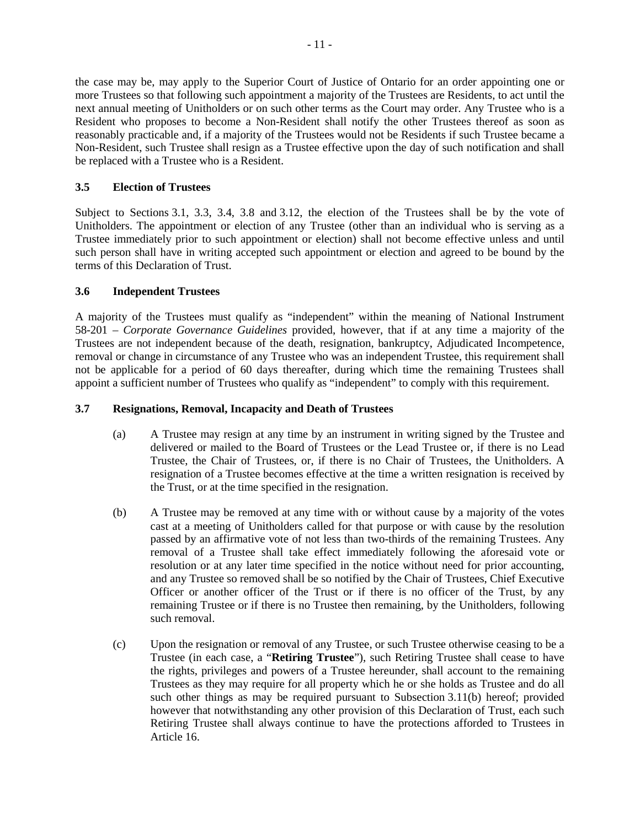the case may be, may apply to the Superior Court of Justice of Ontario for an order appointing one or more Trustees so that following such appointment a majority of the Trustees are Residents, to act until the next annual meeting of Unitholders or on such other terms as the Court may order. Any Trustee who is a Resident who proposes to become a Non-Resident shall notify the other Trustees thereof as soon as reasonably practicable and, if a majority of the Trustees would not be Residents if such Trustee became a Non-Resident, such Trustee shall resign as a Trustee effective upon the day of such notification and shall be replaced with a Trustee who is a Resident.

# <span id="page-15-0"></span>**3.5 Election of Trustees**

Subject to Sections [3.1,](#page-14-2) [3.3,](#page-14-4) [3.4,](#page-14-5) [3.8](#page-16-0) and [3.12,](#page-18-0) the election of the Trustees shall be by the vote of Unitholders. The appointment or election of any Trustee (other than an individual who is serving as a Trustee immediately prior to such appointment or election) shall not become effective unless and until such person shall have in writing accepted such appointment or election and agreed to be bound by the terms of this Declaration of Trust.

## <span id="page-15-1"></span>**3.6 Independent Trustees**

A majority of the Trustees must qualify as "independent" within the meaning of National Instrument 58-201 – *Corporate Governance Guidelines* provided, however, that if at any time a majority of the Trustees are not independent because of the death, resignation, bankruptcy, Adjudicated Incompetence, removal or change in circumstance of any Trustee who was an independent Trustee, this requirement shall not be applicable for a period of 60 days thereafter, during which time the remaining Trustees shall appoint a sufficient number of Trustees who qualify as "independent" to comply with this requirement.

## <span id="page-15-2"></span>**3.7 Resignations, Removal, Incapacity and Death of Trustees**

- (a) A Trustee may resign at any time by an instrument in writing signed by the Trustee and delivered or mailed to the Board of Trustees or the Lead Trustee or, if there is no Lead Trustee, the Chair of Trustees, or, if there is no Chair of Trustees, the Unitholders. A resignation of a Trustee becomes effective at the time a written resignation is received by the Trust, or at the time specified in the resignation.
- (b) A Trustee may be removed at any time with or without cause by a majority of the votes cast at a meeting of Unitholders called for that purpose or with cause by the resolution passed by an affirmative vote of not less than two-thirds of the remaining Trustees. Any removal of a Trustee shall take effect immediately following the aforesaid vote or resolution or at any later time specified in the notice without need for prior accounting, and any Trustee so removed shall be so notified by the Chair of Trustees, Chief Executive Officer or another officer of the Trust or if there is no officer of the Trust, by any remaining Trustee or if there is no Trustee then remaining, by the Unitholders, following such removal.
- (c) Upon the resignation or removal of any Trustee, or such Trustee otherwise ceasing to be a Trustee (in each case, a "**Retiring Trustee**"), such Retiring Trustee shall cease to have the rights, privileges and powers of a Trustee hereunder, shall account to the remaining Trustees as they may require for all property which he or she holds as Trustee and do all such other things as may be required pursuant to Subsection [3.11\(b\)](#page-17-2) hereof; provided however that notwithstanding any other provision of this Declaration of Trust, each such Retiring Trustee shall always continue to have the protections afforded to Trustees in [Article](#page-65-4) 16.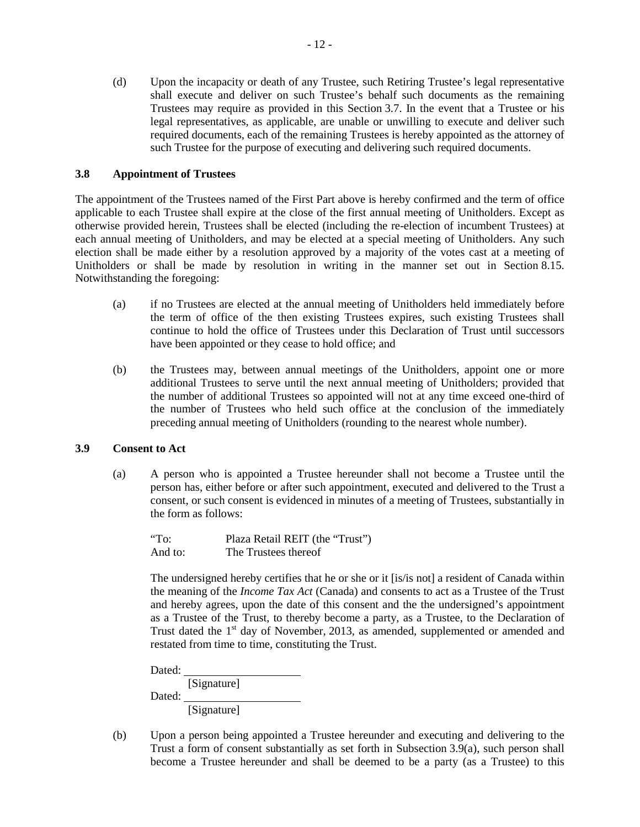(d) Upon the incapacity or death of any Trustee, such Retiring Trustee's legal representative shall execute and deliver on such Trustee's behalf such documents as the remaining Trustees may require as provided in this Section [3.7.](#page-15-2) In the event that a Trustee or his legal representatives, as applicable, are unable or unwilling to execute and deliver such required documents, each of the remaining Trustees is hereby appointed as the attorney of such Trustee for the purpose of executing and delivering such required documents.

## <span id="page-16-0"></span>**3.8 Appointment of Trustees**

The appointment of the Trustees named of the First Part above is hereby confirmed and the term of office applicable to each Trustee shall expire at the close of the first annual meeting of Unitholders. Except as otherwise provided herein, Trustees shall be elected (including the re-election of incumbent Trustees) at each annual meeting of Unitholders, and may be elected at a special meeting of Unitholders. Any such election shall be made either by a resolution approved by a majority of the votes cast at a meeting of Unitholders or shall be made by resolution in writing in the manner set out in Section [8.15.](#page-55-2)  Notwithstanding the foregoing:

- (a) if no Trustees are elected at the annual meeting of Unitholders held immediately before the term of office of the then existing Trustees expires, such existing Trustees shall continue to hold the office of Trustees under this Declaration of Trust until successors have been appointed or they cease to hold office; and
- (b) the Trustees may, between annual meetings of the Unitholders, appoint one or more additional Trustees to serve until the next annual meeting of Unitholders; provided that the number of additional Trustees so appointed will not at any time exceed one-third of the number of Trustees who held such office at the conclusion of the immediately preceding annual meeting of Unitholders (rounding to the nearest whole number).

## <span id="page-16-2"></span><span id="page-16-1"></span>**3.9 Consent to Act**

(a) A person who is appointed a Trustee hereunder shall not become a Trustee until the person has, either before or after such appointment, executed and delivered to the Trust a consent, or such consent is evidenced in minutes of a meeting of Trustees, substantially in the form as follows:

| $\cdot$ "To: | Plaza Retail REIT (the "Trust") |
|--------------|---------------------------------|
| And to:      | The Trustees thereof            |

The undersigned hereby certifies that he or she or it [is/is not] a resident of Canada within the meaning of the *Income Tax Act* (Canada) and consents to act as a Trustee of the Trust and hereby agrees, upon the date of this consent and the the undersigned's appointment as a Trustee of the Trust, to thereby become a party, as a Trustee, to the Declaration of Trust dated the  $1<sup>st</sup>$  day of November, 2013, as amended, supplemented or amended and restated from time to time, constituting the Trust.

Dated:

|        | [Signature] |
|--------|-------------|
| Dated: |             |
|        | [Signature] |

(b) Upon a person being appointed a Trustee hereunder and executing and delivering to the Trust a form of consent substantially as set forth in Subsection [3.9\(a\),](#page-16-2) such person shall become a Trustee hereunder and shall be deemed to be a party (as a Trustee) to this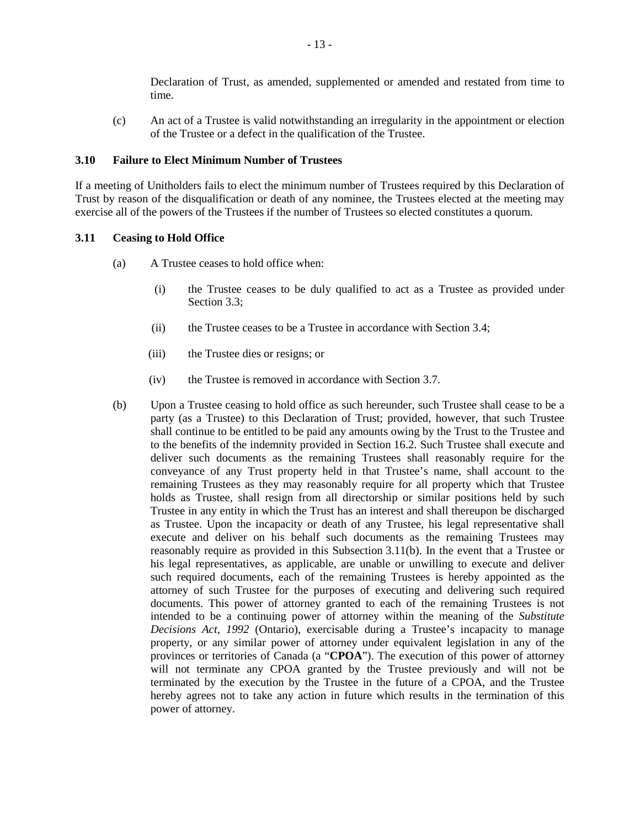Declaration of Trust, as amended, supplemented or amended and restated from time to time.

(c) An act of a Trustee is valid notwithstanding an irregularity in the appointment or election of the Trustee or a defect in the qualification of the Trustee.

#### <span id="page-17-0"></span>**3.10 Failure to Elect Minimum Number of Trustees**

If a meeting of Unitholders fails to elect the minimum number of Trustees required by this Declaration of Trust by reason of the disqualification or death of any nominee, the Trustees elected at the meeting may exercise all of the powers of the Trustees if the number of Trustees so elected constitutes a quorum.

#### <span id="page-17-1"></span>**3.11 Ceasing to Hold Office**

- (a) A Trustee ceases to hold office when:
	- (i) the Trustee ceases to be duly qualified to act as a Trustee as provided under Section [3.3;](#page-14-4)
	- (ii) the Trustee ceases to be a Trustee in accordance with Section [3.4;](#page-14-5)
	- (iii) the Trustee dies or resigns; or
	- (iv) the Trustee is removed in accordance with Section [3.7.](#page-15-2)
- <span id="page-17-2"></span>(b) Upon a Trustee ceasing to hold office as such hereunder, such Trustee shall cease to be a party (as a Trustee) to this Declaration of Trust; provided, however, that such Trustee shall continue to be entitled to be paid any amounts owing by the Trust to the Trustee and to the benefits of the indemnity provided in Section [16.2.](#page-66-0) Such Trustee shall execute and deliver such documents as the remaining Trustees shall reasonably require for the conveyance of any Trust property held in that Trustee's name, shall account to the remaining Trustees as they may reasonably require for all property which that Trustee holds as Trustee, shall resign from all directorship or similar positions held by such Trustee in any entity in which the Trust has an interest and shall thereupon be discharged as Trustee. Upon the incapacity or death of any Trustee, his legal representative shall execute and deliver on his behalf such documents as the remaining Trustees may reasonably require as provided in this Subsection [3.11\(b\).](#page-17-2) In the event that a Trustee or his legal representatives, as applicable, are unable or unwilling to execute and deliver such required documents, each of the remaining Trustees is hereby appointed as the attorney of such Trustee for the purposes of executing and delivering such required documents. This power of attorney granted to each of the remaining Trustees is not intended to be a continuing power of attorney within the meaning of the *Substitute Decisions Act, 1992* (Ontario), exercisable during a Trustee's incapacity to manage property, or any similar power of attorney under equivalent legislation in any of the provinces or territories of Canada (a "**CPOA**"). The execution of this power of attorney will not terminate any CPOA granted by the Trustee previously and will not be terminated by the execution by the Trustee in the future of a CPOA, and the Trustee hereby agrees not to take any action in future which results in the termination of this power of attorney.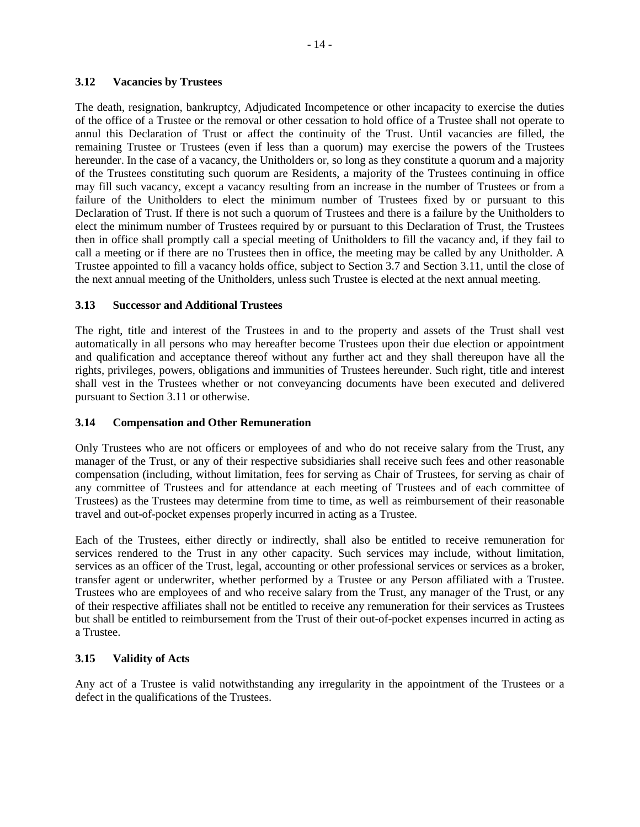#### <span id="page-18-0"></span>**3.12 Vacancies by Trustees**

The death, resignation, bankruptcy, Adjudicated Incompetence or other incapacity to exercise the duties of the office of a Trustee or the removal or other cessation to hold office of a Trustee shall not operate to annul this Declaration of Trust or affect the continuity of the Trust. Until vacancies are filled, the remaining Trustee or Trustees (even if less than a quorum) may exercise the powers of the Trustees hereunder. In the case of a vacancy, the Unitholders or, so long as they constitute a quorum and a majority of the Trustees constituting such quorum are Residents, a majority of the Trustees continuing in office may fill such vacancy, except a vacancy resulting from an increase in the number of Trustees or from a failure of the Unitholders to elect the minimum number of Trustees fixed by or pursuant to this Declaration of Trust. If there is not such a quorum of Trustees and there is a failure by the Unitholders to elect the minimum number of Trustees required by or pursuant to this Declaration of Trust, the Trustees then in office shall promptly call a special meeting of Unitholders to fill the vacancy and, if they fail to call a meeting or if there are no Trustees then in office, the meeting may be called by any Unitholder. A Trustee appointed to fill a vacancy holds office, subject to Section [3.7](#page-15-2) and Section [3.11,](#page-17-1) until the close of the next annual meeting of the Unitholders, unless such Trustee is elected at the next annual meeting.

## <span id="page-18-1"></span>**3.13 Successor and Additional Trustees**

The right, title and interest of the Trustees in and to the property and assets of the Trust shall vest automatically in all persons who may hereafter become Trustees upon their due election or appointment and qualification and acceptance thereof without any further act and they shall thereupon have all the rights, privileges, powers, obligations and immunities of Trustees hereunder. Such right, title and interest shall vest in the Trustees whether or not conveyancing documents have been executed and delivered pursuant to Section [3.11](#page-17-1) or otherwise.

## <span id="page-18-2"></span>**3.14 Compensation and Other Remuneration**

Only Trustees who are not officers or employees of and who do not receive salary from the Trust, any manager of the Trust, or any of their respective subsidiaries shall receive such fees and other reasonable compensation (including, without limitation, fees for serving as Chair of Trustees, for serving as chair of any committee of Trustees and for attendance at each meeting of Trustees and of each committee of Trustees) as the Trustees may determine from time to time, as well as reimbursement of their reasonable travel and out-of-pocket expenses properly incurred in acting as a Trustee.

Each of the Trustees, either directly or indirectly, shall also be entitled to receive remuneration for services rendered to the Trust in any other capacity. Such services may include, without limitation, services as an officer of the Trust, legal, accounting or other professional services or services as a broker, transfer agent or underwriter, whether performed by a Trustee or any Person affiliated with a Trustee. Trustees who are employees of and who receive salary from the Trust, any manager of the Trust, or any of their respective affiliates shall not be entitled to receive any remuneration for their services as Trustees but shall be entitled to reimbursement from the Trust of their out-of-pocket expenses incurred in acting as a Trustee.

## <span id="page-18-3"></span>**3.15 Validity of Acts**

Any act of a Trustee is valid notwithstanding any irregularity in the appointment of the Trustees or a defect in the qualifications of the Trustees.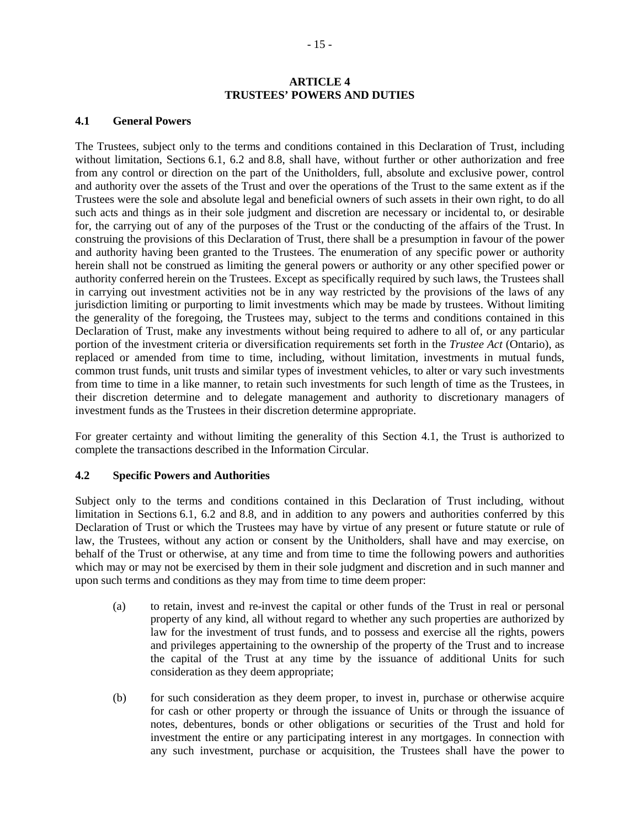#### **ARTICLE 4 TRUSTEES' POWERS AND DUTIES**

## <span id="page-19-1"></span><span id="page-19-0"></span>**4.1 General Powers**

The Trustees, subject only to the terms and conditions contained in this Declaration of Trust, including without limitation, Sections [6.1,](#page-29-7) [6.2](#page-31-0) and [8.8,](#page-53-0) shall have, without further or other authorization and free from any control or direction on the part of the Unitholders, full, absolute and exclusive power, control and authority over the assets of the Trust and over the operations of the Trust to the same extent as if the Trustees were the sole and absolute legal and beneficial owners of such assets in their own right, to do all such acts and things as in their sole judgment and discretion are necessary or incidental to, or desirable for, the carrying out of any of the purposes of the Trust or the conducting of the affairs of the Trust. In construing the provisions of this Declaration of Trust, there shall be a presumption in favour of the power and authority having been granted to the Trustees. The enumeration of any specific power or authority herein shall not be construed as limiting the general powers or authority or any other specified power or authority conferred herein on the Trustees. Except as specifically required by such laws, the Trustees shall in carrying out investment activities not be in any way restricted by the provisions of the laws of any jurisdiction limiting or purporting to limit investments which may be made by trustees. Without limiting the generality of the foregoing, the Trustees may, subject to the terms and conditions contained in this Declaration of Trust, make any investments without being required to adhere to all of, or any particular portion of the investment criteria or diversification requirements set forth in the *Trustee Act* (Ontario), as replaced or amended from time to time, including, without limitation, investments in mutual funds, common trust funds, unit trusts and similar types of investment vehicles, to alter or vary such investments from time to time in a like manner, to retain such investments for such length of time as the Trustees, in their discretion determine and to delegate management and authority to discretionary managers of investment funds as the Trustees in their discretion determine appropriate.

For greater certainty and without limiting the generality of this Section [4.1,](#page-19-1) the Trust is authorized to complete the transactions described in the Information Circular.

#### <span id="page-19-2"></span>**4.2 Specific Powers and Authorities**

Subject only to the terms and conditions contained in this Declaration of Trust including, without limitation in Sections [6.1,](#page-29-7) [6.2](#page-31-0) and [8.8,](#page-53-0) and in addition to any powers and authorities conferred by this Declaration of Trust or which the Trustees may have by virtue of any present or future statute or rule of law, the Trustees, without any action or consent by the Unitholders, shall have and may exercise, on behalf of the Trust or otherwise, at any time and from time to time the following powers and authorities which may or may not be exercised by them in their sole judgment and discretion and in such manner and upon such terms and conditions as they may from time to time deem proper:

- (a) to retain, invest and re-invest the capital or other funds of the Trust in real or personal property of any kind, all without regard to whether any such properties are authorized by law for the investment of trust funds, and to possess and exercise all the rights, powers and privileges appertaining to the ownership of the property of the Trust and to increase the capital of the Trust at any time by the issuance of additional Units for such consideration as they deem appropriate;
- (b) for such consideration as they deem proper, to invest in, purchase or otherwise acquire for cash or other property or through the issuance of Units or through the issuance of notes, debentures, bonds or other obligations or securities of the Trust and hold for investment the entire or any participating interest in any mortgages. In connection with any such investment, purchase or acquisition, the Trustees shall have the power to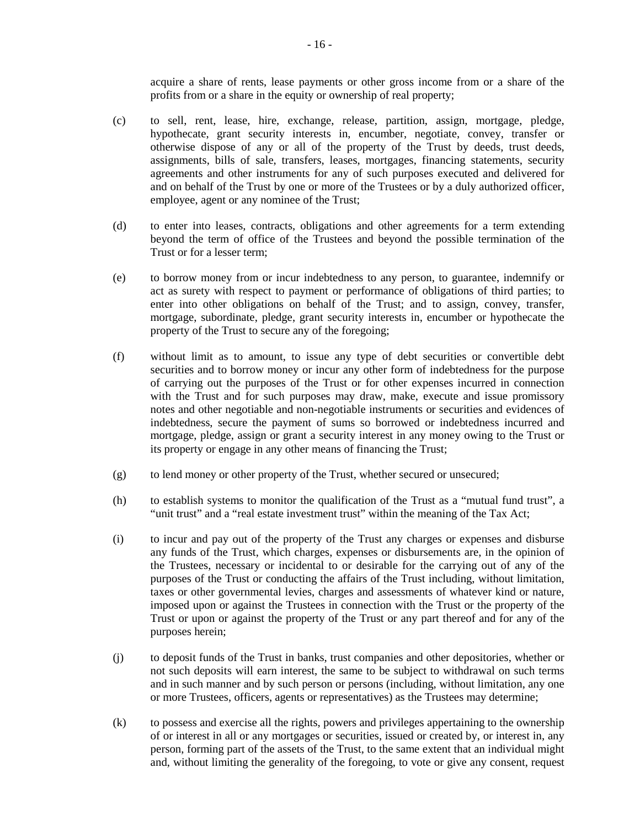acquire a share of rents, lease payments or other gross income from or a share of the profits from or a share in the equity or ownership of real property;

- (c) to sell, rent, lease, hire, exchange, release, partition, assign, mortgage, pledge, hypothecate, grant security interests in, encumber, negotiate, convey, transfer or otherwise dispose of any or all of the property of the Trust by deeds, trust deeds, assignments, bills of sale, transfers, leases, mortgages, financing statements, security agreements and other instruments for any of such purposes executed and delivered for and on behalf of the Trust by one or more of the Trustees or by a duly authorized officer, employee, agent or any nominee of the Trust;
- (d) to enter into leases, contracts, obligations and other agreements for a term extending beyond the term of office of the Trustees and beyond the possible termination of the Trust or for a lesser term;
- (e) to borrow money from or incur indebtedness to any person, to guarantee, indemnify or act as surety with respect to payment or performance of obligations of third parties; to enter into other obligations on behalf of the Trust; and to assign, convey, transfer, mortgage, subordinate, pledge, grant security interests in, encumber or hypothecate the property of the Trust to secure any of the foregoing;
- (f) without limit as to amount, to issue any type of debt securities or convertible debt securities and to borrow money or incur any other form of indebtedness for the purpose of carrying out the purposes of the Trust or for other expenses incurred in connection with the Trust and for such purposes may draw, make, execute and issue promissory notes and other negotiable and non-negotiable instruments or securities and evidences of indebtedness, secure the payment of sums so borrowed or indebtedness incurred and mortgage, pledge, assign or grant a security interest in any money owing to the Trust or its property or engage in any other means of financing the Trust;
- (g) to lend money or other property of the Trust, whether secured or unsecured;
- (h) to establish systems to monitor the qualification of the Trust as a "mutual fund trust", a "unit trust" and a "real estate investment trust" within the meaning of the Tax Act;
- (i) to incur and pay out of the property of the Trust any charges or expenses and disburse any funds of the Trust, which charges, expenses or disbursements are, in the opinion of the Trustees, necessary or incidental to or desirable for the carrying out of any of the purposes of the Trust or conducting the affairs of the Trust including, without limitation, taxes or other governmental levies, charges and assessments of whatever kind or nature, imposed upon or against the Trustees in connection with the Trust or the property of the Trust or upon or against the property of the Trust or any part thereof and for any of the purposes herein;
- (j) to deposit funds of the Trust in banks, trust companies and other depositories, whether or not such deposits will earn interest, the same to be subject to withdrawal on such terms and in such manner and by such person or persons (including, without limitation, any one or more Trustees, officers, agents or representatives) as the Trustees may determine;
- (k) to possess and exercise all the rights, powers and privileges appertaining to the ownership of or interest in all or any mortgages or securities, issued or created by, or interest in, any person, forming part of the assets of the Trust, to the same extent that an individual might and, without limiting the generality of the foregoing, to vote or give any consent, request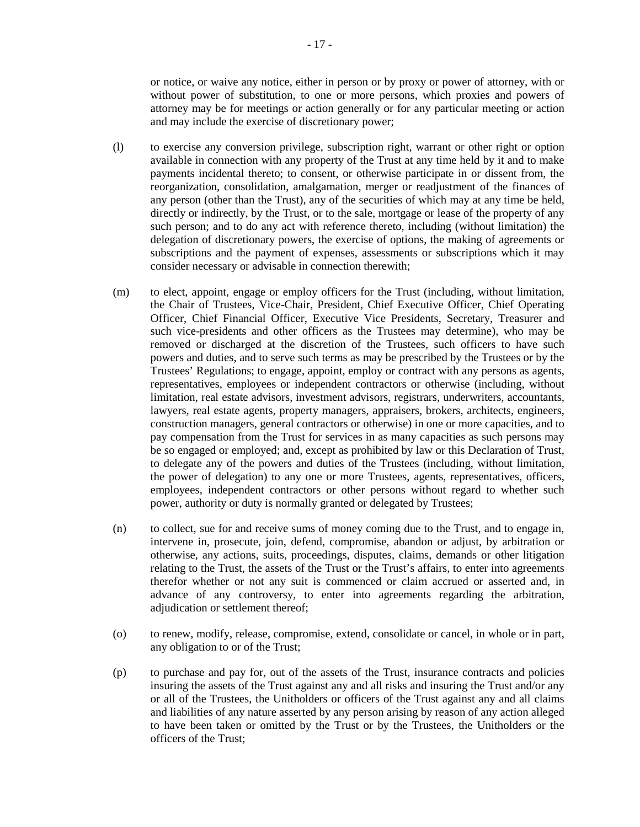or notice, or waive any notice, either in person or by proxy or power of attorney, with or without power of substitution, to one or more persons, which proxies and powers of attorney may be for meetings or action generally or for any particular meeting or action and may include the exercise of discretionary power;

- (l) to exercise any conversion privilege, subscription right, warrant or other right or option available in connection with any property of the Trust at any time held by it and to make payments incidental thereto; to consent, or otherwise participate in or dissent from, the reorganization, consolidation, amalgamation, merger or readjustment of the finances of any person (other than the Trust), any of the securities of which may at any time be held, directly or indirectly, by the Trust, or to the sale, mortgage or lease of the property of any such person; and to do any act with reference thereto, including (without limitation) the delegation of discretionary powers, the exercise of options, the making of agreements or subscriptions and the payment of expenses, assessments or subscriptions which it may consider necessary or advisable in connection therewith;
- (m) to elect, appoint, engage or employ officers for the Trust (including, without limitation, the Chair of Trustees, Vice-Chair, President, Chief Executive Officer, Chief Operating Officer, Chief Financial Officer, Executive Vice Presidents, Secretary, Treasurer and such vice-presidents and other officers as the Trustees may determine), who may be removed or discharged at the discretion of the Trustees, such officers to have such powers and duties, and to serve such terms as may be prescribed by the Trustees or by the Trustees' Regulations; to engage, appoint, employ or contract with any persons as agents, representatives, employees or independent contractors or otherwise (including, without limitation, real estate advisors, investment advisors, registrars, underwriters, accountants, lawyers, real estate agents, property managers, appraisers, brokers, architects, engineers, construction managers, general contractors or otherwise) in one or more capacities, and to pay compensation from the Trust for services in as many capacities as such persons may be so engaged or employed; and, except as prohibited by law or this Declaration of Trust, to delegate any of the powers and duties of the Trustees (including, without limitation, the power of delegation) to any one or more Trustees, agents, representatives, officers, employees, independent contractors or other persons without regard to whether such power, authority or duty is normally granted or delegated by Trustees;
- (n) to collect, sue for and receive sums of money coming due to the Trust, and to engage in, intervene in, prosecute, join, defend, compromise, abandon or adjust, by arbitration or otherwise, any actions, suits, proceedings, disputes, claims, demands or other litigation relating to the Trust, the assets of the Trust or the Trust's affairs, to enter into agreements therefor whether or not any suit is commenced or claim accrued or asserted and, in advance of any controversy, to enter into agreements regarding the arbitration, adjudication or settlement thereof;
- (o) to renew, modify, release, compromise, extend, consolidate or cancel, in whole or in part, any obligation to or of the Trust;
- (p) to purchase and pay for, out of the assets of the Trust, insurance contracts and policies insuring the assets of the Trust against any and all risks and insuring the Trust and/or any or all of the Trustees, the Unitholders or officers of the Trust against any and all claims and liabilities of any nature asserted by any person arising by reason of any action alleged to have been taken or omitted by the Trust or by the Trustees, the Unitholders or the officers of the Trust;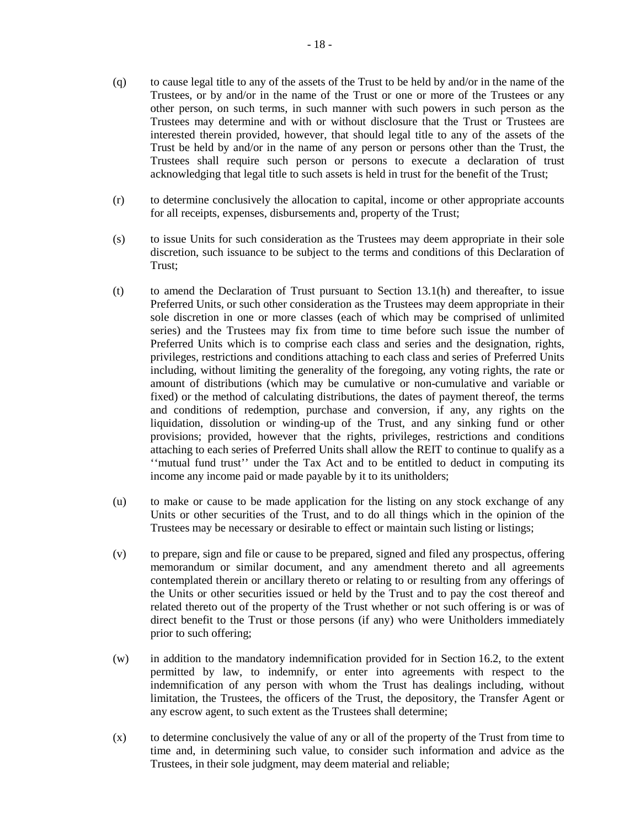- (q) to cause legal title to any of the assets of the Trust to be held by and/or in the name of the Trustees, or by and/or in the name of the Trust or one or more of the Trustees or any other person, on such terms, in such manner with such powers in such person as the Trustees may determine and with or without disclosure that the Trust or Trustees are interested therein provided, however, that should legal title to any of the assets of the Trust be held by and/or in the name of any person or persons other than the Trust, the Trustees shall require such person or persons to execute a declaration of trust acknowledging that legal title to such assets is held in trust for the benefit of the Trust;
- (r) to determine conclusively the allocation to capital, income or other appropriate accounts for all receipts, expenses, disbursements and, property of the Trust;
- (s) to issue Units for such consideration as the Trustees may deem appropriate in their sole discretion, such issuance to be subject to the terms and conditions of this Declaration of Trust;
- (t) to amend the Declaration of Trust pursuant to Section [13.1\(h\)](#page-62-1) and thereafter, to issue Preferred Units, or such other consideration as the Trustees may deem appropriate in their sole discretion in one or more classes (each of which may be comprised of unlimited series) and the Trustees may fix from time to time before such issue the number of Preferred Units which is to comprise each class and series and the designation, rights, privileges, restrictions and conditions attaching to each class and series of Preferred Units including, without limiting the generality of the foregoing, any voting rights, the rate or amount of distributions (which may be cumulative or non-cumulative and variable or fixed) or the method of calculating distributions, the dates of payment thereof, the terms and conditions of redemption, purchase and conversion, if any, any rights on the liquidation, dissolution or winding-up of the Trust, and any sinking fund or other provisions; provided, however that the rights, privileges, restrictions and conditions attaching to each series of Preferred Units shall allow the REIT to continue to qualify as a ''mutual fund trust'' under the Tax Act and to be entitled to deduct in computing its income any income paid or made payable by it to its unitholders;
- (u) to make or cause to be made application for the listing on any stock exchange of any Units or other securities of the Trust, and to do all things which in the opinion of the Trustees may be necessary or desirable to effect or maintain such listing or listings;
- (v) to prepare, sign and file or cause to be prepared, signed and filed any prospectus, offering memorandum or similar document, and any amendment thereto and all agreements contemplated therein or ancillary thereto or relating to or resulting from any offerings of the Units or other securities issued or held by the Trust and to pay the cost thereof and related thereto out of the property of the Trust whether or not such offering is or was of direct benefit to the Trust or those persons (if any) who were Unitholders immediately prior to such offering;
- (w) in addition to the mandatory indemnification provided for in Section [16.2,](#page-66-0) to the extent permitted by law, to indemnify, or enter into agreements with respect to the indemnification of any person with whom the Trust has dealings including, without limitation, the Trustees, the officers of the Trust, the depository, the Transfer Agent or any escrow agent, to such extent as the Trustees shall determine;
- (x) to determine conclusively the value of any or all of the property of the Trust from time to time and, in determining such value, to consider such information and advice as the Trustees, in their sole judgment, may deem material and reliable;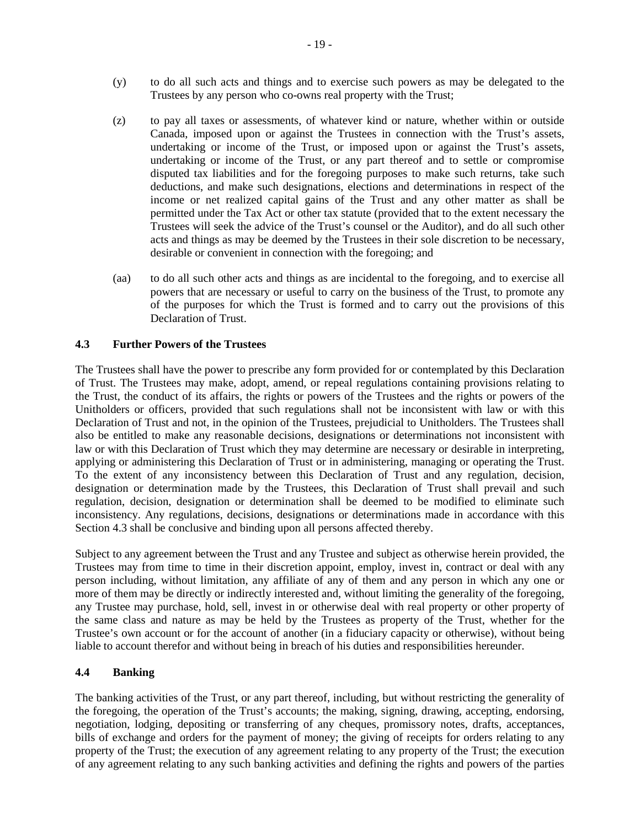- (y) to do all such acts and things and to exercise such powers as may be delegated to the Trustees by any person who co-owns real property with the Trust;
- (z) to pay all taxes or assessments, of whatever kind or nature, whether within or outside Canada, imposed upon or against the Trustees in connection with the Trust's assets, undertaking or income of the Trust, or imposed upon or against the Trust's assets, undertaking or income of the Trust, or any part thereof and to settle or compromise disputed tax liabilities and for the foregoing purposes to make such returns, take such deductions, and make such designations, elections and determinations in respect of the income or net realized capital gains of the Trust and any other matter as shall be permitted under the Tax Act or other tax statute (provided that to the extent necessary the Trustees will seek the advice of the Trust's counsel or the Auditor), and do all such other acts and things as may be deemed by the Trustees in their sole discretion to be necessary, desirable or convenient in connection with the foregoing; and
- (aa) to do all such other acts and things as are incidental to the foregoing, and to exercise all powers that are necessary or useful to carry on the business of the Trust, to promote any of the purposes for which the Trust is formed and to carry out the provisions of this Declaration of Trust.

## <span id="page-23-0"></span>**4.3 Further Powers of the Trustees**

The Trustees shall have the power to prescribe any form provided for or contemplated by this Declaration of Trust. The Trustees may make, adopt, amend, or repeal regulations containing provisions relating to the Trust, the conduct of its affairs, the rights or powers of the Trustees and the rights or powers of the Unitholders or officers, provided that such regulations shall not be inconsistent with law or with this Declaration of Trust and not, in the opinion of the Trustees, prejudicial to Unitholders. The Trustees shall also be entitled to make any reasonable decisions, designations or determinations not inconsistent with law or with this Declaration of Trust which they may determine are necessary or desirable in interpreting, applying or administering this Declaration of Trust or in administering, managing or operating the Trust. To the extent of any inconsistency between this Declaration of Trust and any regulation, decision, designation or determination made by the Trustees, this Declaration of Trust shall prevail and such regulation, decision, designation or determination shall be deemed to be modified to eliminate such inconsistency. Any regulations, decisions, designations or determinations made in accordance with this Section [4.3](#page-23-0) shall be conclusive and binding upon all persons affected thereby.

Subject to any agreement between the Trust and any Trustee and subject as otherwise herein provided, the Trustees may from time to time in their discretion appoint, employ, invest in, contract or deal with any person including, without limitation, any affiliate of any of them and any person in which any one or more of them may be directly or indirectly interested and, without limiting the generality of the foregoing, any Trustee may purchase, hold, sell, invest in or otherwise deal with real property or other property of the same class and nature as may be held by the Trustees as property of the Trust, whether for the Trustee's own account or for the account of another (in a fiduciary capacity or otherwise), without being liable to account therefor and without being in breach of his duties and responsibilities hereunder.

# <span id="page-23-1"></span>**4.4 Banking**

The banking activities of the Trust, or any part thereof, including, but without restricting the generality of the foregoing, the operation of the Trust's accounts; the making, signing, drawing, accepting, endorsing, negotiation, lodging, depositing or transferring of any cheques, promissory notes, drafts, acceptances, bills of exchange and orders for the payment of money; the giving of receipts for orders relating to any property of the Trust; the execution of any agreement relating to any property of the Trust; the execution of any agreement relating to any such banking activities and defining the rights and powers of the parties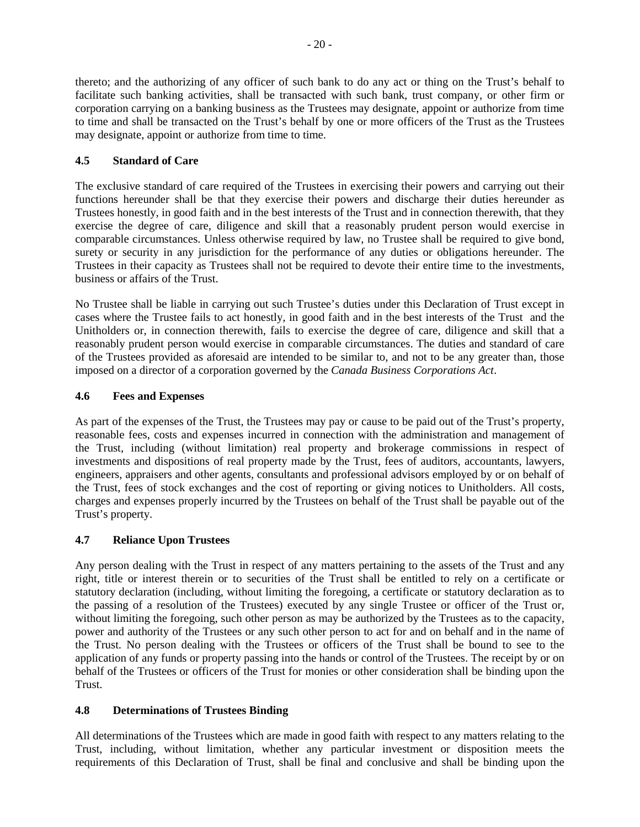thereto; and the authorizing of any officer of such bank to do any act or thing on the Trust's behalf to facilitate such banking activities, shall be transacted with such bank, trust company, or other firm or corporation carrying on a banking business as the Trustees may designate, appoint or authorize from time to time and shall be transacted on the Trust's behalf by one or more officers of the Trust as the Trustees may designate, appoint or authorize from time to time.

# <span id="page-24-0"></span>**4.5 Standard of Care**

The exclusive standard of care required of the Trustees in exercising their powers and carrying out their functions hereunder shall be that they exercise their powers and discharge their duties hereunder as Trustees honestly, in good faith and in the best interests of the Trust and in connection therewith, that they exercise the degree of care, diligence and skill that a reasonably prudent person would exercise in comparable circumstances. Unless otherwise required by law, no Trustee shall be required to give bond, surety or security in any jurisdiction for the performance of any duties or obligations hereunder. The Trustees in their capacity as Trustees shall not be required to devote their entire time to the investments, business or affairs of the Trust.

No Trustee shall be liable in carrying out such Trustee's duties under this Declaration of Trust except in cases where the Trustee fails to act honestly, in good faith and in the best interests of the Trust and the Unitholders or, in connection therewith, fails to exercise the degree of care, diligence and skill that a reasonably prudent person would exercise in comparable circumstances. The duties and standard of care of the Trustees provided as aforesaid are intended to be similar to, and not to be any greater than, those imposed on a director of a corporation governed by the *Canada Business Corporations Act*.

# <span id="page-24-1"></span>**4.6 Fees and Expenses**

As part of the expenses of the Trust, the Trustees may pay or cause to be paid out of the Trust's property, reasonable fees, costs and expenses incurred in connection with the administration and management of the Trust, including (without limitation) real property and brokerage commissions in respect of investments and dispositions of real property made by the Trust, fees of auditors, accountants, lawyers, engineers, appraisers and other agents, consultants and professional advisors employed by or on behalf of the Trust, fees of stock exchanges and the cost of reporting or giving notices to Unitholders. All costs, charges and expenses properly incurred by the Trustees on behalf of the Trust shall be payable out of the Trust's property.

# <span id="page-24-2"></span>**4.7 Reliance Upon Trustees**

Any person dealing with the Trust in respect of any matters pertaining to the assets of the Trust and any right, title or interest therein or to securities of the Trust shall be entitled to rely on a certificate or statutory declaration (including, without limiting the foregoing, a certificate or statutory declaration as to the passing of a resolution of the Trustees) executed by any single Trustee or officer of the Trust or, without limiting the foregoing, such other person as may be authorized by the Trustees as to the capacity, power and authority of the Trustees or any such other person to act for and on behalf and in the name of the Trust. No person dealing with the Trustees or officers of the Trust shall be bound to see to the application of any funds or property passing into the hands or control of the Trustees. The receipt by or on behalf of the Trustees or officers of the Trust for monies or other consideration shall be binding upon the Trust.

## <span id="page-24-3"></span>**4.8 Determinations of Trustees Binding**

All determinations of the Trustees which are made in good faith with respect to any matters relating to the Trust, including, without limitation, whether any particular investment or disposition meets the requirements of this Declaration of Trust, shall be final and conclusive and shall be binding upon the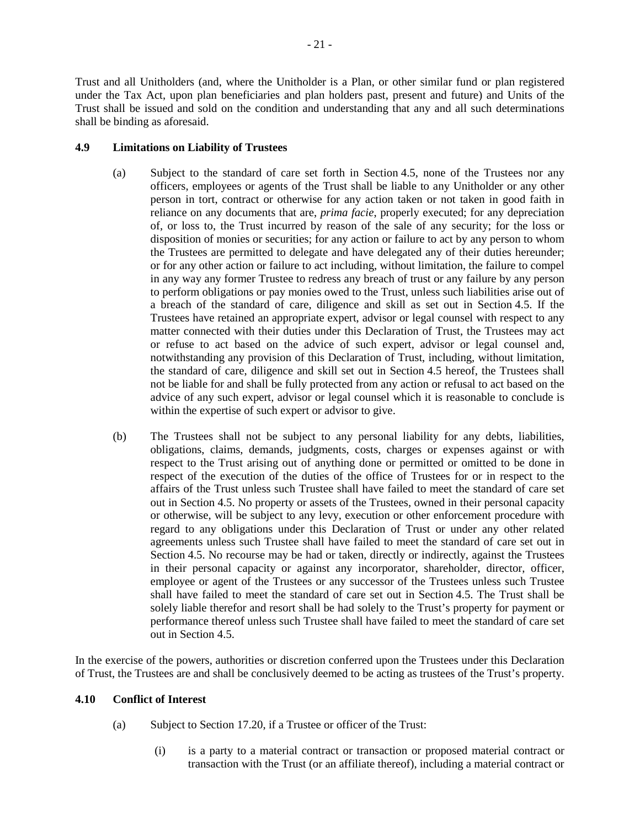Trust and all Unitholders (and, where the Unitholder is a Plan, or other similar fund or plan registered under the Tax Act, upon plan beneficiaries and plan holders past, present and future) and Units of the Trust shall be issued and sold on the condition and understanding that any and all such determinations shall be binding as aforesaid.

## <span id="page-25-0"></span>**4.9 Limitations on Liability of Trustees**

- (a) Subject to the standard of care set forth in Section [4.5,](#page-24-0) none of the Trustees nor any officers, employees or agents of the Trust shall be liable to any Unitholder or any other person in tort, contract or otherwise for any action taken or not taken in good faith in reliance on any documents that are, *prima facie*, properly executed; for any depreciation of, or loss to, the Trust incurred by reason of the sale of any security; for the loss or disposition of monies or securities; for any action or failure to act by any person to whom the Trustees are permitted to delegate and have delegated any of their duties hereunder; or for any other action or failure to act including, without limitation, the failure to compel in any way any former Trustee to redress any breach of trust or any failure by any person to perform obligations or pay monies owed to the Trust, unless such liabilities arise out of a breach of the standard of care, diligence and skill as set out in Section [4.5.](#page-24-0) If the Trustees have retained an appropriate expert, advisor or legal counsel with respect to any matter connected with their duties under this Declaration of Trust, the Trustees may act or refuse to act based on the advice of such expert, advisor or legal counsel and, notwithstanding any provision of this Declaration of Trust, including, without limitation, the standard of care, diligence and skill set out in Section [4.5](#page-24-0) hereof, the Trustees shall not be liable for and shall be fully protected from any action or refusal to act based on the advice of any such expert, advisor or legal counsel which it is reasonable to conclude is within the expertise of such expert or advisor to give.
- (b) The Trustees shall not be subject to any personal liability for any debts, liabilities, obligations, claims, demands, judgments, costs, charges or expenses against or with respect to the Trust arising out of anything done or permitted or omitted to be done in respect of the execution of the duties of the office of Trustees for or in respect to the affairs of the Trust unless such Trustee shall have failed to meet the standard of care set out in Section [4.5.](#page-24-0) No property or assets of the Trustees, owned in their personal capacity or otherwise, will be subject to any levy, execution or other enforcement procedure with regard to any obligations under this Declaration of Trust or under any other related agreements unless such Trustee shall have failed to meet the standard of care set out in Section [4.5.](#page-24-0) No recourse may be had or taken, directly or indirectly, against the Trustees in their personal capacity or against any incorporator, shareholder, director, officer, employee or agent of the Trustees or any successor of the Trustees unless such Trustee shall have failed to meet the standard of care set out in Section [4.5.](#page-24-0) The Trust shall be solely liable therefor and resort shall be had solely to the Trust's property for payment or performance thereof unless such Trustee shall have failed to meet the standard of care set out in Section [4.5.](#page-24-0)

In the exercise of the powers, authorities or discretion conferred upon the Trustees under this Declaration of Trust, the Trustees are and shall be conclusively deemed to be acting as trustees of the Trust's property.

#### <span id="page-25-1"></span>**4.10 Conflict of Interest**

- <span id="page-25-2"></span>(a) Subject to Section [17.20,](#page-70-5) if a Trustee or officer of the Trust:
	- (i) is a party to a material contract or transaction or proposed material contract or transaction with the Trust (or an affiliate thereof), including a material contract or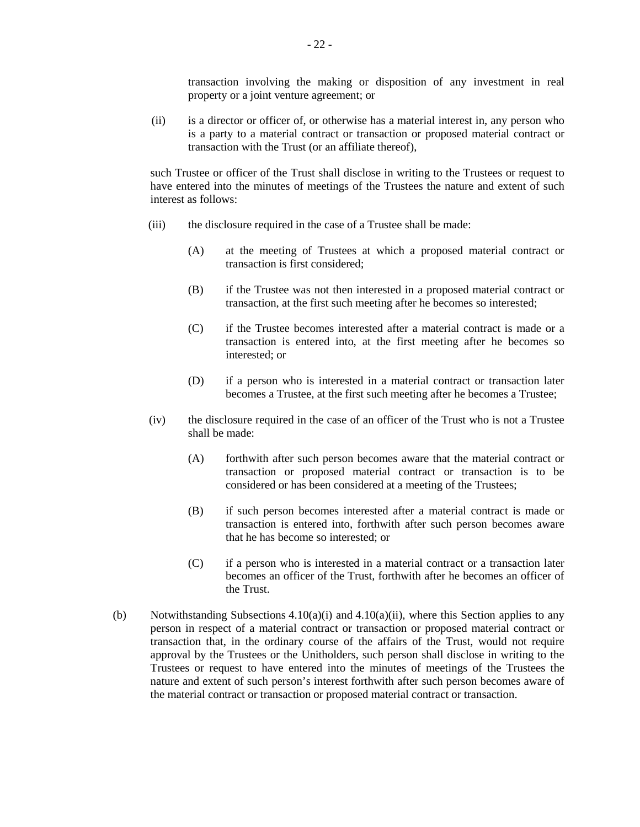transaction involving the making or disposition of any investment in real property or a joint venture agreement; or

<span id="page-26-0"></span>(ii) is a director or officer of, or otherwise has a material interest in, any person who is a party to a material contract or transaction or proposed material contract or transaction with the Trust (or an affiliate thereof),

such Trustee or officer of the Trust shall disclose in writing to the Trustees or request to have entered into the minutes of meetings of the Trustees the nature and extent of such interest as follows:

- (iii) the disclosure required in the case of a Trustee shall be made:
	- (A) at the meeting of Trustees at which a proposed material contract or transaction is first considered;
	- (B) if the Trustee was not then interested in a proposed material contract or transaction, at the first such meeting after he becomes so interested;
	- (C) if the Trustee becomes interested after a material contract is made or a transaction is entered into, at the first meeting after he becomes so interested; or
	- (D) if a person who is interested in a material contract or transaction later becomes a Trustee, at the first such meeting after he becomes a Trustee;
- (iv) the disclosure required in the case of an officer of the Trust who is not a Trustee shall be made:
	- (A) forthwith after such person becomes aware that the material contract or transaction or proposed material contract or transaction is to be considered or has been considered at a meeting of the Trustees;
	- (B) if such person becomes interested after a material contract is made or transaction is entered into, forthwith after such person becomes aware that he has become so interested; or
	- (C) if a person who is interested in a material contract or a transaction later becomes an officer of the Trust, forthwith after he becomes an officer of the Trust.
- (b) Notwithstanding Subsections  $4.10(a)(i)$  and  $4.10(a)(ii)$ , where this Section applies to any person in respect of a material contract or transaction or proposed material contract or transaction that, in the ordinary course of the affairs of the Trust, would not require approval by the Trustees or the Unitholders, such person shall disclose in writing to the Trustees or request to have entered into the minutes of meetings of the Trustees the nature and extent of such person's interest forthwith after such person becomes aware of the material contract or transaction or proposed material contract or transaction.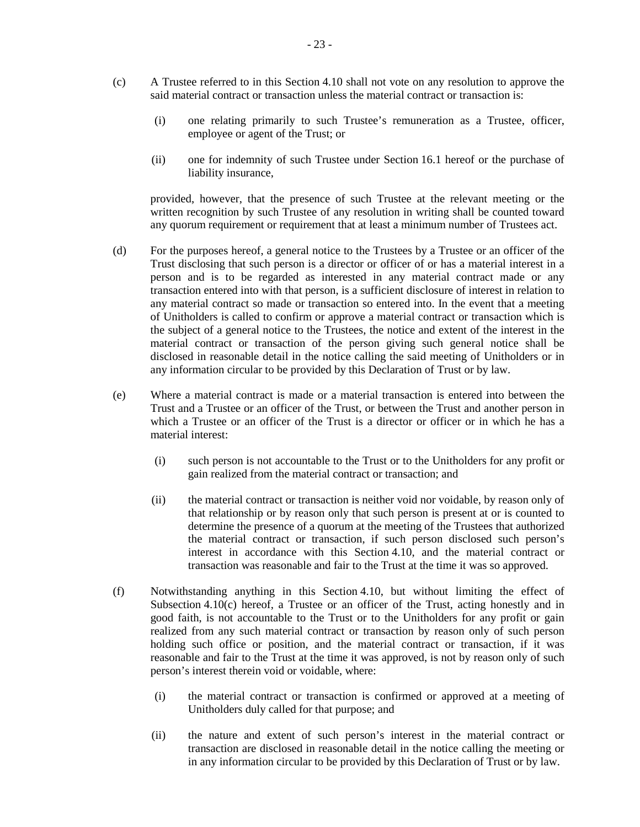- <span id="page-27-0"></span>(c) A Trustee referred to in this Section [4.10](#page-25-1) shall not vote on any resolution to approve the said material contract or transaction unless the material contract or transaction is:
	- (i) one relating primarily to such Trustee's remuneration as a Trustee, officer, employee or agent of the Trust; or
	- (ii) one for indemnity of such Trustee under Section [16.1](#page-65-5) hereof or the purchase of liability insurance,

provided, however, that the presence of such Trustee at the relevant meeting or the written recognition by such Trustee of any resolution in writing shall be counted toward any quorum requirement or requirement that at least a minimum number of Trustees act.

- (d) For the purposes hereof, a general notice to the Trustees by a Trustee or an officer of the Trust disclosing that such person is a director or officer of or has a material interest in a person and is to be regarded as interested in any material contract made or any transaction entered into with that person, is a sufficient disclosure of interest in relation to any material contract so made or transaction so entered into. In the event that a meeting of Unitholders is called to confirm or approve a material contract or transaction which is the subject of a general notice to the Trustees, the notice and extent of the interest in the material contract or transaction of the person giving such general notice shall be disclosed in reasonable detail in the notice calling the said meeting of Unitholders or in any information circular to be provided by this Declaration of Trust or by law.
- <span id="page-27-1"></span>(e) Where a material contract is made or a material transaction is entered into between the Trust and a Trustee or an officer of the Trust, or between the Trust and another person in which a Trustee or an officer of the Trust is a director or officer or in which he has a material interest:
	- (i) such person is not accountable to the Trust or to the Unitholders for any profit or gain realized from the material contract or transaction; and
	- (ii) the material contract or transaction is neither void nor voidable, by reason only of that relationship or by reason only that such person is present at or is counted to determine the presence of a quorum at the meeting of the Trustees that authorized the material contract or transaction, if such person disclosed such person's interest in accordance with this Section [4.10,](#page-25-1) and the material contract or transaction was reasonable and fair to the Trust at the time it was so approved.
- <span id="page-27-2"></span>(f) Notwithstanding anything in this Section [4.10,](#page-25-1) but without limiting the effect of Subsection  $4.10(c)$  hereof, a Trustee or an officer of the Trust, acting honestly and in good faith, is not accountable to the Trust or to the Unitholders for any profit or gain realized from any such material contract or transaction by reason only of such person holding such office or position, and the material contract or transaction, if it was reasonable and fair to the Trust at the time it was approved, is not by reason only of such person's interest therein void or voidable, where:
	- (i) the material contract or transaction is confirmed or approved at a meeting of Unitholders duly called for that purpose; and
	- (ii) the nature and extent of such person's interest in the material contract or transaction are disclosed in reasonable detail in the notice calling the meeting or in any information circular to be provided by this Declaration of Trust or by law.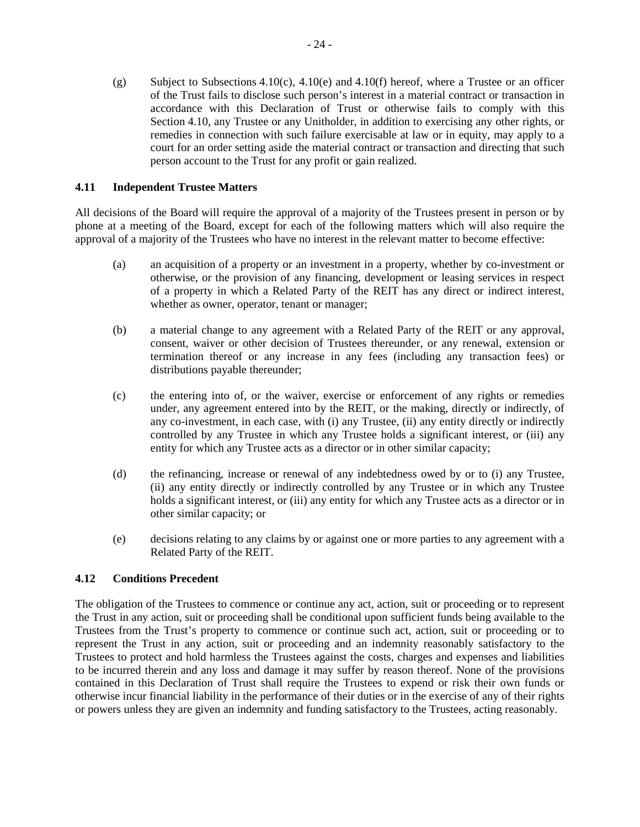(g) Subject to Subsections  $4.10(c)$ ,  $4.10(e)$  and  $4.10(f)$  hereof, where a Trustee or an officer of the Trust fails to disclose such person's interest in a material contract or transaction in accordance with this Declaration of Trust or otherwise fails to comply with this Section [4.10,](#page-25-1) any Trustee or any Unitholder, in addition to exercising any other rights, or remedies in connection with such failure exercisable at law or in equity, may apply to a court for an order setting aside the material contract or transaction and directing that such person account to the Trust for any profit or gain realized.

## <span id="page-28-0"></span>**4.11 Independent Trustee Matters**

All decisions of the Board will require the approval of a majority of the Trustees present in person or by phone at a meeting of the Board, except for each of the following matters which will also require the approval of a majority of the Trustees who have no interest in the relevant matter to become effective:

- (a) an acquisition of a property or an investment in a property, whether by co-investment or otherwise, or the provision of any financing, development or leasing services in respect of a property in which a Related Party of the REIT has any direct or indirect interest, whether as owner, operator, tenant or manager;
- (b) a material change to any agreement with a Related Party of the REIT or any approval, consent, waiver or other decision of Trustees thereunder, or any renewal, extension or termination thereof or any increase in any fees (including any transaction fees) or distributions payable thereunder;
- (c) the entering into of, or the waiver, exercise or enforcement of any rights or remedies under, any agreement entered into by the REIT, or the making, directly or indirectly, of any co-investment, in each case, with (i) any Trustee, (ii) any entity directly or indirectly controlled by any Trustee in which any Trustee holds a significant interest, or (iii) any entity for which any Trustee acts as a director or in other similar capacity;
- (d) the refinancing, increase or renewal of any indebtedness owed by or to (i) any Trustee, (ii) any entity directly or indirectly controlled by any Trustee or in which any Trustee holds a significant interest, or (iii) any entity for which any Trustee acts as a director or in other similar capacity; or
- (e) decisions relating to any claims by or against one or more parties to any agreement with a Related Party of the REIT.

## <span id="page-28-1"></span>**4.12 Conditions Precedent**

The obligation of the Trustees to commence or continue any act, action, suit or proceeding or to represent the Trust in any action, suit or proceeding shall be conditional upon sufficient funds being available to the Trustees from the Trust's property to commence or continue such act, action, suit or proceeding or to represent the Trust in any action, suit or proceeding and an indemnity reasonably satisfactory to the Trustees to protect and hold harmless the Trustees against the costs, charges and expenses and liabilities to be incurred therein and any loss and damage it may suffer by reason thereof. None of the provisions contained in this Declaration of Trust shall require the Trustees to expend or risk their own funds or otherwise incur financial liability in the performance of their duties or in the exercise of any of their rights or powers unless they are given an indemnity and funding satisfactory to the Trustees, acting reasonably.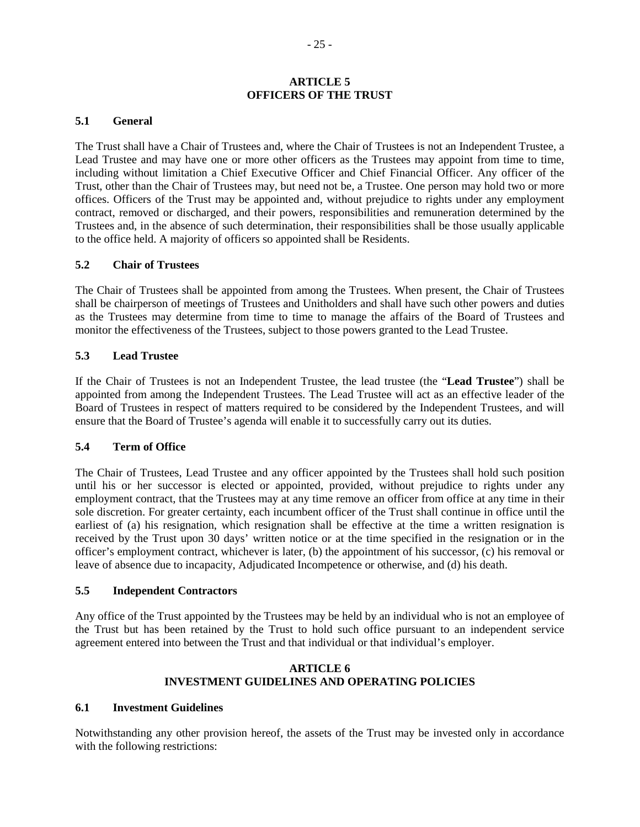#### **ARTICLE 5 OFFICERS OF THE TRUST**

## <span id="page-29-1"></span><span id="page-29-0"></span>**5.1 General**

The Trust shall have a Chair of Trustees and, where the Chair of Trustees is not an Independent Trustee, a Lead Trustee and may have one or more other officers as the Trustees may appoint from time to time, including without limitation a Chief Executive Officer and Chief Financial Officer. Any officer of the Trust, other than the Chair of Trustees may, but need not be, a Trustee. One person may hold two or more offices. Officers of the Trust may be appointed and, without prejudice to rights under any employment contract, removed or discharged, and their powers, responsibilities and remuneration determined by the Trustees and, in the absence of such determination, their responsibilities shall be those usually applicable to the office held. A majority of officers so appointed shall be Residents.

## <span id="page-29-2"></span>**5.2 Chair of Trustees**

The Chair of Trustees shall be appointed from among the Trustees. When present, the Chair of Trustees shall be chairperson of meetings of Trustees and Unitholders and shall have such other powers and duties as the Trustees may determine from time to time to manage the affairs of the Board of Trustees and monitor the effectiveness of the Trustees, subject to those powers granted to the Lead Trustee.

#### <span id="page-29-3"></span>**5.3 Lead Trustee**

If the Chair of Trustees is not an Independent Trustee, the lead trustee (the "**Lead Trustee**") shall be appointed from among the Independent Trustees. The Lead Trustee will act as an effective leader of the Board of Trustees in respect of matters required to be considered by the Independent Trustees, and will ensure that the Board of Trustee's agenda will enable it to successfully carry out its duties.

#### <span id="page-29-4"></span>**5.4 Term of Office**

The Chair of Trustees, Lead Trustee and any officer appointed by the Trustees shall hold such position until his or her successor is elected or appointed, provided, without prejudice to rights under any employment contract, that the Trustees may at any time remove an officer from office at any time in their sole discretion. For greater certainty, each incumbent officer of the Trust shall continue in office until the earliest of (a) his resignation, which resignation shall be effective at the time a written resignation is received by the Trust upon 30 days' written notice or at the time specified in the resignation or in the officer's employment contract, whichever is later, (b) the appointment of his successor, (c) his removal or leave of absence due to incapacity, Adjudicated Incompetence or otherwise, and (d) his death.

#### <span id="page-29-5"></span>**5.5 Independent Contractors**

Any office of the Trust appointed by the Trustees may be held by an individual who is not an employee of the Trust but has been retained by the Trust to hold such office pursuant to an independent service agreement entered into between the Trust and that individual or that individual's employer.

#### **ARTICLE 6 INVESTMENT GUIDELINES AND OPERATING POLICIES**

#### <span id="page-29-7"></span><span id="page-29-6"></span>**6.1 Investment Guidelines**

Notwithstanding any other provision hereof, the assets of the Trust may be invested only in accordance with the following restrictions: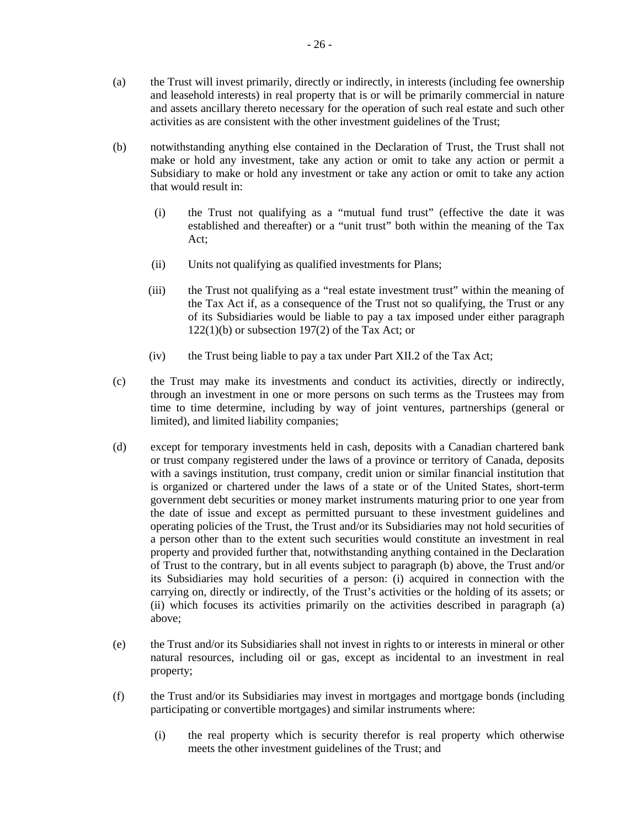- (a) the Trust will invest primarily, directly or indirectly, in interests (including fee ownership and leasehold interests) in real property that is or will be primarily commercial in nature and assets ancillary thereto necessary for the operation of such real estate and such other activities as are consistent with the other investment guidelines of the Trust;
- <span id="page-30-0"></span>(b) notwithstanding anything else contained in the Declaration of Trust, the Trust shall not make or hold any investment, take any action or omit to take any action or permit a Subsidiary to make or hold any investment or take any action or omit to take any action that would result in:
	- (i) the Trust not qualifying as a "mutual fund trust" (effective the date it was established and thereafter) or a "unit trust" both within the meaning of the Tax Act;
	- (ii) Units not qualifying as qualified investments for Plans;
	- (iii) the Trust not qualifying as a "real estate investment trust" within the meaning of the Tax Act if, as a consequence of the Trust not so qualifying, the Trust or any of its Subsidiaries would be liable to pay a tax imposed under either paragraph  $122(1)(b)$  or subsection 197(2) of the Tax Act; or
	- (iv) the Trust being liable to pay a tax under Part XII.2 of the Tax Act;
- (c) the Trust may make its investments and conduct its activities, directly or indirectly, through an investment in one or more persons on such terms as the Trustees may from time to time determine, including by way of joint ventures, partnerships (general or limited), and limited liability companies;
- (d) except for temporary investments held in cash, deposits with a Canadian chartered bank or trust company registered under the laws of a province or territory of Canada, deposits with a savings institution, trust company, credit union or similar financial institution that is organized or chartered under the laws of a state or of the United States, short-term government debt securities or money market instruments maturing prior to one year from the date of issue and except as permitted pursuant to these investment guidelines and operating policies of the Trust, the Trust and/or its Subsidiaries may not hold securities of a person other than to the extent such securities would constitute an investment in real property and provided further that, notwithstanding anything contained in the Declaration of Trust to the contrary, but in all events subject to paragraph (b) above, the Trust and/or its Subsidiaries may hold securities of a person: (i) acquired in connection with the carrying on, directly or indirectly, of the Trust's activities or the holding of its assets; or (ii) which focuses its activities primarily on the activities described in paragraph (a) above;
- (e) the Trust and/or its Subsidiaries shall not invest in rights to or interests in mineral or other natural resources, including oil or gas, except as incidental to an investment in real property;
- (f) the Trust and/or its Subsidiaries may invest in mortgages and mortgage bonds (including participating or convertible mortgages) and similar instruments where:
	- (i) the real property which is security therefor is real property which otherwise meets the other investment guidelines of the Trust; and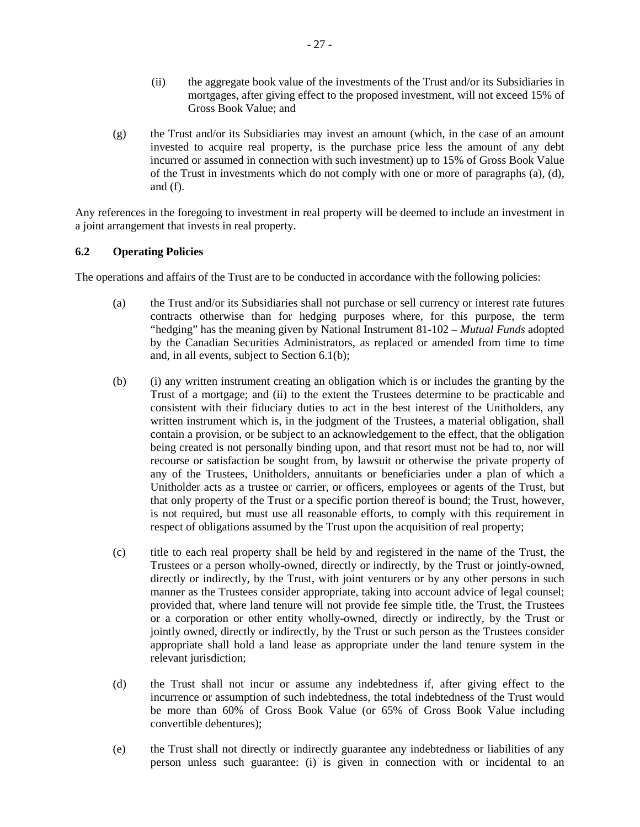- (ii) the aggregate book value of the investments of the Trust and/or its Subsidiaries in mortgages, after giving effect to the proposed investment, will not exceed 15% of Gross Book Value; and
- (g) the Trust and/or its Subsidiaries may invest an amount (which, in the case of an amount invested to acquire real property, is the purchase price less the amount of any debt incurred or assumed in connection with such investment) up to 15% of Gross Book Value of the Trust in investments which do not comply with one or more of paragraphs (a), (d), and (f).

Any references in the foregoing to investment in real property will be deemed to include an investment in a joint arrangement that invests in real property.

#### <span id="page-31-0"></span>**6.2 Operating Policies**

<span id="page-31-1"></span>The operations and affairs of the Trust are to be conducted in accordance with the following policies:

- (a) the Trust and/or its Subsidiaries shall not purchase or sell currency or interest rate futures contracts otherwise than for hedging purposes where, for this purpose, the term "hedging" has the meaning given by National Instrument 81-102 – *Mutual Funds* adopted by the Canadian Securities Administrators, as replaced or amended from time to time and, in all events, subject to Section [6.1\(b\);](#page-30-0)
- <span id="page-31-2"></span>(b) (i) any written instrument creating an obligation which is or includes the granting by the Trust of a mortgage; and (ii) to the extent the Trustees determine to be practicable and consistent with their fiduciary duties to act in the best interest of the Unitholders, any written instrument which is, in the judgment of the Trustees, a material obligation, shall contain a provision, or be subject to an acknowledgement to the effect, that the obligation being created is not personally binding upon, and that resort must not be had to, nor will recourse or satisfaction be sought from, by lawsuit or otherwise the private property of any of the Trustees, Unitholders, annuitants or beneficiaries under a plan of which a Unitholder acts as a trustee or carrier, or officers, employees or agents of the Trust, but that only property of the Trust or a specific portion thereof is bound; the Trust, however, is not required, but must use all reasonable efforts, to comply with this requirement in respect of obligations assumed by the Trust upon the acquisition of real property;
- (c) title to each real property shall be held by and registered in the name of the Trust, the Trustees or a person wholly-owned, directly or indirectly, by the Trust or jointly-owned, directly or indirectly, by the Trust, with joint venturers or by any other persons in such manner as the Trustees consider appropriate, taking into account advice of legal counsel; provided that, where land tenure will not provide fee simple title, the Trust, the Trustees or a corporation or other entity wholly-owned, directly or indirectly, by the Trust or jointly owned, directly or indirectly, by the Trust or such person as the Trustees consider appropriate shall hold a land lease as appropriate under the land tenure system in the relevant jurisdiction;
- (d) the Trust shall not incur or assume any indebtedness if, after giving effect to the incurrence or assumption of such indebtedness, the total indebtedness of the Trust would be more than 60% of Gross Book Value (or 65% of Gross Book Value including convertible debentures);
- <span id="page-31-3"></span>(e) the Trust shall not directly or indirectly guarantee any indebtedness or liabilities of any person unless such guarantee: (i) is given in connection with or incidental to an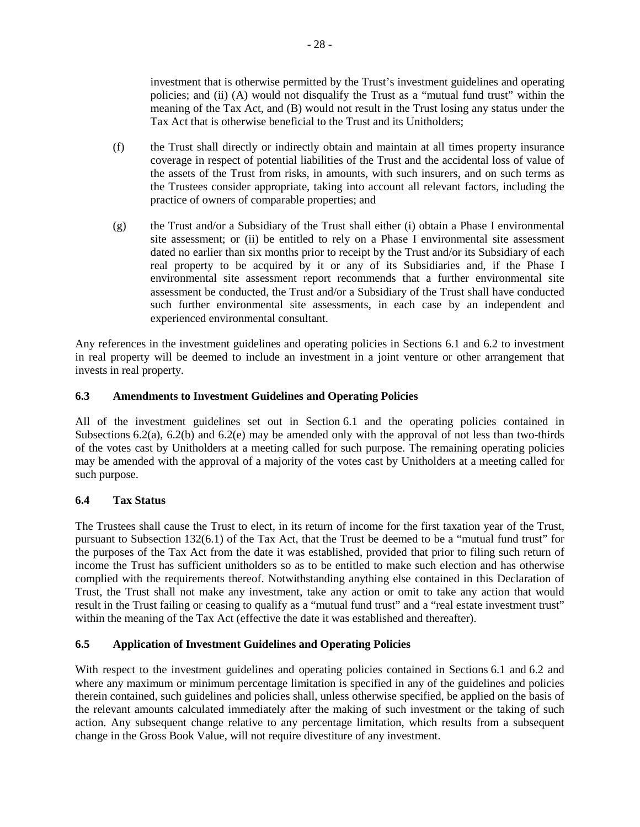investment that is otherwise permitted by the Trust's investment guidelines and operating policies; and (ii) (A) would not disqualify the Trust as a "mutual fund trust" within the meaning of the Tax Act, and (B) would not result in the Trust losing any status under the Tax Act that is otherwise beneficial to the Trust and its Unitholders;

- (f) the Trust shall directly or indirectly obtain and maintain at all times property insurance coverage in respect of potential liabilities of the Trust and the accidental loss of value of the assets of the Trust from risks, in amounts, with such insurers, and on such terms as the Trustees consider appropriate, taking into account all relevant factors, including the practice of owners of comparable properties; and
- $(g)$  the Trust and/or a Subsidiary of the Trust shall either (i) obtain a Phase I environmental site assessment; or (ii) be entitled to rely on a Phase I environmental site assessment dated no earlier than six months prior to receipt by the Trust and/or its Subsidiary of each real property to be acquired by it or any of its Subsidiaries and, if the Phase I environmental site assessment report recommends that a further environmental site assessment be conducted, the Trust and/or a Subsidiary of the Trust shall have conducted such further environmental site assessments, in each case by an independent and experienced environmental consultant.

Any references in the investment guidelines and operating policies in Sections 6.1 and 6.2 to investment in real property will be deemed to include an investment in a joint venture or other arrangement that invests in real property.

# <span id="page-32-0"></span>**6.3 Amendments to Investment Guidelines and Operating Policies**

All of the investment guidelines set out in Section [6.1](#page-29-7) and the operating policies contained in Subsections [6.2\(a\),](#page-31-1) [6.2\(b\)](#page-31-2) and [6.2\(e\)](#page-31-3) may be amended only with the approval of not less than two-thirds of the votes cast by Unitholders at a meeting called for such purpose. The remaining operating policies may be amended with the approval of a majority of the votes cast by Unitholders at a meeting called for such purpose.

# <span id="page-32-1"></span>**6.4 Tax Status**

The Trustees shall cause the Trust to elect, in its return of income for the first taxation year of the Trust, pursuant to Subsection 132(6.1) of the Tax Act, that the Trust be deemed to be a "mutual fund trust" for the purposes of the Tax Act from the date it was established, provided that prior to filing such return of income the Trust has sufficient unitholders so as to be entitled to make such election and has otherwise complied with the requirements thereof. Notwithstanding anything else contained in this Declaration of Trust, the Trust shall not make any investment, take any action or omit to take any action that would result in the Trust failing or ceasing to qualify as a "mutual fund trust" and a "real estate investment trust" within the meaning of the Tax Act (effective the date it was established and thereafter).

# <span id="page-32-2"></span>**6.5 Application of Investment Guidelines and Operating Policies**

With respect to the investment guidelines and operating policies contained in Sections [6.1](#page-29-7) and [6.2](#page-31-0) and where any maximum or minimum percentage limitation is specified in any of the guidelines and policies therein contained, such guidelines and policies shall, unless otherwise specified, be applied on the basis of the relevant amounts calculated immediately after the making of such investment or the taking of such action. Any subsequent change relative to any percentage limitation, which results from a subsequent change in the Gross Book Value, will not require divestiture of any investment.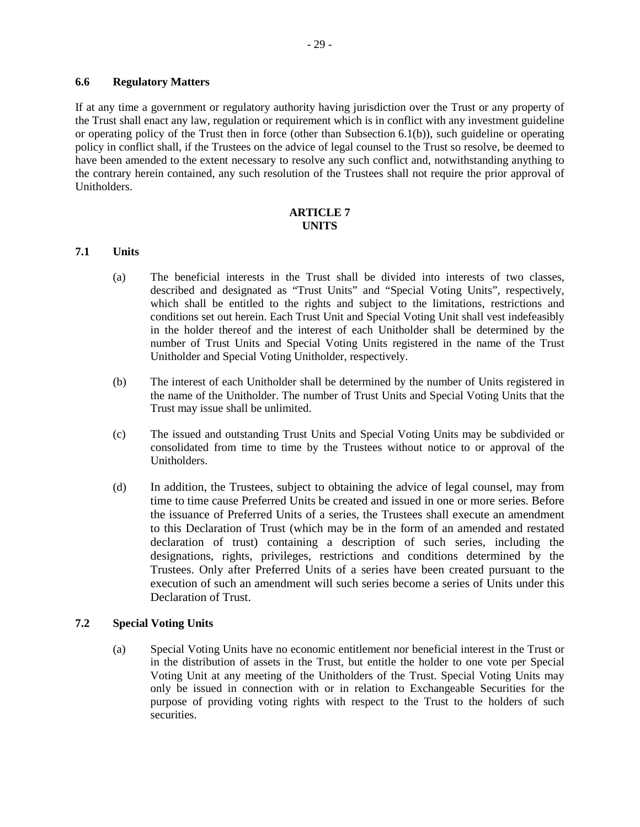#### <span id="page-33-0"></span>**6.6 Regulatory Matters**

If at any time a government or regulatory authority having jurisdiction over the Trust or any property of the Trust shall enact any law, regulation or requirement which is in conflict with any investment guideline or operating policy of the Trust then in force (other than Subsection 6.1(b)), such guideline or operating policy in conflict shall, if the Trustees on the advice of legal counsel to the Trust so resolve, be deemed to have been amended to the extent necessary to resolve any such conflict and, notwithstanding anything to the contrary herein contained, any such resolution of the Trustees shall not require the prior approval of Unitholders.

#### **ARTICLE 7 UNITS**

#### <span id="page-33-2"></span><span id="page-33-1"></span>**7.1 Units**

- (a) The beneficial interests in the Trust shall be divided into interests of two classes, described and designated as "Trust Units" and "Special Voting Units", respectively, which shall be entitled to the rights and subject to the limitations, restrictions and conditions set out herein. Each Trust Unit and Special Voting Unit shall vest indefeasibly in the holder thereof and the interest of each Unitholder shall be determined by the number of Trust Units and Special Voting Units registered in the name of the Trust Unitholder and Special Voting Unitholder, respectively.
- (b) The interest of each Unitholder shall be determined by the number of Units registered in the name of the Unitholder. The number of Trust Units and Special Voting Units that the Trust may issue shall be unlimited.
- (c) The issued and outstanding Trust Units and Special Voting Units may be subdivided or consolidated from time to time by the Trustees without notice to or approval of the Unitholders.
- (d) In addition, the Trustees, subject to obtaining the advice of legal counsel, may from time to time cause Preferred Units be created and issued in one or more series. Before the issuance of Preferred Units of a series, the Trustees shall execute an amendment to this Declaration of Trust (which may be in the form of an amended and restated declaration of trust) containing a description of such series, including the designations, rights, privileges, restrictions and conditions determined by the Trustees. Only after Preferred Units of a series have been created pursuant to the execution of such an amendment will such series become a series of Units under this Declaration of Trust.

## <span id="page-33-3"></span>**7.2 Special Voting Units**

(a) Special Voting Units have no economic entitlement nor beneficial interest in the Trust or in the distribution of assets in the Trust, but entitle the holder to one vote per Special Voting Unit at any meeting of the Unitholders of the Trust. Special Voting Units may only be issued in connection with or in relation to Exchangeable Securities for the purpose of providing voting rights with respect to the Trust to the holders of such securities.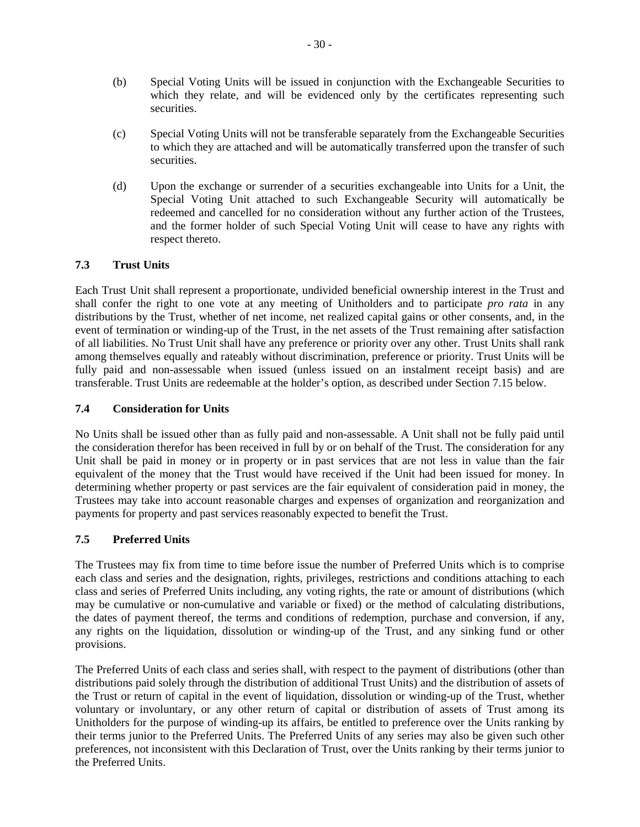- (b) Special Voting Units will be issued in conjunction with the Exchangeable Securities to which they relate, and will be evidenced only by the certificates representing such securities.
- (c) Special Voting Units will not be transferable separately from the Exchangeable Securities to which they are attached and will be automatically transferred upon the transfer of such securities.
- (d) Upon the exchange or surrender of a securities exchangeable into Units for a Unit, the Special Voting Unit attached to such Exchangeable Security will automatically be redeemed and cancelled for no consideration without any further action of the Trustees, and the former holder of such Special Voting Unit will cease to have any rights with respect thereto.

## <span id="page-34-0"></span>**7.3 Trust Units**

Each Trust Unit shall represent a proportionate, undivided beneficial ownership interest in the Trust and shall confer the right to one vote at any meeting of Unitholders and to participate *pro rata* in any distributions by the Trust, whether of net income, net realized capital gains or other consents, and, in the event of termination or winding-up of the Trust, in the net assets of the Trust remaining after satisfaction of all liabilities. No Trust Unit shall have any preference or priority over any other. Trust Units shall rank among themselves equally and rateably without discrimination, preference or priority. Trust Units will be fully paid and non-assessable when issued (unless issued on an instalment receipt basis) and are transferable. Trust Units are redeemable at the holder's option, as described under Section [7.15](#page-39-0) below.

## <span id="page-34-1"></span>**7.4 Consideration for Units**

No Units shall be issued other than as fully paid and non-assessable. A Unit shall not be fully paid until the consideration therefor has been received in full by or on behalf of the Trust. The consideration for any Unit shall be paid in money or in property or in past services that are not less in value than the fair equivalent of the money that the Trust would have received if the Unit had been issued for money. In determining whether property or past services are the fair equivalent of consideration paid in money, the Trustees may take into account reasonable charges and expenses of organization and reorganization and payments for property and past services reasonably expected to benefit the Trust.

# <span id="page-34-2"></span>**7.5 Preferred Units**

The Trustees may fix from time to time before issue the number of Preferred Units which is to comprise each class and series and the designation, rights, privileges, restrictions and conditions attaching to each class and series of Preferred Units including, any voting rights, the rate or amount of distributions (which may be cumulative or non-cumulative and variable or fixed) or the method of calculating distributions, the dates of payment thereof, the terms and conditions of redemption, purchase and conversion, if any, any rights on the liquidation, dissolution or winding-up of the Trust, and any sinking fund or other provisions.

The Preferred Units of each class and series shall, with respect to the payment of distributions (other than distributions paid solely through the distribution of additional Trust Units) and the distribution of assets of the Trust or return of capital in the event of liquidation, dissolution or winding-up of the Trust, whether voluntary or involuntary, or any other return of capital or distribution of assets of Trust among its Unitholders for the purpose of winding-up its affairs, be entitled to preference over the Units ranking by their terms junior to the Preferred Units. The Preferred Units of any series may also be given such other preferences, not inconsistent with this Declaration of Trust, over the Units ranking by their terms junior to the Preferred Units.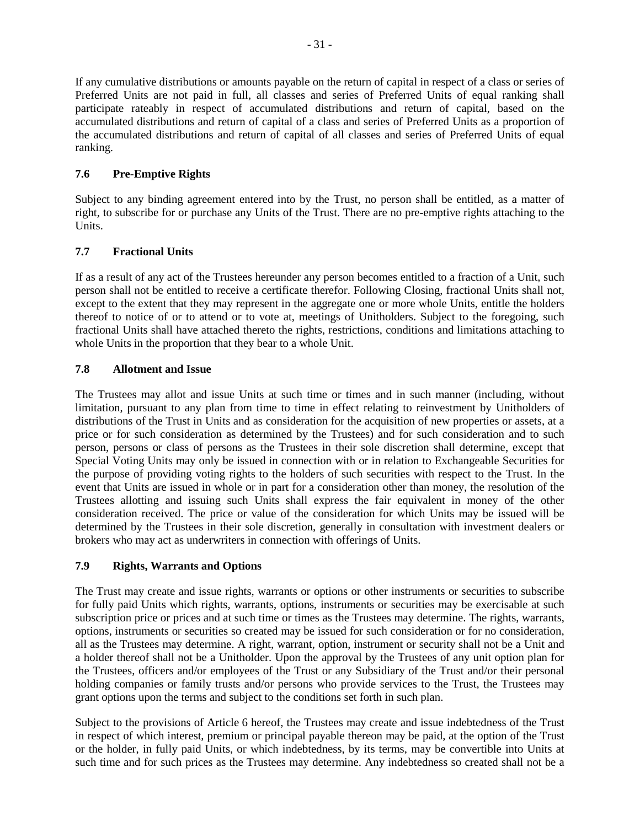If any cumulative distributions or amounts payable on the return of capital in respect of a class or series of Preferred Units are not paid in full, all classes and series of Preferred Units of equal ranking shall participate rateably in respect of accumulated distributions and return of capital, based on the accumulated distributions and return of capital of a class and series of Preferred Units as a proportion of the accumulated distributions and return of capital of all classes and series of Preferred Units of equal ranking.

# <span id="page-35-0"></span>**7.6 Pre-Emptive Rights**

Subject to any binding agreement entered into by the Trust, no person shall be entitled, as a matter of right, to subscribe for or purchase any Units of the Trust. There are no pre-emptive rights attaching to the Units.

## <span id="page-35-1"></span>**7.7 Fractional Units**

If as a result of any act of the Trustees hereunder any person becomes entitled to a fraction of a Unit, such person shall not be entitled to receive a certificate therefor. Following Closing, fractional Units shall not, except to the extent that they may represent in the aggregate one or more whole Units, entitle the holders thereof to notice of or to attend or to vote at, meetings of Unitholders. Subject to the foregoing, such fractional Units shall have attached thereto the rights, restrictions, conditions and limitations attaching to whole Units in the proportion that they bear to a whole Unit.

## <span id="page-35-2"></span>**7.8 Allotment and Issue**

The Trustees may allot and issue Units at such time or times and in such manner (including, without limitation, pursuant to any plan from time to time in effect relating to reinvestment by Unitholders of distributions of the Trust in Units and as consideration for the acquisition of new properties or assets, at a price or for such consideration as determined by the Trustees) and for such consideration and to such person, persons or class of persons as the Trustees in their sole discretion shall determine, except that Special Voting Units may only be issued in connection with or in relation to Exchangeable Securities for the purpose of providing voting rights to the holders of such securities with respect to the Trust. In the event that Units are issued in whole or in part for a consideration other than money, the resolution of the Trustees allotting and issuing such Units shall express the fair equivalent in money of the other consideration received. The price or value of the consideration for which Units may be issued will be determined by the Trustees in their sole discretion, generally in consultation with investment dealers or brokers who may act as underwriters in connection with offerings of Units.

# <span id="page-35-3"></span>**7.9 Rights, Warrants and Options**

The Trust may create and issue rights, warrants or options or other instruments or securities to subscribe for fully paid Units which rights, warrants, options, instruments or securities may be exercisable at such subscription price or prices and at such time or times as the Trustees may determine. The rights, warrants, options, instruments or securities so created may be issued for such consideration or for no consideration, all as the Trustees may determine. A right, warrant, option, instrument or security shall not be a Unit and a holder thereof shall not be a Unitholder. Upon the approval by the Trustees of any unit option plan for the Trustees, officers and/or employees of the Trust or any Subsidiary of the Trust and/or their personal holding companies or family trusts and/or persons who provide services to the Trust, the Trustees may grant options upon the terms and subject to the conditions set forth in such plan.

Subject to the provisions of [Article](#page-29-6) 6 hereof, the Trustees may create and issue indebtedness of the Trust in respect of which interest, premium or principal payable thereon may be paid, at the option of the Trust or the holder, in fully paid Units, or which indebtedness, by its terms, may be convertible into Units at such time and for such prices as the Trustees may determine. Any indebtedness so created shall not be a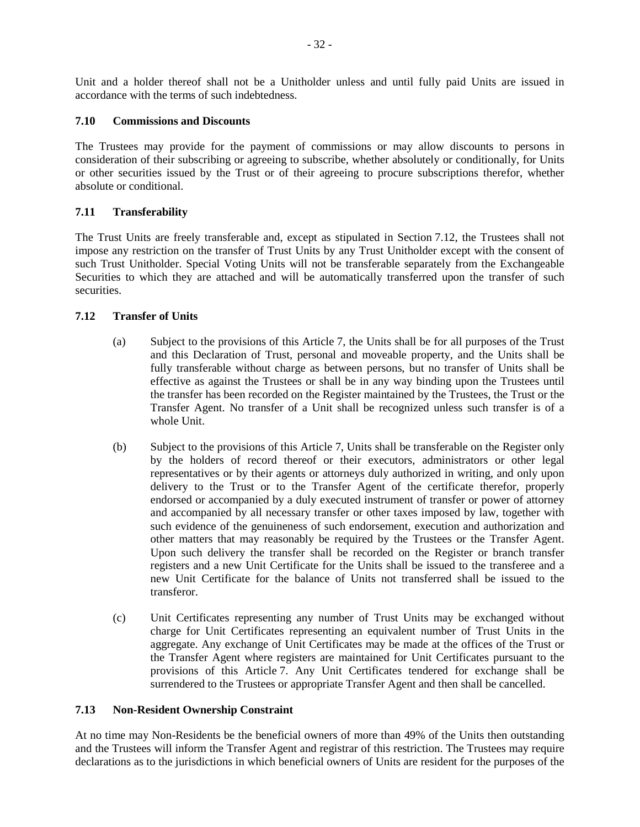Unit and a holder thereof shall not be a Unitholder unless and until fully paid Units are issued in accordance with the terms of such indebtedness.

## **7.10 Commissions and Discounts**

The Trustees may provide for the payment of commissions or may allow discounts to persons in consideration of their subscribing or agreeing to subscribe, whether absolutely or conditionally, for Units or other securities issued by the Trust or of their agreeing to procure subscriptions therefor, whether absolute or conditional.

## **7.11 Transferability**

The Trust Units are freely transferable and, except as stipulated in Section [7.12,](#page-36-0) the Trustees shall not impose any restriction on the transfer of Trust Units by any Trust Unitholder except with the consent of such Trust Unitholder. Special Voting Units will not be transferable separately from the Exchangeable Securities to which they are attached and will be automatically transferred upon the transfer of such securities.

## <span id="page-36-0"></span>**7.12 Transfer of Units**

- (a) Subject to the provisions of this [Article](#page-33-0) 7, the Units shall be for all purposes of the Trust and this Declaration of Trust, personal and moveable property, and the Units shall be fully transferable without charge as between persons, but no transfer of Units shall be effective as against the Trustees or shall be in any way binding upon the Trustees until the transfer has been recorded on the Register maintained by the Trustees, the Trust or the Transfer Agent. No transfer of a Unit shall be recognized unless such transfer is of a whole Unit.
- (b) Subject to the provisions of this [Article](#page-33-0) 7, Units shall be transferable on the Register only by the holders of record thereof or their executors, administrators or other legal representatives or by their agents or attorneys duly authorized in writing, and only upon delivery to the Trust or to the Transfer Agent of the certificate therefor, properly endorsed or accompanied by a duly executed instrument of transfer or power of attorney and accompanied by all necessary transfer or other taxes imposed by law, together with such evidence of the genuineness of such endorsement, execution and authorization and other matters that may reasonably be required by the Trustees or the Transfer Agent. Upon such delivery the transfer shall be recorded on the Register or branch transfer registers and a new Unit Certificate for the Units shall be issued to the transferee and a new Unit Certificate for the balance of Units not transferred shall be issued to the transferor.
- (c) Unit Certificates representing any number of Trust Units may be exchanged without charge for Unit Certificates representing an equivalent number of Trust Units in the aggregate. Any exchange of Unit Certificates may be made at the offices of the Trust or the Transfer Agent where registers are maintained for Unit Certificates pursuant to the provisions of this [Article](#page-33-0) 7. Any Unit Certificates tendered for exchange shall be surrendered to the Trustees or appropriate Transfer Agent and then shall be cancelled.

#### <span id="page-36-1"></span>**7.13 Non-Resident Ownership Constraint**

At no time may Non-Residents be the beneficial owners of more than 49% of the Units then outstanding and the Trustees will inform the Transfer Agent and registrar of this restriction. The Trustees may require declarations as to the jurisdictions in which beneficial owners of Units are resident for the purposes of the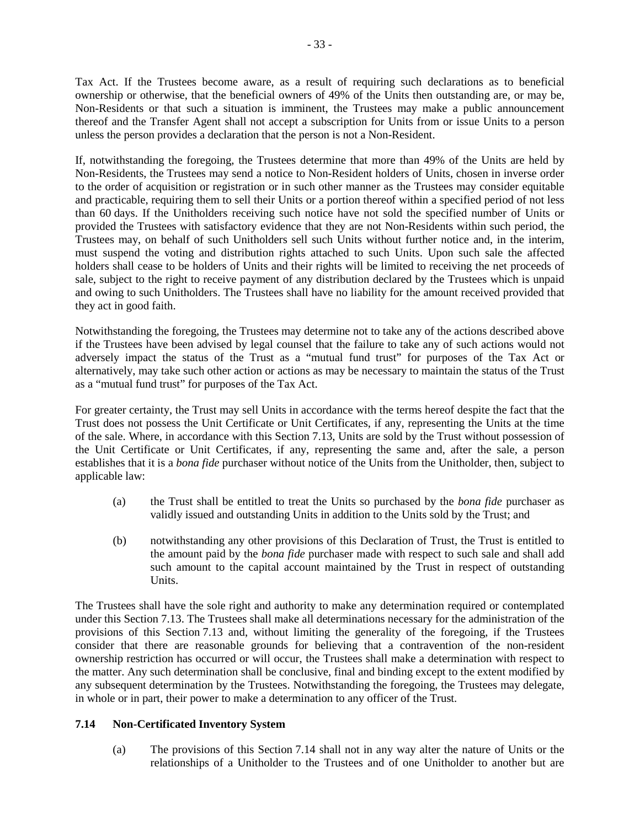Tax Act. If the Trustees become aware, as a result of requiring such declarations as to beneficial ownership or otherwise, that the beneficial owners of 49% of the Units then outstanding are, or may be, Non-Residents or that such a situation is imminent, the Trustees may make a public announcement thereof and the Transfer Agent shall not accept a subscription for Units from or issue Units to a person unless the person provides a declaration that the person is not a Non-Resident.

If, notwithstanding the foregoing, the Trustees determine that more than 49% of the Units are held by Non-Residents, the Trustees may send a notice to Non-Resident holders of Units, chosen in inverse order to the order of acquisition or registration or in such other manner as the Trustees may consider equitable and practicable, requiring them to sell their Units or a portion thereof within a specified period of not less than 60 days. If the Unitholders receiving such notice have not sold the specified number of Units or provided the Trustees with satisfactory evidence that they are not Non-Residents within such period, the Trustees may, on behalf of such Unitholders sell such Units without further notice and, in the interim, must suspend the voting and distribution rights attached to such Units. Upon such sale the affected holders shall cease to be holders of Units and their rights will be limited to receiving the net proceeds of sale, subject to the right to receive payment of any distribution declared by the Trustees which is unpaid and owing to such Unitholders. The Trustees shall have no liability for the amount received provided that they act in good faith.

Notwithstanding the foregoing, the Trustees may determine not to take any of the actions described above if the Trustees have been advised by legal counsel that the failure to take any of such actions would not adversely impact the status of the Trust as a "mutual fund trust" for purposes of the Tax Act or alternatively, may take such other action or actions as may be necessary to maintain the status of the Trust as a "mutual fund trust" for purposes of the Tax Act.

For greater certainty, the Trust may sell Units in accordance with the terms hereof despite the fact that the Trust does not possess the Unit Certificate or Unit Certificates, if any, representing the Units at the time of the sale. Where, in accordance with this Section [7.13,](#page-36-1) Units are sold by the Trust without possession of the Unit Certificate or Unit Certificates, if any, representing the same and, after the sale, a person establishes that it is a *bona fide* purchaser without notice of the Units from the Unitholder, then, subject to applicable law:

- (a) the Trust shall be entitled to treat the Units so purchased by the *bona fide* purchaser as validly issued and outstanding Units in addition to the Units sold by the Trust; and
- (b) notwithstanding any other provisions of this Declaration of Trust, the Trust is entitled to the amount paid by the *bona fide* purchaser made with respect to such sale and shall add such amount to the capital account maintained by the Trust in respect of outstanding Units.

The Trustees shall have the sole right and authority to make any determination required or contemplated under this Section [7.13.](#page-36-1) The Trustees shall make all determinations necessary for the administration of the provisions of this Section [7.13](#page-36-1) and, without limiting the generality of the foregoing, if the Trustees consider that there are reasonable grounds for believing that a contravention of the non-resident ownership restriction has occurred or will occur, the Trustees shall make a determination with respect to the matter. Any such determination shall be conclusive, final and binding except to the extent modified by any subsequent determination by the Trustees. Notwithstanding the foregoing, the Trustees may delegate, in whole or in part, their power to make a determination to any officer of the Trust.

# <span id="page-37-0"></span>**7.14 Non-Certificated Inventory System**

(a) The provisions of this Section [7.14](#page-37-0) shall not in any way alter the nature of Units or the relationships of a Unitholder to the Trustees and of one Unitholder to another but are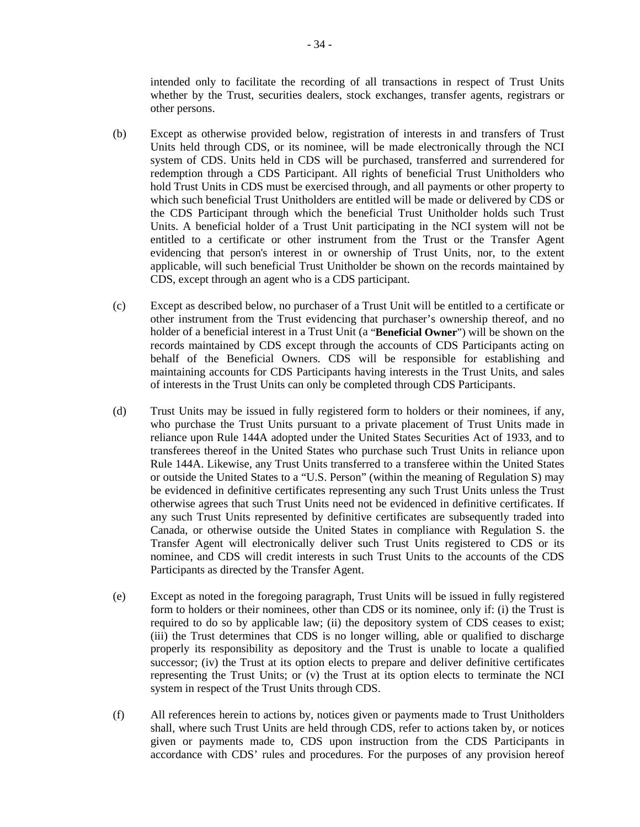intended only to facilitate the recording of all transactions in respect of Trust Units whether by the Trust, securities dealers, stock exchanges, transfer agents, registrars or other persons.

- (b) Except as otherwise provided below, registration of interests in and transfers of Trust Units held through CDS, or its nominee, will be made electronically through the NCI system of CDS. Units held in CDS will be purchased, transferred and surrendered for redemption through a CDS Participant. All rights of beneficial Trust Unitholders who hold Trust Units in CDS must be exercised through, and all payments or other property to which such beneficial Trust Unitholders are entitled will be made or delivered by CDS or the CDS Participant through which the beneficial Trust Unitholder holds such Trust Units. A beneficial holder of a Trust Unit participating in the NCI system will not be entitled to a certificate or other instrument from the Trust or the Transfer Agent evidencing that person's interest in or ownership of Trust Units, nor, to the extent applicable, will such beneficial Trust Unitholder be shown on the records maintained by CDS, except through an agent who is a CDS participant.
- (c) Except as described below, no purchaser of a Trust Unit will be entitled to a certificate or other instrument from the Trust evidencing that purchaser's ownership thereof, and no holder of a beneficial interest in a Trust Unit (a "**Beneficial Owner**") will be shown on the records maintained by CDS except through the accounts of CDS Participants acting on behalf of the Beneficial Owners. CDS will be responsible for establishing and maintaining accounts for CDS Participants having interests in the Trust Units, and sales of interests in the Trust Units can only be completed through CDS Participants.
- (d) Trust Units may be issued in fully registered form to holders or their nominees, if any, who purchase the Trust Units pursuant to a private placement of Trust Units made in reliance upon Rule 144A adopted under the United States Securities Act of 1933, and to transferees thereof in the United States who purchase such Trust Units in reliance upon Rule 144A. Likewise, any Trust Units transferred to a transferee within the United States or outside the United States to a "U.S. Person" (within the meaning of Regulation S) may be evidenced in definitive certificates representing any such Trust Units unless the Trust otherwise agrees that such Trust Units need not be evidenced in definitive certificates. If any such Trust Units represented by definitive certificates are subsequently traded into Canada, or otherwise outside the United States in compliance with Regulation S. the Transfer Agent will electronically deliver such Trust Units registered to CDS or its nominee, and CDS will credit interests in such Trust Units to the accounts of the CDS Participants as directed by the Transfer Agent.
- (e) Except as noted in the foregoing paragraph, Trust Units will be issued in fully registered form to holders or their nominees, other than CDS or its nominee, only if: (i) the Trust is required to do so by applicable law; (ii) the depository system of CDS ceases to exist; (iii) the Trust determines that CDS is no longer willing, able or qualified to discharge properly its responsibility as depository and the Trust is unable to locate a qualified successor; (iv) the Trust at its option elects to prepare and deliver definitive certificates representing the Trust Units; or (v) the Trust at its option elects to terminate the NCI system in respect of the Trust Units through CDS.
- (f) All references herein to actions by, notices given or payments made to Trust Unitholders shall, where such Trust Units are held through CDS, refer to actions taken by, or notices given or payments made to, CDS upon instruction from the CDS Participants in accordance with CDS' rules and procedures. For the purposes of any provision hereof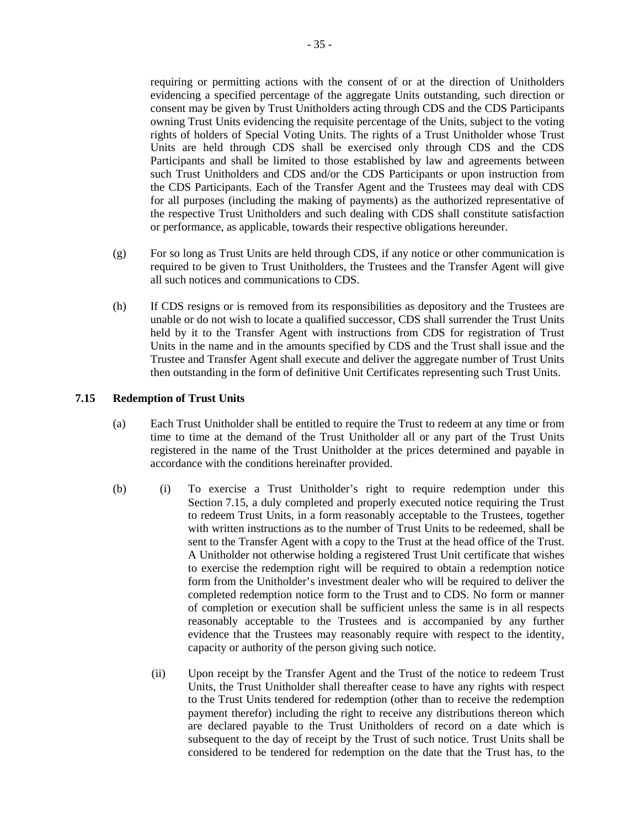requiring or permitting actions with the consent of or at the direction of Unitholders evidencing a specified percentage of the aggregate Units outstanding, such direction or consent may be given by Trust Unitholders acting through CDS and the CDS Participants owning Trust Units evidencing the requisite percentage of the Units, subject to the voting rights of holders of Special Voting Units. The rights of a Trust Unitholder whose Trust Units are held through CDS shall be exercised only through CDS and the CDS Participants and shall be limited to those established by law and agreements between such Trust Unitholders and CDS and/or the CDS Participants or upon instruction from the CDS Participants. Each of the Transfer Agent and the Trustees may deal with CDS for all purposes (including the making of payments) as the authorized representative of the respective Trust Unitholders and such dealing with CDS shall constitute satisfaction or performance, as applicable, towards their respective obligations hereunder.

- (g) For so long as Trust Units are held through CDS, if any notice or other communication is required to be given to Trust Unitholders, the Trustees and the Transfer Agent will give all such notices and communications to CDS.
- (h) If CDS resigns or is removed from its responsibilities as depository and the Trustees are unable or do not wish to locate a qualified successor, CDS shall surrender the Trust Units held by it to the Transfer Agent with instructions from CDS for registration of Trust Units in the name and in the amounts specified by CDS and the Trust shall issue and the Trustee and Transfer Agent shall execute and deliver the aggregate number of Trust Units then outstanding in the form of definitive Unit Certificates representing such Trust Units.

## <span id="page-39-0"></span>**7.15 Redemption of Trust Units**

- (a) Each Trust Unitholder shall be entitled to require the Trust to redeem at any time or from time to time at the demand of the Trust Unitholder all or any part of the Trust Units registered in the name of the Trust Unitholder at the prices determined and payable in accordance with the conditions hereinafter provided.
- (b) (i) To exercise a Trust Unitholder's right to require redemption under this Section [7.15,](#page-39-0) a duly completed and properly executed notice requiring the Trust to redeem Trust Units, in a form reasonably acceptable to the Trustees, together with written instructions as to the number of Trust Units to be redeemed, shall be sent to the Transfer Agent with a copy to the Trust at the head office of the Trust. A Unitholder not otherwise holding a registered Trust Unit certificate that wishes to exercise the redemption right will be required to obtain a redemption notice form from the Unitholder's investment dealer who will be required to deliver the completed redemption notice form to the Trust and to CDS. No form or manner of completion or execution shall be sufficient unless the same is in all respects reasonably acceptable to the Trustees and is accompanied by any further evidence that the Trustees may reasonably require with respect to the identity, capacity or authority of the person giving such notice.
	- (ii) Upon receipt by the Transfer Agent and the Trust of the notice to redeem Trust Units, the Trust Unitholder shall thereafter cease to have any rights with respect to the Trust Units tendered for redemption (other than to receive the redemption payment therefor) including the right to receive any distributions thereon which are declared payable to the Trust Unitholders of record on a date which is subsequent to the day of receipt by the Trust of such notice. Trust Units shall be considered to be tendered for redemption on the date that the Trust has, to the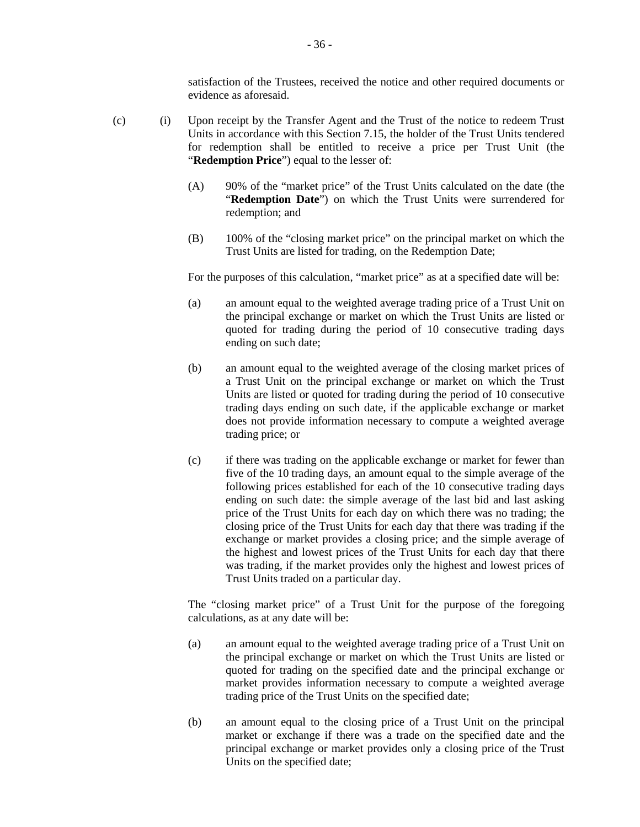satisfaction of the Trustees, received the notice and other required documents or evidence as aforesaid.

- <span id="page-40-0"></span>(c) (i) Upon receipt by the Transfer Agent and the Trust of the notice to redeem Trust Units in accordance with this Section [7.15,](#page-39-0) the holder of the Trust Units tendered for redemption shall be entitled to receive a price per Trust Unit (the "**Redemption Price**") equal to the lesser of:
	- (A) 90% of the "market price" of the Trust Units calculated on the date (the "**Redemption Date**") on which the Trust Units were surrendered for redemption; and
	- (B) 100% of the "closing market price" on the principal market on which the Trust Units are listed for trading, on the Redemption Date;

For the purposes of this calculation, "market price" as at a specified date will be:

- (a) an amount equal to the weighted average trading price of a Trust Unit on the principal exchange or market on which the Trust Units are listed or quoted for trading during the period of 10 consecutive trading days ending on such date;
- (b) an amount equal to the weighted average of the closing market prices of a Trust Unit on the principal exchange or market on which the Trust Units are listed or quoted for trading during the period of 10 consecutive trading days ending on such date, if the applicable exchange or market does not provide information necessary to compute a weighted average trading price; or
- (c) if there was trading on the applicable exchange or market for fewer than five of the 10 trading days, an amount equal to the simple average of the following prices established for each of the 10 consecutive trading days ending on such date: the simple average of the last bid and last asking price of the Trust Units for each day on which there was no trading; the closing price of the Trust Units for each day that there was trading if the exchange or market provides a closing price; and the simple average of the highest and lowest prices of the Trust Units for each day that there was trading, if the market provides only the highest and lowest prices of Trust Units traded on a particular day.

The "closing market price" of a Trust Unit for the purpose of the foregoing calculations, as at any date will be:

- (a) an amount equal to the weighted average trading price of a Trust Unit on the principal exchange or market on which the Trust Units are listed or quoted for trading on the specified date and the principal exchange or market provides information necessary to compute a weighted average trading price of the Trust Units on the specified date;
- (b) an amount equal to the closing price of a Trust Unit on the principal market or exchange if there was a trade on the specified date and the principal exchange or market provides only a closing price of the Trust Units on the specified date;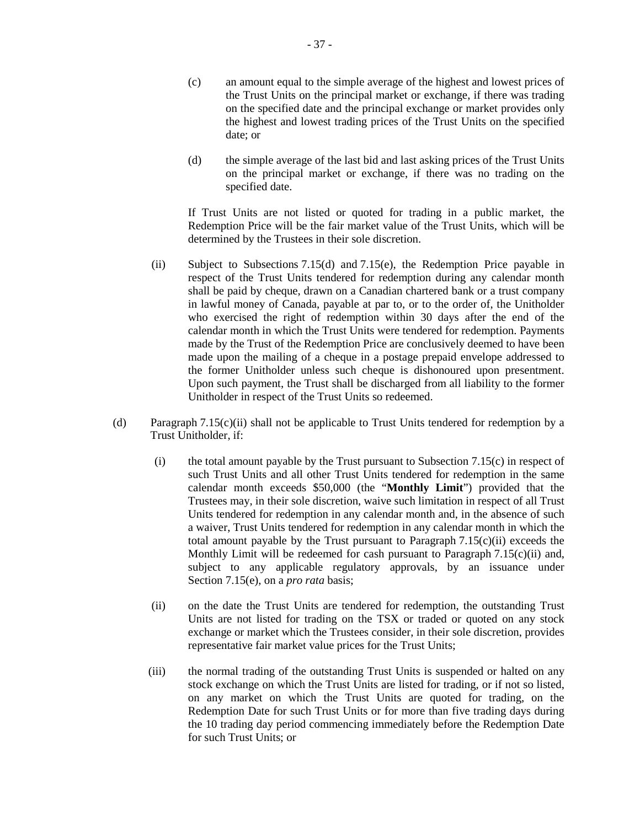- (c) an amount equal to the simple average of the highest and lowest prices of the Trust Units on the principal market or exchange, if there was trading on the specified date and the principal exchange or market provides only the highest and lowest trading prices of the Trust Units on the specified date; or
- (d) the simple average of the last bid and last asking prices of the Trust Units on the principal market or exchange, if there was no trading on the specified date.

If Trust Units are not listed or quoted for trading in a public market, the Redemption Price will be the fair market value of the Trust Units, which will be determined by the Trustees in their sole discretion.

- <span id="page-41-1"></span>(ii) Subject to Subsections [7.15\(d\)](#page-41-0) and [7.15\(e\),](#page-42-0) the Redemption Price payable in respect of the Trust Units tendered for redemption during any calendar month shall be paid by cheque, drawn on a Canadian chartered bank or a trust company in lawful money of Canada, payable at par to, or to the order of, the Unitholder who exercised the right of redemption within 30 days after the end of the calendar month in which the Trust Units were tendered for redemption. Payments made by the Trust of the Redemption Price are conclusively deemed to have been made upon the mailing of a cheque in a postage prepaid envelope addressed to the former Unitholder unless such cheque is dishonoured upon presentment. Upon such payment, the Trust shall be discharged from all liability to the former Unitholder in respect of the Trust Units so redeemed.
- <span id="page-41-0"></span>(d) Paragraph [7.15\(c\)\(ii\)](#page-41-1) shall not be applicable to Trust Units tendered for redemption by a Trust Unitholder, if:
	- (i) the total amount payable by the Trust pursuant to Subsection [7.15\(c\)](#page-40-0) in respect of such Trust Units and all other Trust Units tendered for redemption in the same calendar month exceeds \$50,000 (the "**Monthly Limit**") provided that the Trustees may, in their sole discretion, waive such limitation in respect of all Trust Units tendered for redemption in any calendar month and, in the absence of such a waiver, Trust Units tendered for redemption in any calendar month in which the total amount payable by the Trust pursuant to Paragraph  $7.15(c)(ii)$  exceeds the Monthly Limit will be redeemed for cash pursuant to Paragraph  $7.15(c)(ii)$  and, subject to any applicable regulatory approvals, by an issuance under Section [7.15\(e\),](#page-42-0) on a *pro rata* basis;
	- (ii) on the date the Trust Units are tendered for redemption, the outstanding Trust Units are not listed for trading on the TSX or traded or quoted on any stock exchange or market which the Trustees consider, in their sole discretion, provides representative fair market value prices for the Trust Units;
	- (iii) the normal trading of the outstanding Trust Units is suspended or halted on any stock exchange on which the Trust Units are listed for trading, or if not so listed, on any market on which the Trust Units are quoted for trading, on the Redemption Date for such Trust Units or for more than five trading days during the 10 trading day period commencing immediately before the Redemption Date for such Trust Units; or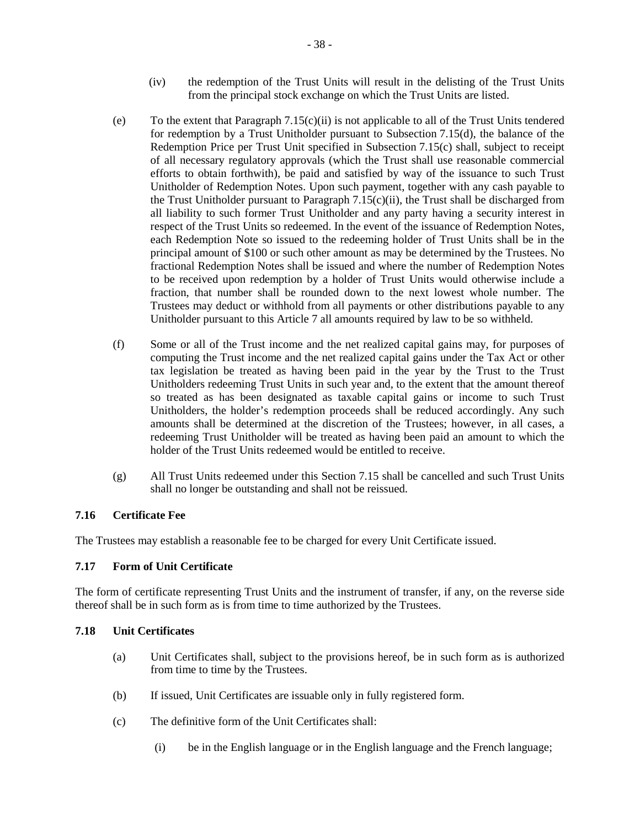- (iv) the redemption of the Trust Units will result in the delisting of the Trust Units from the principal stock exchange on which the Trust Units are listed.
- <span id="page-42-0"></span>(e) To the extent that Paragraph  $7.15(c)(ii)$  is not applicable to all of the Trust Units tendered for redemption by a Trust Unitholder pursuant to Subsection [7.15\(d\),](#page-41-0) the balance of the Redemption Price per Trust Unit specified in Subsection [7.15\(c\)](#page-40-0) shall, subject to receipt of all necessary regulatory approvals (which the Trust shall use reasonable commercial efforts to obtain forthwith), be paid and satisfied by way of the issuance to such Trust Unitholder of Redemption Notes. Upon such payment, together with any cash payable to the Trust Unitholder pursuant to Paragraph  $7.15(c)(ii)$ , the Trust shall be discharged from all liability to such former Trust Unitholder and any party having a security interest in respect of the Trust Units so redeemed. In the event of the issuance of Redemption Notes, each Redemption Note so issued to the redeeming holder of Trust Units shall be in the principal amount of \$100 or such other amount as may be determined by the Trustees. No fractional Redemption Notes shall be issued and where the number of Redemption Notes to be received upon redemption by a holder of Trust Units would otherwise include a fraction, that number shall be rounded down to the next lowest whole number. The Trustees may deduct or withhold from all payments or other distributions payable to any Unitholder pursuant to this [Article](#page-33-0) 7 all amounts required by law to be so withheld.
- (f) Some or all of the Trust income and the net realized capital gains may, for purposes of computing the Trust income and the net realized capital gains under the Tax Act or other tax legislation be treated as having been paid in the year by the Trust to the Trust Unitholders redeeming Trust Units in such year and, to the extent that the amount thereof so treated as has been designated as taxable capital gains or income to such Trust Unitholders, the holder's redemption proceeds shall be reduced accordingly. Any such amounts shall be determined at the discretion of the Trustees; however, in all cases, a redeeming Trust Unitholder will be treated as having been paid an amount to which the holder of the Trust Units redeemed would be entitled to receive.
- (g) All Trust Units redeemed under this Section [7.15](#page-39-0) shall be cancelled and such Trust Units shall no longer be outstanding and shall not be reissued.

## **7.16 Certificate Fee**

The Trustees may establish a reasonable fee to be charged for every Unit Certificate issued.

# **7.17 Form of Unit Certificate**

The form of certificate representing Trust Units and the instrument of transfer, if any, on the reverse side thereof shall be in such form as is from time to time authorized by the Trustees.

## **7.18 Unit Certificates**

- (a) Unit Certificates shall, subject to the provisions hereof, be in such form as is authorized from time to time by the Trustees.
- (b) If issued, Unit Certificates are issuable only in fully registered form.
- (c) The definitive form of the Unit Certificates shall:
	- (i) be in the English language or in the English language and the French language;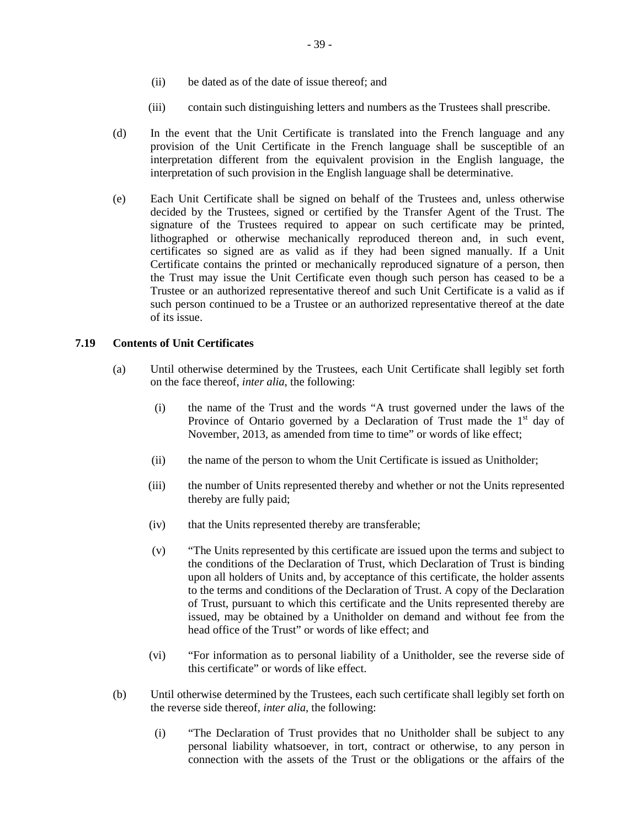- (ii) be dated as of the date of issue thereof; and
- (iii) contain such distinguishing letters and numbers as the Trustees shall prescribe.
- (d) In the event that the Unit Certificate is translated into the French language and any provision of the Unit Certificate in the French language shall be susceptible of an interpretation different from the equivalent provision in the English language, the interpretation of such provision in the English language shall be determinative.
- (e) Each Unit Certificate shall be signed on behalf of the Trustees and, unless otherwise decided by the Trustees, signed or certified by the Transfer Agent of the Trust. The signature of the Trustees required to appear on such certificate may be printed, lithographed or otherwise mechanically reproduced thereon and, in such event, certificates so signed are as valid as if they had been signed manually. If a Unit Certificate contains the printed or mechanically reproduced signature of a person, then the Trust may issue the Unit Certificate even though such person has ceased to be a Trustee or an authorized representative thereof and such Unit Certificate is a valid as if such person continued to be a Trustee or an authorized representative thereof at the date of its issue.

## **7.19 Contents of Unit Certificates**

- (a) Until otherwise determined by the Trustees, each Unit Certificate shall legibly set forth on the face thereof, *inter alia*, the following:
	- (i) the name of the Trust and the words "A trust governed under the laws of the Province of Ontario governed by a Declaration of Trust made the  $1<sup>st</sup>$  day of November, 2013, as amended from time to time" or words of like effect;
	- (ii) the name of the person to whom the Unit Certificate is issued as Unitholder;
	- (iii) the number of Units represented thereby and whether or not the Units represented thereby are fully paid;
	- (iv) that the Units represented thereby are transferable;
	- (v) "The Units represented by this certificate are issued upon the terms and subject to the conditions of the Declaration of Trust, which Declaration of Trust is binding upon all holders of Units and, by acceptance of this certificate, the holder assents to the terms and conditions of the Declaration of Trust. A copy of the Declaration of Trust, pursuant to which this certificate and the Units represented thereby are issued, may be obtained by a Unitholder on demand and without fee from the head office of the Trust" or words of like effect; and
	- (vi) "For information as to personal liability of a Unitholder, see the reverse side of this certificate" or words of like effect.
- (b) Until otherwise determined by the Trustees, each such certificate shall legibly set forth on the reverse side thereof, *inter alia*, the following:
	- (i) "The Declaration of Trust provides that no Unitholder shall be subject to any personal liability whatsoever, in tort, contract or otherwise, to any person in connection with the assets of the Trust or the obligations or the affairs of the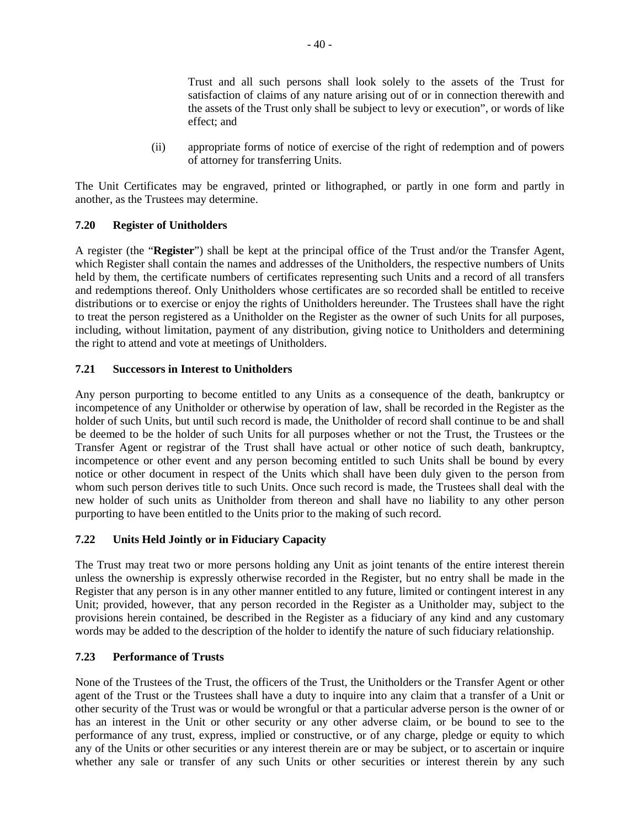Trust and all such persons shall look solely to the assets of the Trust for satisfaction of claims of any nature arising out of or in connection therewith and the assets of the Trust only shall be subject to levy or execution", or words of like effect; and

(ii) appropriate forms of notice of exercise of the right of redemption and of powers of attorney for transferring Units.

The Unit Certificates may be engraved, printed or lithographed, or partly in one form and partly in another, as the Trustees may determine.

# **7.20 Register of Unitholders**

A register (the "**Register**") shall be kept at the principal office of the Trust and/or the Transfer Agent, which Register shall contain the names and addresses of the Unitholders, the respective numbers of Units held by them, the certificate numbers of certificates representing such Units and a record of all transfers and redemptions thereof. Only Unitholders whose certificates are so recorded shall be entitled to receive distributions or to exercise or enjoy the rights of Unitholders hereunder. The Trustees shall have the right to treat the person registered as a Unitholder on the Register as the owner of such Units for all purposes, including, without limitation, payment of any distribution, giving notice to Unitholders and determining the right to attend and vote at meetings of Unitholders.

## **7.21 Successors in Interest to Unitholders**

Any person purporting to become entitled to any Units as a consequence of the death, bankruptcy or incompetence of any Unitholder or otherwise by operation of law, shall be recorded in the Register as the holder of such Units, but until such record is made, the Unitholder of record shall continue to be and shall be deemed to be the holder of such Units for all purposes whether or not the Trust, the Trustees or the Transfer Agent or registrar of the Trust shall have actual or other notice of such death, bankruptcy, incompetence or other event and any person becoming entitled to such Units shall be bound by every notice or other document in respect of the Units which shall have been duly given to the person from whom such person derives title to such Units. Once such record is made, the Trustees shall deal with the new holder of such units as Unitholder from thereon and shall have no liability to any other person purporting to have been entitled to the Units prior to the making of such record.

# <span id="page-44-0"></span>**7.22 Units Held Jointly or in Fiduciary Capacity**

The Trust may treat two or more persons holding any Unit as joint tenants of the entire interest therein unless the ownership is expressly otherwise recorded in the Register, but no entry shall be made in the Register that any person is in any other manner entitled to any future, limited or contingent interest in any Unit; provided, however, that any person recorded in the Register as a Unitholder may, subject to the provisions herein contained, be described in the Register as a fiduciary of any kind and any customary words may be added to the description of the holder to identify the nature of such fiduciary relationship.

## **7.23 Performance of Trusts**

None of the Trustees of the Trust, the officers of the Trust, the Unitholders or the Transfer Agent or other agent of the Trust or the Trustees shall have a duty to inquire into any claim that a transfer of a Unit or other security of the Trust was or would be wrongful or that a particular adverse person is the owner of or has an interest in the Unit or other security or any other adverse claim, or be bound to see to the performance of any trust, express, implied or constructive, or of any charge, pledge or equity to which any of the Units or other securities or any interest therein are or may be subject, or to ascertain or inquire whether any sale or transfer of any such Units or other securities or interest therein by any such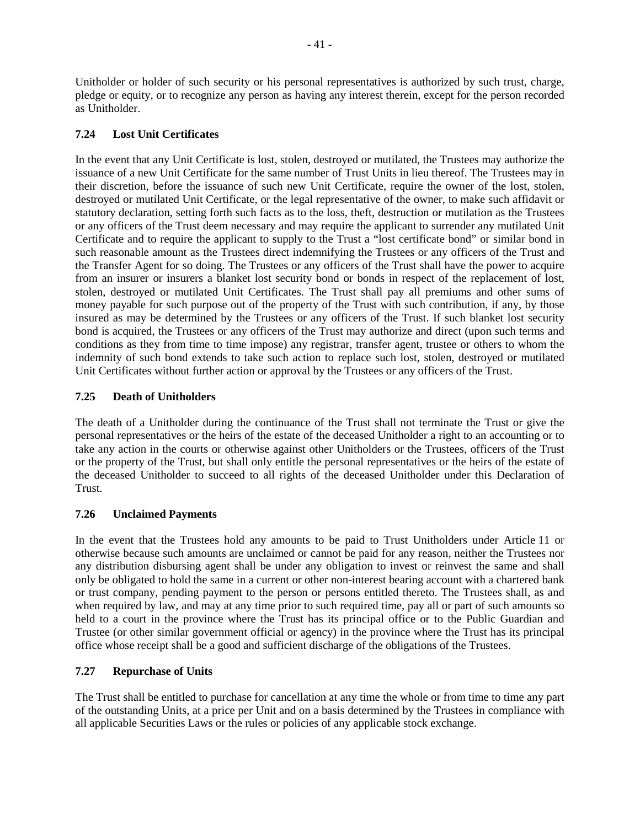Unitholder or holder of such security or his personal representatives is authorized by such trust, charge, pledge or equity, or to recognize any person as having any interest therein, except for the person recorded as Unitholder.

# **7.24 Lost Unit Certificates**

In the event that any Unit Certificate is lost, stolen, destroyed or mutilated, the Trustees may authorize the issuance of a new Unit Certificate for the same number of Trust Units in lieu thereof. The Trustees may in their discretion, before the issuance of such new Unit Certificate, require the owner of the lost, stolen, destroyed or mutilated Unit Certificate, or the legal representative of the owner, to make such affidavit or statutory declaration, setting forth such facts as to the loss, theft, destruction or mutilation as the Trustees or any officers of the Trust deem necessary and may require the applicant to surrender any mutilated Unit Certificate and to require the applicant to supply to the Trust a "lost certificate bond" or similar bond in such reasonable amount as the Trustees direct indemnifying the Trustees or any officers of the Trust and the Transfer Agent for so doing. The Trustees or any officers of the Trust shall have the power to acquire from an insurer or insurers a blanket lost security bond or bonds in respect of the replacement of lost, stolen, destroyed or mutilated Unit Certificates. The Trust shall pay all premiums and other sums of money payable for such purpose out of the property of the Trust with such contribution, if any, by those insured as may be determined by the Trustees or any officers of the Trust. If such blanket lost security bond is acquired, the Trustees or any officers of the Trust may authorize and direct (upon such terms and conditions as they from time to time impose) any registrar, transfer agent, trustee or others to whom the indemnity of such bond extends to take such action to replace such lost, stolen, destroyed or mutilated Unit Certificates without further action or approval by the Trustees or any officers of the Trust.

# **7.25 Death of Unitholders**

The death of a Unitholder during the continuance of the Trust shall not terminate the Trust or give the personal representatives or the heirs of the estate of the deceased Unitholder a right to an accounting or to take any action in the courts or otherwise against other Unitholders or the Trustees, officers of the Trust or the property of the Trust, but shall only entitle the personal representatives or the heirs of the estate of the deceased Unitholder to succeed to all rights of the deceased Unitholder under this Declaration of Trust.

# **7.26 Unclaimed Payments**

In the event that the Trustees hold any amounts to be paid to Trust Unitholders under [Article](#page-58-0) 11 or otherwise because such amounts are unclaimed or cannot be paid for any reason, neither the Trustees nor any distribution disbursing agent shall be under any obligation to invest or reinvest the same and shall only be obligated to hold the same in a current or other non-interest bearing account with a chartered bank or trust company, pending payment to the person or persons entitled thereto. The Trustees shall, as and when required by law, and may at any time prior to such required time, pay all or part of such amounts so held to a court in the province where the Trust has its principal office or to the Public Guardian and Trustee (or other similar government official or agency) in the province where the Trust has its principal office whose receipt shall be a good and sufficient discharge of the obligations of the Trustees.

## **7.27 Repurchase of Units**

The Trust shall be entitled to purchase for cancellation at any time the whole or from time to time any part of the outstanding Units, at a price per Unit and on a basis determined by the Trustees in compliance with all applicable Securities Laws or the rules or policies of any applicable stock exchange.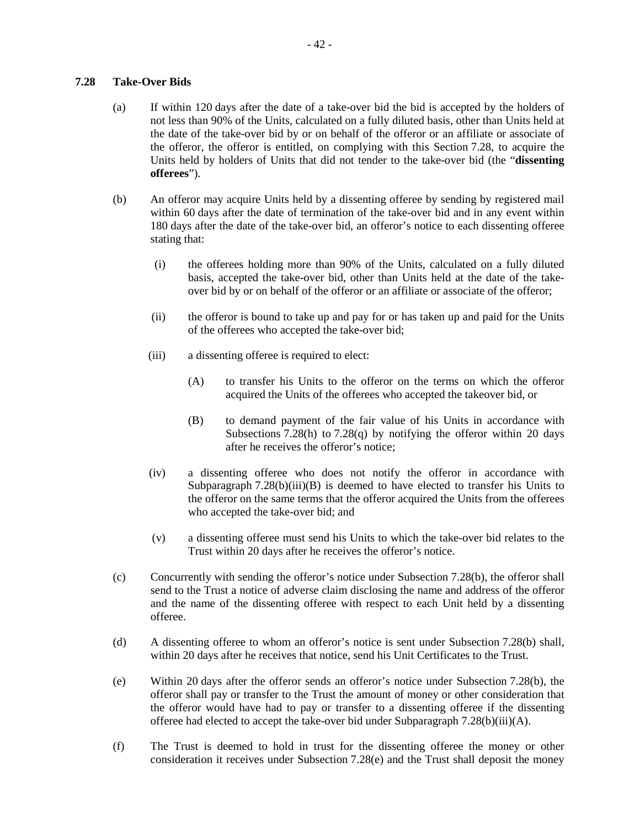## <span id="page-46-0"></span>**7.28 Take-Over Bids**

- (a) If within 120 days after the date of a take-over bid the bid is accepted by the holders of not less than 90% of the Units, calculated on a fully diluted basis, other than Units held at the date of the take-over bid by or on behalf of the offeror or an affiliate or associate of the offeror, the offeror is entitled, on complying with this Section [7.28,](#page-46-0) to acquire the Units held by holders of Units that did not tender to the take-over bid (the "**dissenting offerees**").
- <span id="page-46-3"></span><span id="page-46-2"></span>(b) An offeror may acquire Units held by a dissenting offeree by sending by registered mail within 60 days after the date of termination of the take-over bid and in any event within 180 days after the date of the take-over bid, an offeror's notice to each dissenting offeree stating that:
	- (i) the offerees holding more than 90% of the Units, calculated on a fully diluted basis, accepted the take-over bid, other than Units held at the date of the takeover bid by or on behalf of the offeror or an affiliate or associate of the offeror;
	- (ii) the offeror is bound to take up and pay for or has taken up and paid for the Units of the offerees who accepted the take-over bid;
	- (iii) a dissenting offeree is required to elect:
		- (A) to transfer his Units to the offeror on the terms on which the offeror acquired the Units of the offerees who accepted the takeover bid, or
		- (B) to demand payment of the fair value of his Units in accordance with Subsections  $7.28(h)$  to  $7.28(q)$  by notifying the offeror within 20 days after he receives the offeror's notice;
	- (iv) a dissenting offeree who does not notify the offeror in accordance with Subparagraph  $7.28(b)(iii)(B)$  is deemed to have elected to transfer his Units to the offeror on the same terms that the offeror acquired the Units from the offerees who accepted the take-over bid; and
	- (v) a dissenting offeree must send his Units to which the take-over bid relates to the Trust within 20 days after he receives the offeror's notice.
- <span id="page-46-1"></span>(c) Concurrently with sending the offeror's notice under Subsection [7.28\(b\),](#page-46-2) the offeror shall send to the Trust a notice of adverse claim disclosing the name and address of the offeror and the name of the dissenting offeree with respect to each Unit held by a dissenting offeree.
- <span id="page-46-5"></span>(d) A dissenting offeree to whom an offeror's notice is sent under Subsection [7.28\(b\)](#page-46-2) shall, within 20 days after he receives that notice, send his Unit Certificates to the Trust.
- <span id="page-46-4"></span>(e) Within 20 days after the offeror sends an offeror's notice under Subsection [7.28\(b\),](#page-46-2) the offeror shall pay or transfer to the Trust the amount of money or other consideration that the offeror would have had to pay or transfer to a dissenting offeree if the dissenting offeree had elected to accept the take-over bid under Subparagraph [7.28\(b\)\(iii\)\(A\).](#page-46-3)
- <span id="page-46-6"></span>(f) The Trust is deemed to hold in trust for the dissenting offeree the money or other consideration it receives under Subsection [7.28\(e\)](#page-46-4) and the Trust shall deposit the money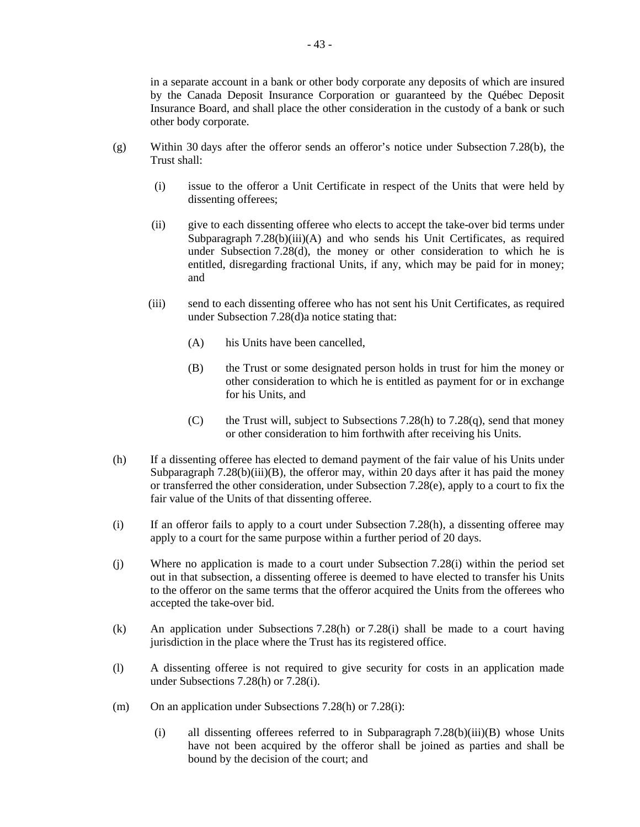in a separate account in a bank or other body corporate any deposits of which are insured by the Canada Deposit Insurance Corporation or guaranteed by the Québec Deposit Insurance Board, and shall place the other consideration in the custody of a bank or such other body corporate.

- (g) Within 30 days after the offeror sends an offeror's notice under Subsection [7.28\(b\),](#page-46-2) the Trust shall:
	- (i) issue to the offeror a Unit Certificate in respect of the Units that were held by dissenting offerees;
	- (ii) give to each dissenting offeree who elects to accept the take-over bid terms under Subparagraph [7.28\(b\)\(iii\)\(A\)](#page-46-3) and who sends his Unit Certificates, as required under Subsection [7.28\(d\),](#page-46-5) the money or other consideration to which he is entitled, disregarding fractional Units, if any, which may be paid for in money; and
	- (iii) send to each dissenting offeree who has not sent his Unit Certificates, as required under Subsection [7.28\(d\)a](#page-46-5) notice stating that:
		- (A) his Units have been cancelled,
		- (B) the Trust or some designated person holds in trust for him the money or other consideration to which he is entitled as payment for or in exchange for his Units, and
		- (C) the Trust will, subject to Subsections [7.28\(h\)](#page-47-0) to [7.28\(q\),](#page-48-0) send that money or other consideration to him forthwith after receiving his Units.
- <span id="page-47-0"></span>(h) If a dissenting offeree has elected to demand payment of the fair value of his Units under Subparagraph  $7.28(b)(iii)(B)$ , the offeror may, within 20 days after it has paid the money or transferred the other consideration, under Subsection 7.28 $(e)$ , apply to a court to fix the fair value of the Units of that dissenting offeree.
- <span id="page-47-1"></span>(i) If an offeror fails to apply to a court under Subsection [7.28\(h\),](#page-47-0) a dissenting offeree may apply to a court for the same purpose within a further period of 20 days.
- (j) Where no application is made to a court under Subsection [7.28\(i\)](#page-47-1) within the period set out in that subsection, a dissenting offeree is deemed to have elected to transfer his Units to the offeror on the same terms that the offeror acquired the Units from the offerees who accepted the take-over bid.
- (k) An application under Subsections [7.28\(h\)](#page-47-0) or [7.28\(i\)](#page-47-1) shall be made to a court having jurisdiction in the place where the Trust has its registered office.
- (l) A dissenting offeree is not required to give security for costs in an application made under Subsections [7.28\(h\)](#page-47-0) or [7.28\(i\).](#page-47-1)
- (m) On an application under Subsections [7.28\(h\)](#page-47-0) or [7.28\(i\):](#page-47-1)
	- (i) all dissenting offerees referred to in Subparagraph [7.28\(b\)\(iii\)\(B\)](#page-46-1) whose Units have not been acquired by the offeror shall be joined as parties and shall be bound by the decision of the court; and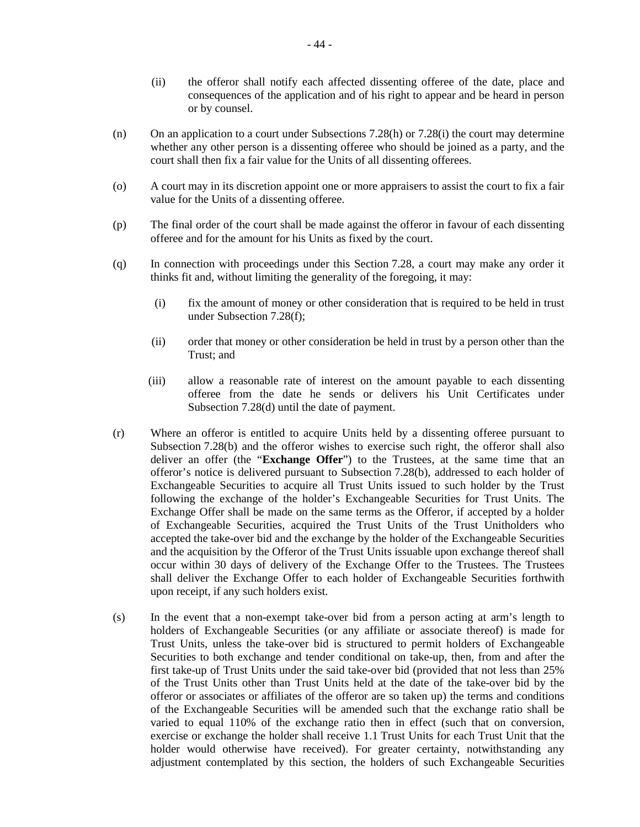- (ii) the offeror shall notify each affected dissenting offeree of the date, place and consequences of the application and of his right to appear and be heard in person or by counsel.
- (n) On an application to a court under Subsections  $7.28(h)$  or  $7.28(i)$  the court may determine whether any other person is a dissenting offeree who should be joined as a party, and the court shall then fix a fair value for the Units of all dissenting offerees.
- (o) A court may in its discretion appoint one or more appraisers to assist the court to fix a fair value for the Units of a dissenting offeree.
- (p) The final order of the court shall be made against the offeror in favour of each dissenting offeree and for the amount for his Units as fixed by the court.
- <span id="page-48-0"></span>(q) In connection with proceedings under this Section [7.28,](#page-46-0) a court may make any order it thinks fit and, without limiting the generality of the foregoing, it may:
	- (i) fix the amount of money or other consideration that is required to be held in trust under Subsection [7.28\(f\);](#page-46-6)
	- (ii) order that money or other consideration be held in trust by a person other than the Trust; and
	- (iii) allow a reasonable rate of interest on the amount payable to each dissenting offeree from the date he sends or delivers his Unit Certificates under Subsection [7.28\(d\)](#page-46-5) until the date of payment.
- (r) Where an offeror is entitled to acquire Units held by a dissenting offeree pursuant to Subsection [7.28\(b\)](#page-46-2) and the offeror wishes to exercise such right, the offeror shall also deliver an offer (the "**Exchange Offer**") to the Trustees, at the same time that an offeror's notice is delivered pursuant to Subsection [7.28\(b\),](#page-46-2) addressed to each holder of Exchangeable Securities to acquire all Trust Units issued to such holder by the Trust following the exchange of the holder's Exchangeable Securities for Trust Units. The Exchange Offer shall be made on the same terms as the Offeror, if accepted by a holder of Exchangeable Securities, acquired the Trust Units of the Trust Unitholders who accepted the take-over bid and the exchange by the holder of the Exchangeable Securities and the acquisition by the Offeror of the Trust Units issuable upon exchange thereof shall occur within 30 days of delivery of the Exchange Offer to the Trustees. The Trustees shall deliver the Exchange Offer to each holder of Exchangeable Securities forthwith upon receipt, if any such holders exist.
- (s) In the event that a non-exempt take-over bid from a person acting at arm's length to holders of Exchangeable Securities (or any affiliate or associate thereof) is made for Trust Units, unless the take-over bid is structured to permit holders of Exchangeable Securities to both exchange and tender conditional on take-up, then, from and after the first take-up of Trust Units under the said take-over bid (provided that not less than 25% of the Trust Units other than Trust Units held at the date of the take-over bid by the offeror or associates or affiliates of the offeror are so taken up) the terms and conditions of the Exchangeable Securities will be amended such that the exchange ratio shall be varied to equal 110% of the exchange ratio then in effect (such that on conversion, exercise or exchange the holder shall receive 1.1 Trust Units for each Trust Unit that the holder would otherwise have received). For greater certainty, notwithstanding any adjustment contemplated by this section, the holders of such Exchangeable Securities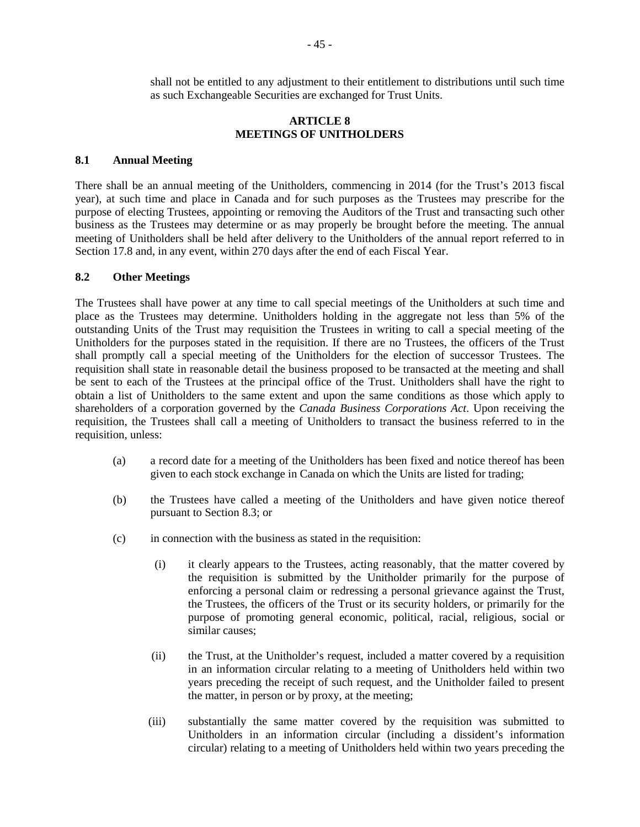shall not be entitled to any adjustment to their entitlement to distributions until such time as such Exchangeable Securities are exchanged for Trust Units.

### **ARTICLE 8 MEETINGS OF UNITHOLDERS**

#### <span id="page-49-1"></span>**8.1 Annual Meeting**

There shall be an annual meeting of the Unitholders, commencing in 2014 (for the Trust's 2013 fiscal year), at such time and place in Canada and for such purposes as the Trustees may prescribe for the purpose of electing Trustees, appointing or removing the Auditors of the Trust and transacting such other business as the Trustees may determine or as may properly be brought before the meeting. The annual meeting of Unitholders shall be held after delivery to the Unitholders of the annual report referred to in Section [17.8](#page-69-0) and, in any event, within 270 days after the end of each Fiscal Year.

#### <span id="page-49-0"></span>**8.2 Other Meetings**

The Trustees shall have power at any time to call special meetings of the Unitholders at such time and place as the Trustees may determine. Unitholders holding in the aggregate not less than 5% of the outstanding Units of the Trust may requisition the Trustees in writing to call a special meeting of the Unitholders for the purposes stated in the requisition. If there are no Trustees, the officers of the Trust shall promptly call a special meeting of the Unitholders for the election of successor Trustees. The requisition shall state in reasonable detail the business proposed to be transacted at the meeting and shall be sent to each of the Trustees at the principal office of the Trust. Unitholders shall have the right to obtain a list of Unitholders to the same extent and upon the same conditions as those which apply to shareholders of a corporation governed by the *Canada Business Corporations Act*. Upon receiving the requisition, the Trustees shall call a meeting of Unitholders to transact the business referred to in the requisition, unless:

- (a) a record date for a meeting of the Unitholders has been fixed and notice thereof has been given to each stock exchange in Canada on which the Units are listed for trading;
- (b) the Trustees have called a meeting of the Unitholders and have given notice thereof pursuant to Section [8.3;](#page-50-0) or
- (c) in connection with the business as stated in the requisition:
	- (i) it clearly appears to the Trustees, acting reasonably, that the matter covered by the requisition is submitted by the Unitholder primarily for the purpose of enforcing a personal claim or redressing a personal grievance against the Trust, the Trustees, the officers of the Trust or its security holders, or primarily for the purpose of promoting general economic, political, racial, religious, social or similar causes;
	- (ii) the Trust, at the Unitholder's request, included a matter covered by a requisition in an information circular relating to a meeting of Unitholders held within two years preceding the receipt of such request, and the Unitholder failed to present the matter, in person or by proxy, at the meeting;
	- (iii) substantially the same matter covered by the requisition was submitted to Unitholders in an information circular (including a dissident's information circular) relating to a meeting of Unitholders held within two years preceding the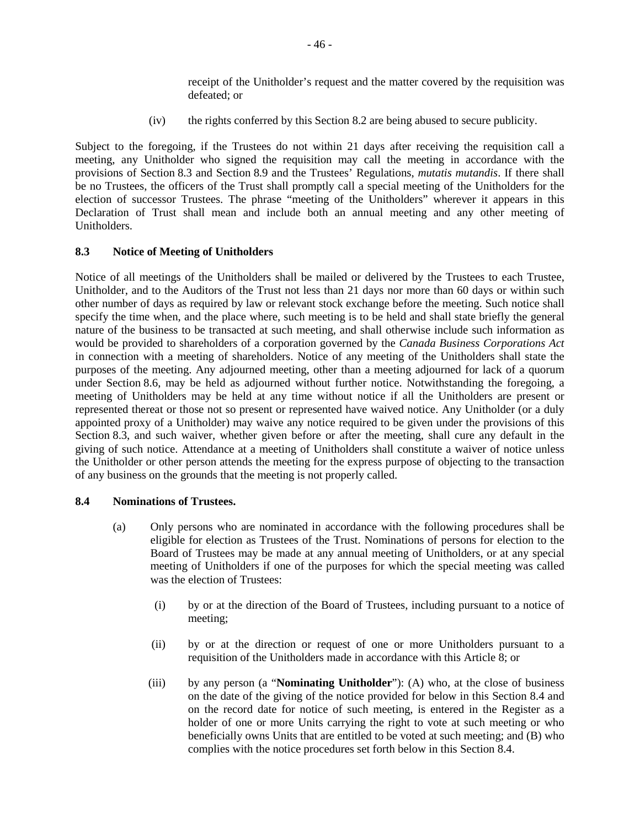receipt of the Unitholder's request and the matter covered by the requisition was defeated; or

(iv) the rights conferred by this Section [8.2](#page-49-0) are being abused to secure publicity.

Subject to the foregoing, if the Trustees do not within 21 days after receiving the requisition call a meeting, any Unitholder who signed the requisition may call the meeting in accordance with the provisions of Section [8.3](#page-50-0) and Section [8.9](#page-53-0) and the Trustees' Regulations, *mutatis mutandis*. If there shall be no Trustees, the officers of the Trust shall promptly call a special meeting of the Unitholders for the election of successor Trustees. The phrase "meeting of the Unitholders" wherever it appears in this Declaration of Trust shall mean and include both an annual meeting and any other meeting of Unitholders.

## <span id="page-50-0"></span>**8.3 Notice of Meeting of Unitholders**

Notice of all meetings of the Unitholders shall be mailed or delivered by the Trustees to each Trustee, Unitholder, and to the Auditors of the Trust not less than 21 days nor more than 60 days or within such other number of days as required by law or relevant stock exchange before the meeting. Such notice shall specify the time when, and the place where, such meeting is to be held and shall state briefly the general nature of the business to be transacted at such meeting, and shall otherwise include such information as would be provided to shareholders of a corporation governed by the *Canada Business Corporations Act* in connection with a meeting of shareholders. Notice of any meeting of the Unitholders shall state the purposes of the meeting. Any adjourned meeting, other than a meeting adjourned for lack of a quorum under Section [8.6,](#page-52-0) may be held as adjourned without further notice. Notwithstanding the foregoing, a meeting of Unitholders may be held at any time without notice if all the Unitholders are present or represented thereat or those not so present or represented have waived notice. Any Unitholder (or a duly appointed proxy of a Unitholder) may waive any notice required to be given under the provisions of this Section [8.3,](#page-50-0) and such waiver, whether given before or after the meeting, shall cure any default in the giving of such notice. Attendance at a meeting of Unitholders shall constitute a waiver of notice unless the Unitholder or other person attends the meeting for the express purpose of objecting to the transaction of any business on the grounds that the meeting is not properly called.

#### <span id="page-50-1"></span>**8.4 Nominations of Trustees.**

- (a) Only persons who are nominated in accordance with the following procedures shall be eligible for election as Trustees of the Trust. Nominations of persons for election to the Board of Trustees may be made at any annual meeting of Unitholders, or at any special meeting of Unitholders if one of the purposes for which the special meeting was called was the election of Trustees:
	- (i) by or at the direction of the Board of Trustees, including pursuant to a notice of meeting;
	- (ii) by or at the direction or request of one or more Unitholders pursuant to a requisition of the Unitholders made in accordance with thi[s Article](#page-49-1) 8; or
	- (iii) by any person (a "**Nominating Unitholder**"): (A) who, at the close of business on the date of the giving of the notice provided for below in this Section [8.4](#page-50-1) and on the record date for notice of such meeting, is entered in the Register as a holder of one or more Units carrying the right to vote at such meeting or who beneficially owns Units that are entitled to be voted at such meeting; and (B) who complies with the notice procedures set forth below in this Section [8.4.](#page-50-1)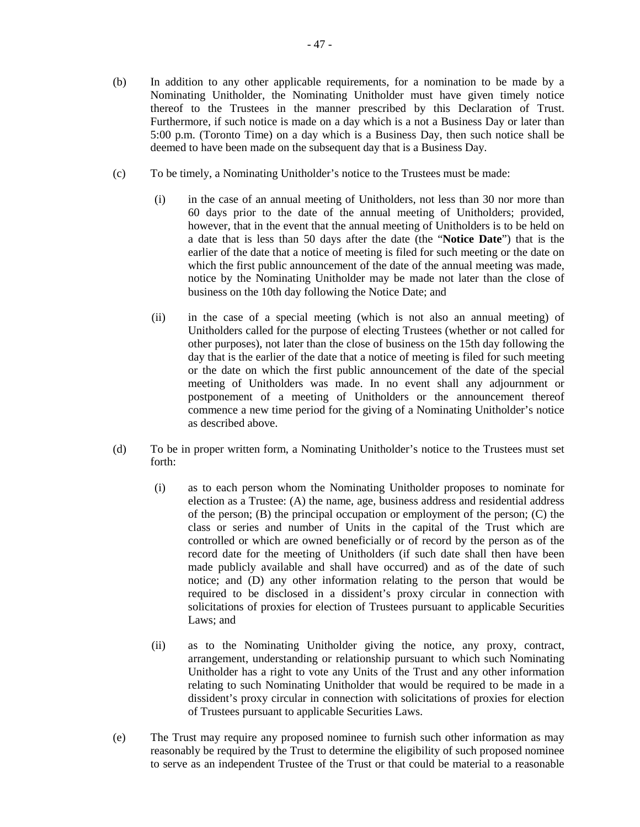- (c) To be timely, a Nominating Unitholder's notice to the Trustees must be made:
	- (i) in the case of an annual meeting of Unitholders, not less than 30 nor more than 60 days prior to the date of the annual meeting of Unitholders; provided, however, that in the event that the annual meeting of Unitholders is to be held on a date that is less than 50 days after the date (the "**Notice Date**") that is the earlier of the date that a notice of meeting is filed for such meeting or the date on which the first public announcement of the date of the annual meeting was made, notice by the Nominating Unitholder may be made not later than the close of business on the 10th day following the Notice Date; and
	- (ii) in the case of a special meeting (which is not also an annual meeting) of Unitholders called for the purpose of electing Trustees (whether or not called for other purposes), not later than the close of business on the 15th day following the day that is the earlier of the date that a notice of meeting is filed for such meeting or the date on which the first public announcement of the date of the special meeting of Unitholders was made. In no event shall any adjournment or postponement of a meeting of Unitholders or the announcement thereof commence a new time period for the giving of a Nominating Unitholder's notice as described above.
- (d) To be in proper written form, a Nominating Unitholder's notice to the Trustees must set forth:
	- (i) as to each person whom the Nominating Unitholder proposes to nominate for election as a Trustee: (A) the name, age, business address and residential address of the person; (B) the principal occupation or employment of the person; (C) the class or series and number of Units in the capital of the Trust which are controlled or which are owned beneficially or of record by the person as of the record date for the meeting of Unitholders (if such date shall then have been made publicly available and shall have occurred) and as of the date of such notice; and (D) any other information relating to the person that would be required to be disclosed in a dissident's proxy circular in connection with solicitations of proxies for election of Trustees pursuant to applicable Securities Laws; and
	- (ii) as to the Nominating Unitholder giving the notice, any proxy, contract, arrangement, understanding or relationship pursuant to which such Nominating Unitholder has a right to vote any Units of the Trust and any other information relating to such Nominating Unitholder that would be required to be made in a dissident's proxy circular in connection with solicitations of proxies for election of Trustees pursuant to applicable Securities Laws.
- (e) The Trust may require any proposed nominee to furnish such other information as may reasonably be required by the Trust to determine the eligibility of such proposed nominee to serve as an independent Trustee of the Trust or that could be material to a reasonable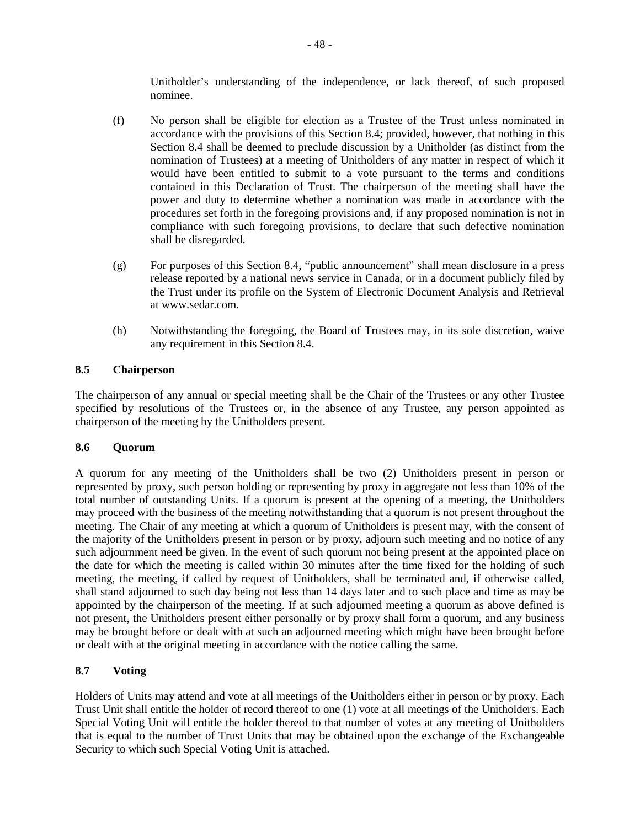Unitholder's understanding of the independence, or lack thereof, of such proposed nominee.

- (f) No person shall be eligible for election as a Trustee of the Trust unless nominated in accordance with the provisions of this Sectio[n 8.4;](#page-50-1) provided, however, that nothing in this Section [8.4](#page-50-1) shall be deemed to preclude discussion by a Unitholder (as distinct from the nomination of Trustees) at a meeting of Unitholders of any matter in respect of which it would have been entitled to submit to a vote pursuant to the terms and conditions contained in this Declaration of Trust. The chairperson of the meeting shall have the power and duty to determine whether a nomination was made in accordance with the procedures set forth in the foregoing provisions and, if any proposed nomination is not in compliance with such foregoing provisions, to declare that such defective nomination shall be disregarded.
- (g) For purposes of this Section [8.4,](#page-50-1) "public announcement" shall mean disclosure in a press release reported by a national news service in Canada, or in a document publicly filed by the Trust under its profile on the System of Electronic Document Analysis and Retrieval at www.sedar.com.
- (h) Notwithstanding the foregoing, the Board of Trustees may, in its sole discretion, waive any requirement in this Section [8.4.](#page-50-1)

# **8.5 Chairperson**

The chairperson of any annual or special meeting shall be the Chair of the Trustees or any other Trustee specified by resolutions of the Trustees or, in the absence of any Trustee, any person appointed as chairperson of the meeting by the Unitholders present.

## <span id="page-52-0"></span>**8.6 Quorum**

A quorum for any meeting of the Unitholders shall be two (2) Unitholders present in person or represented by proxy, such person holding or representing by proxy in aggregate not less than 10% of the total number of outstanding Units. If a quorum is present at the opening of a meeting, the Unitholders may proceed with the business of the meeting notwithstanding that a quorum is not present throughout the meeting. The Chair of any meeting at which a quorum of Unitholders is present may, with the consent of the majority of the Unitholders present in person or by proxy, adjourn such meeting and no notice of any such adjournment need be given. In the event of such quorum not being present at the appointed place on the date for which the meeting is called within 30 minutes after the time fixed for the holding of such meeting, the meeting, if called by request of Unitholders, shall be terminated and, if otherwise called, shall stand adjourned to such day being not less than 14 days later and to such place and time as may be appointed by the chairperson of the meeting. If at such adjourned meeting a quorum as above defined is not present, the Unitholders present either personally or by proxy shall form a quorum, and any business may be brought before or dealt with at such an adjourned meeting which might have been brought before or dealt with at the original meeting in accordance with the notice calling the same.

# **8.7 Voting**

Holders of Units may attend and vote at all meetings of the Unitholders either in person or by proxy. Each Trust Unit shall entitle the holder of record thereof to one (1) vote at all meetings of the Unitholders. Each Special Voting Unit will entitle the holder thereof to that number of votes at any meeting of Unitholders that is equal to the number of Trust Units that may be obtained upon the exchange of the Exchangeable Security to which such Special Voting Unit is attached.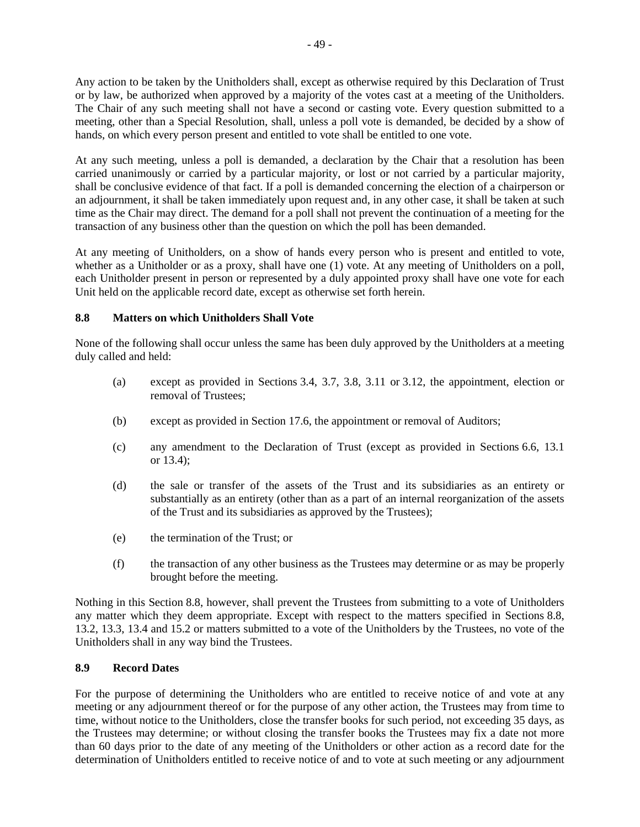Any action to be taken by the Unitholders shall, except as otherwise required by this Declaration of Trust or by law, be authorized when approved by a majority of the votes cast at a meeting of the Unitholders. The Chair of any such meeting shall not have a second or casting vote. Every question submitted to a meeting, other than a Special Resolution, shall, unless a poll vote is demanded, be decided by a show of hands, on which every person present and entitled to vote shall be entitled to one vote.

At any such meeting, unless a poll is demanded, a declaration by the Chair that a resolution has been carried unanimously or carried by a particular majority, or lost or not carried by a particular majority, shall be conclusive evidence of that fact. If a poll is demanded concerning the election of a chairperson or an adjournment, it shall be taken immediately upon request and, in any other case, it shall be taken at such time as the Chair may direct. The demand for a poll shall not prevent the continuation of a meeting for the transaction of any business other than the question on which the poll has been demanded.

At any meeting of Unitholders, on a show of hands every person who is present and entitled to vote, whether as a Unitholder or as a proxy, shall have one (1) vote. At any meeting of Unitholders on a poll, each Unitholder present in person or represented by a duly appointed proxy shall have one vote for each Unit held on the applicable record date, except as otherwise set forth herein.

## <span id="page-53-1"></span>**8.8 Matters on which Unitholders Shall Vote**

None of the following shall occur unless the same has been duly approved by the Unitholders at a meeting duly called and held:

- (a) except as provided in Sections [3.4,](#page-14-0) [3.7,](#page-15-0) [3.8,](#page-16-0) [3.11](#page-17-0) or [3.12,](#page-18-0) the appointment, election or removal of Trustees;
- (b) except as provided in Section [17.6,](#page-68-0) the appointment or removal of Auditors;
- (c) any amendment to the Declaration of Trust (except as provided in Sections [6.6,](#page-33-1) [13.1](#page-61-0) or [13.4\)](#page-63-0);
- (d) the sale or transfer of the assets of the Trust and its subsidiaries as an entirety or substantially as an entirety (other than as a part of an internal reorganization of the assets of the Trust and its subsidiaries as approved by the Trustees);
- (e) the termination of the Trust; or
- (f) the transaction of any other business as the Trustees may determine or as may be properly brought before the meeting.

Nothing in this Section [8.8,](#page-53-1) however, shall prevent the Trustees from submitting to a vote of Unitholders any matter which they deem appropriate. Except with respect to the matters specified in Sections [8.8,](#page-53-1)  [13.2,](#page-62-0) [13.3,](#page-63-1) [13.4](#page-63-0) and [15.2](#page-64-0) or matters submitted to a vote of the Unitholders by the Trustees, no vote of the Unitholders shall in any way bind the Trustees.

## <span id="page-53-0"></span>**8.9 Record Dates**

For the purpose of determining the Unitholders who are entitled to receive notice of and vote at any meeting or any adjournment thereof or for the purpose of any other action, the Trustees may from time to time, without notice to the Unitholders, close the transfer books for such period, not exceeding 35 days, as the Trustees may determine; or without closing the transfer books the Trustees may fix a date not more than 60 days prior to the date of any meeting of the Unitholders or other action as a record date for the determination of Unitholders entitled to receive notice of and to vote at such meeting or any adjournment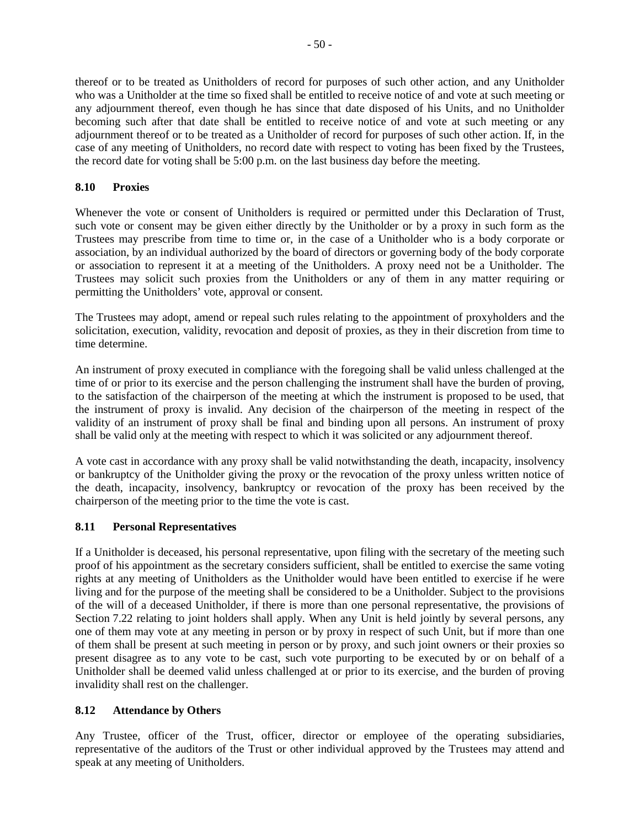thereof or to be treated as Unitholders of record for purposes of such other action, and any Unitholder who was a Unitholder at the time so fixed shall be entitled to receive notice of and vote at such meeting or any adjournment thereof, even though he has since that date disposed of his Units, and no Unitholder becoming such after that date shall be entitled to receive notice of and vote at such meeting or any adjournment thereof or to be treated as a Unitholder of record for purposes of such other action. If, in the case of any meeting of Unitholders, no record date with respect to voting has been fixed by the Trustees, the record date for voting shall be 5:00 p.m. on the last business day before the meeting.

## **8.10 Proxies**

Whenever the vote or consent of Unitholders is required or permitted under this Declaration of Trust, such vote or consent may be given either directly by the Unitholder or by a proxy in such form as the Trustees may prescribe from time to time or, in the case of a Unitholder who is a body corporate or association, by an individual authorized by the board of directors or governing body of the body corporate or association to represent it at a meeting of the Unitholders. A proxy need not be a Unitholder. The Trustees may solicit such proxies from the Unitholders or any of them in any matter requiring or permitting the Unitholders' vote, approval or consent.

The Trustees may adopt, amend or repeal such rules relating to the appointment of proxyholders and the solicitation, execution, validity, revocation and deposit of proxies, as they in their discretion from time to time determine.

An instrument of proxy executed in compliance with the foregoing shall be valid unless challenged at the time of or prior to its exercise and the person challenging the instrument shall have the burden of proving, to the satisfaction of the chairperson of the meeting at which the instrument is proposed to be used, that the instrument of proxy is invalid. Any decision of the chairperson of the meeting in respect of the validity of an instrument of proxy shall be final and binding upon all persons. An instrument of proxy shall be valid only at the meeting with respect to which it was solicited or any adjournment thereof.

A vote cast in accordance with any proxy shall be valid notwithstanding the death, incapacity, insolvency or bankruptcy of the Unitholder giving the proxy or the revocation of the proxy unless written notice of the death, incapacity, insolvency, bankruptcy or revocation of the proxy has been received by the chairperson of the meeting prior to the time the vote is cast.

## **8.11 Personal Representatives**

If a Unitholder is deceased, his personal representative, upon filing with the secretary of the meeting such proof of his appointment as the secretary considers sufficient, shall be entitled to exercise the same voting rights at any meeting of Unitholders as the Unitholder would have been entitled to exercise if he were living and for the purpose of the meeting shall be considered to be a Unitholder. Subject to the provisions of the will of a deceased Unitholder, if there is more than one personal representative, the provisions of Section [7.22](#page-44-0) relating to joint holders shall apply. When any Unit is held jointly by several persons, any one of them may vote at any meeting in person or by proxy in respect of such Unit, but if more than one of them shall be present at such meeting in person or by proxy, and such joint owners or their proxies so present disagree as to any vote to be cast, such vote purporting to be executed by or on behalf of a Unitholder shall be deemed valid unless challenged at or prior to its exercise, and the burden of proving invalidity shall rest on the challenger.

## **8.12 Attendance by Others**

Any Trustee, officer of the Trust, officer, director or employee of the operating subsidiaries, representative of the auditors of the Trust or other individual approved by the Trustees may attend and speak at any meeting of Unitholders.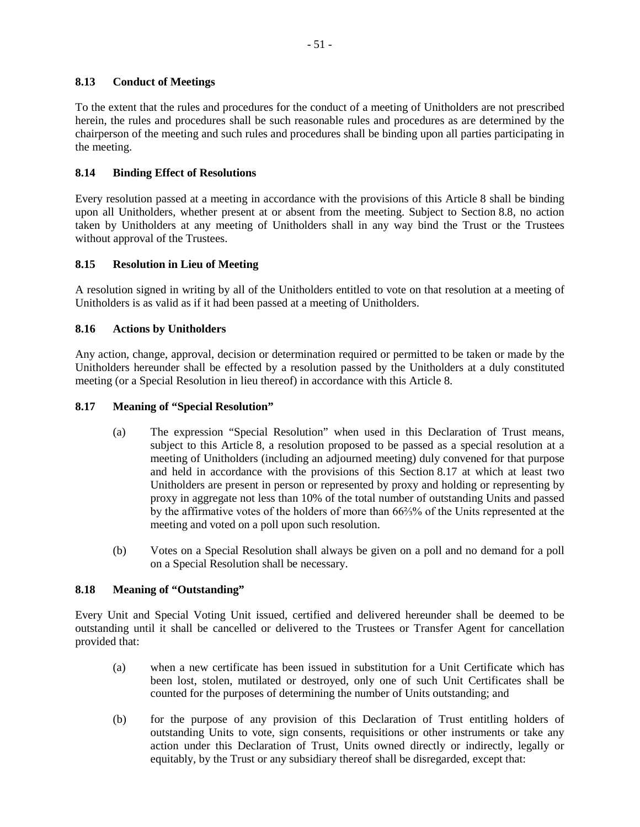To the extent that the rules and procedures for the conduct of a meeting of Unitholders are not prescribed herein, the rules and procedures shall be such reasonable rules and procedures as are determined by the chairperson of the meeting and such rules and procedures shall be binding upon all parties participating in the meeting.

# **8.14 Binding Effect of Resolutions**

Every resolution passed at a meeting in accordance with the provisions of this [Article](#page-49-1) 8 shall be binding upon all Unitholders, whether present at or absent from the meeting. Subject to Section [8.8,](#page-53-1) no action taken by Unitholders at any meeting of Unitholders shall in any way bind the Trust or the Trustees without approval of the Trustees.

# **8.15 Resolution in Lieu of Meeting**

A resolution signed in writing by all of the Unitholders entitled to vote on that resolution at a meeting of Unitholders is as valid as if it had been passed at a meeting of Unitholders.

# **8.16 Actions by Unitholders**

Any action, change, approval, decision or determination required or permitted to be taken or made by the Unitholders hereunder shall be effected by a resolution passed by the Unitholders at a duly constituted meeting (or a Special Resolution in lieu thereof) in accordance with this [Article](#page-49-1) 8.

# <span id="page-55-0"></span>**8.17 Meaning of "Special Resolution"**

- (a) The expression "Special Resolution" when used in this Declaration of Trust means, subject to this [Article](#page-49-1) 8, a resolution proposed to be passed as a special resolution at a meeting of Unitholders (including an adjourned meeting) duly convened for that purpose and held in accordance with the provisions of this Section [8.17](#page-55-0) at which at least two Unitholders are present in person or represented by proxy and holding or representing by proxy in aggregate not less than 10% of the total number of outstanding Units and passed by the affirmative votes of the holders of more than 66⅔% of the Units represented at the meeting and voted on a poll upon such resolution.
- (b) Votes on a Special Resolution shall always be given on a poll and no demand for a poll on a Special Resolution shall be necessary.

# **8.18 Meaning of "Outstanding"**

Every Unit and Special Voting Unit issued, certified and delivered hereunder shall be deemed to be outstanding until it shall be cancelled or delivered to the Trustees or Transfer Agent for cancellation provided that:

- (a) when a new certificate has been issued in substitution for a Unit Certificate which has been lost, stolen, mutilated or destroyed, only one of such Unit Certificates shall be counted for the purposes of determining the number of Units outstanding; and
- (b) for the purpose of any provision of this Declaration of Trust entitling holders of outstanding Units to vote, sign consents, requisitions or other instruments or take any action under this Declaration of Trust, Units owned directly or indirectly, legally or equitably, by the Trust or any subsidiary thereof shall be disregarded, except that: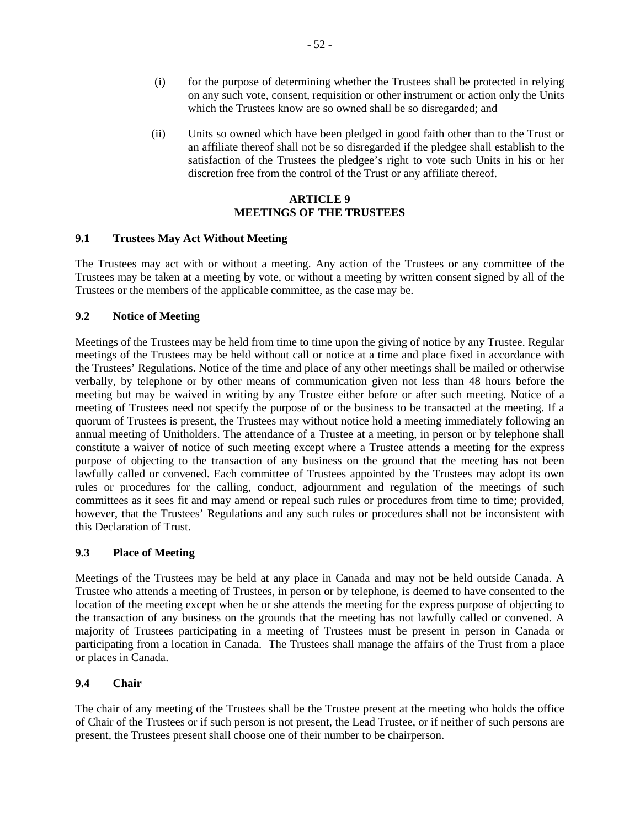- (i) for the purpose of determining whether the Trustees shall be protected in relying on any such vote, consent, requisition or other instrument or action only the Units which the Trustees know are so owned shall be so disregarded; and
- (ii) Units so owned which have been pledged in good faith other than to the Trust or an affiliate thereof shall not be so disregarded if the pledgee shall establish to the satisfaction of the Trustees the pledgee's right to vote such Units in his or her discretion free from the control of the Trust or any affiliate thereof.

## **ARTICLE 9 MEETINGS OF THE TRUSTEES**

## **9.1 Trustees May Act Without Meeting**

The Trustees may act with or without a meeting. Any action of the Trustees or any committee of the Trustees may be taken at a meeting by vote, or without a meeting by written consent signed by all of the Trustees or the members of the applicable committee, as the case may be.

## **9.2 Notice of Meeting**

Meetings of the Trustees may be held from time to time upon the giving of notice by any Trustee. Regular meetings of the Trustees may be held without call or notice at a time and place fixed in accordance with the Trustees' Regulations. Notice of the time and place of any other meetings shall be mailed or otherwise verbally, by telephone or by other means of communication given not less than 48 hours before the meeting but may be waived in writing by any Trustee either before or after such meeting. Notice of a meeting of Trustees need not specify the purpose of or the business to be transacted at the meeting. If a quorum of Trustees is present, the Trustees may without notice hold a meeting immediately following an annual meeting of Unitholders. The attendance of a Trustee at a meeting, in person or by telephone shall constitute a waiver of notice of such meeting except where a Trustee attends a meeting for the express purpose of objecting to the transaction of any business on the ground that the meeting has not been lawfully called or convened. Each committee of Trustees appointed by the Trustees may adopt its own rules or procedures for the calling, conduct, adjournment and regulation of the meetings of such committees as it sees fit and may amend or repeal such rules or procedures from time to time; provided, however, that the Trustees' Regulations and any such rules or procedures shall not be inconsistent with this Declaration of Trust.

#### **9.3 Place of Meeting**

Meetings of the Trustees may be held at any place in Canada and may not be held outside Canada. A Trustee who attends a meeting of Trustees, in person or by telephone, is deemed to have consented to the location of the meeting except when he or she attends the meeting for the express purpose of objecting to the transaction of any business on the grounds that the meeting has not lawfully called or convened. A majority of Trustees participating in a meeting of Trustees must be present in person in Canada or participating from a location in Canada. The Trustees shall manage the affairs of the Trust from a place or places in Canada.

## **9.4 Chair**

The chair of any meeting of the Trustees shall be the Trustee present at the meeting who holds the office of Chair of the Trustees or if such person is not present, the Lead Trustee, or if neither of such persons are present, the Trustees present shall choose one of their number to be chairperson.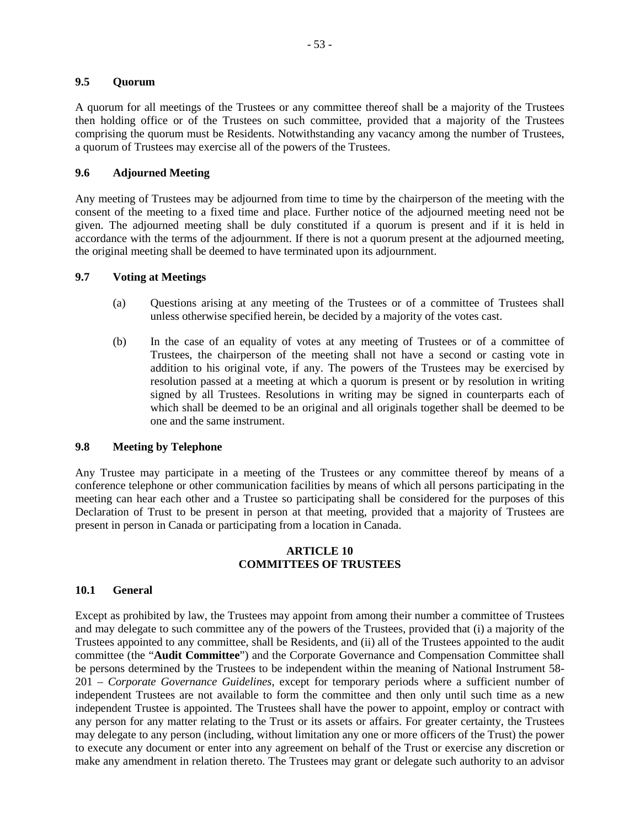#### **9.5 Quorum**

A quorum for all meetings of the Trustees or any committee thereof shall be a majority of the Trustees then holding office or of the Trustees on such committee, provided that a majority of the Trustees comprising the quorum must be Residents. Notwithstanding any vacancy among the number of Trustees, a quorum of Trustees may exercise all of the powers of the Trustees.

## **9.6 Adjourned Meeting**

Any meeting of Trustees may be adjourned from time to time by the chairperson of the meeting with the consent of the meeting to a fixed time and place. Further notice of the adjourned meeting need not be given. The adjourned meeting shall be duly constituted if a quorum is present and if it is held in accordance with the terms of the adjournment. If there is not a quorum present at the adjourned meeting, the original meeting shall be deemed to have terminated upon its adjournment.

#### **9.7 Voting at Meetings**

- (a) Questions arising at any meeting of the Trustees or of a committee of Trustees shall unless otherwise specified herein, be decided by a majority of the votes cast.
- (b) In the case of an equality of votes at any meeting of Trustees or of a committee of Trustees, the chairperson of the meeting shall not have a second or casting vote in addition to his original vote, if any. The powers of the Trustees may be exercised by resolution passed at a meeting at which a quorum is present or by resolution in writing signed by all Trustees. Resolutions in writing may be signed in counterparts each of which shall be deemed to be an original and all originals together shall be deemed to be one and the same instrument.

#### **9.8 Meeting by Telephone**

Any Trustee may participate in a meeting of the Trustees or any committee thereof by means of a conference telephone or other communication facilities by means of which all persons participating in the meeting can hear each other and a Trustee so participating shall be considered for the purposes of this Declaration of Trust to be present in person at that meeting, provided that a majority of Trustees are present in person in Canada or participating from a location in Canada.

## **ARTICLE 10 COMMITTEES OF TRUSTEES**

#### <span id="page-57-0"></span>**10.1 General**

Except as prohibited by law, the Trustees may appoint from among their number a committee of Trustees and may delegate to such committee any of the powers of the Trustees, provided that (i) a majority of the Trustees appointed to any committee, shall be Residents, and (ii) all of the Trustees appointed to the audit committee (the "**Audit Committee**") and the Corporate Governance and Compensation Committee shall be persons determined by the Trustees to be independent within the meaning of National Instrument 58- 201 – *Corporate Governance Guidelines*, except for temporary periods where a sufficient number of independent Trustees are not available to form the committee and then only until such time as a new independent Trustee is appointed. The Trustees shall have the power to appoint, employ or contract with any person for any matter relating to the Trust or its assets or affairs. For greater certainty, the Trustees may delegate to any person (including, without limitation any one or more officers of the Trust) the power to execute any document or enter into any agreement on behalf of the Trust or exercise any discretion or make any amendment in relation thereto. The Trustees may grant or delegate such authority to an advisor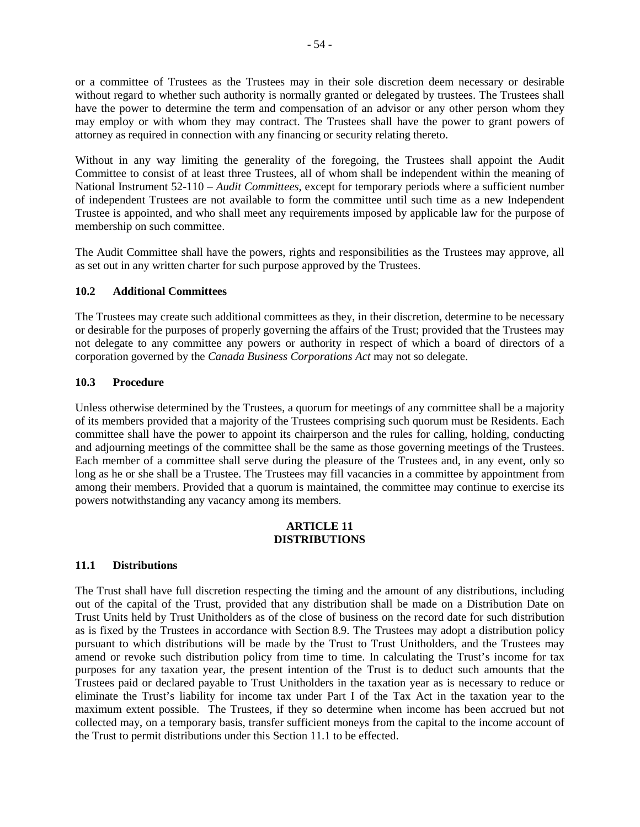or a committee of Trustees as the Trustees may in their sole discretion deem necessary or desirable without regard to whether such authority is normally granted or delegated by trustees. The Trustees shall have the power to determine the term and compensation of an advisor or any other person whom they may employ or with whom they may contract. The Trustees shall have the power to grant powers of attorney as required in connection with any financing or security relating thereto.

Without in any way limiting the generality of the foregoing, the Trustees shall appoint the Audit Committee to consist of at least three Trustees, all of whom shall be independent within the meaning of National Instrument 52-110 – *Audit Committees*, except for temporary periods where a sufficient number of independent Trustees are not available to form the committee until such time as a new Independent Trustee is appointed, and who shall meet any requirements imposed by applicable law for the purpose of membership on such committee.

The Audit Committee shall have the powers, rights and responsibilities as the Trustees may approve, all as set out in any written charter for such purpose approved by the Trustees.

## **10.2 Additional Committees**

The Trustees may create such additional committees as they, in their discretion, determine to be necessary or desirable for the purposes of properly governing the affairs of the Trust; provided that the Trustees may not delegate to any committee any powers or authority in respect of which a board of directors of a corporation governed by the *Canada Business Corporations Act* may not so delegate.

## **10.3 Procedure**

Unless otherwise determined by the Trustees, a quorum for meetings of any committee shall be a majority of its members provided that a majority of the Trustees comprising such quorum must be Residents. Each committee shall have the power to appoint its chairperson and the rules for calling, holding, conducting and adjourning meetings of the committee shall be the same as those governing meetings of the Trustees. Each member of a committee shall serve during the pleasure of the Trustees and, in any event, only so long as he or she shall be a Trustee. The Trustees may fill vacancies in a committee by appointment from among their members. Provided that a quorum is maintained, the committee may continue to exercise its powers notwithstanding any vacancy among its members.

## **ARTICLE 11 DISTRIBUTIONS**

## <span id="page-58-1"></span><span id="page-58-0"></span>**11.1 Distributions**

The Trust shall have full discretion respecting the timing and the amount of any distributions, including out of the capital of the Trust, provided that any distribution shall be made on a Distribution Date on Trust Units held by Trust Unitholders as of the close of business on the record date for such distribution as is fixed by the Trustees in accordance with Section [8.9.](#page-53-0) The Trustees may adopt a distribution policy pursuant to which distributions will be made by the Trust to Trust Unitholders, and the Trustees may amend or revoke such distribution policy from time to time. In calculating the Trust's income for tax purposes for any taxation year, the present intention of the Trust is to deduct such amounts that the Trustees paid or declared payable to Trust Unitholders in the taxation year as is necessary to reduce or eliminate the Trust's liability for income tax under Part I of the Tax Act in the taxation year to the maximum extent possible. The Trustees, if they so determine when income has been accrued but not collected may, on a temporary basis, transfer sufficient moneys from the capital to the income account of the Trust to permit distributions under this Section [11.1](#page-58-1) to be effected.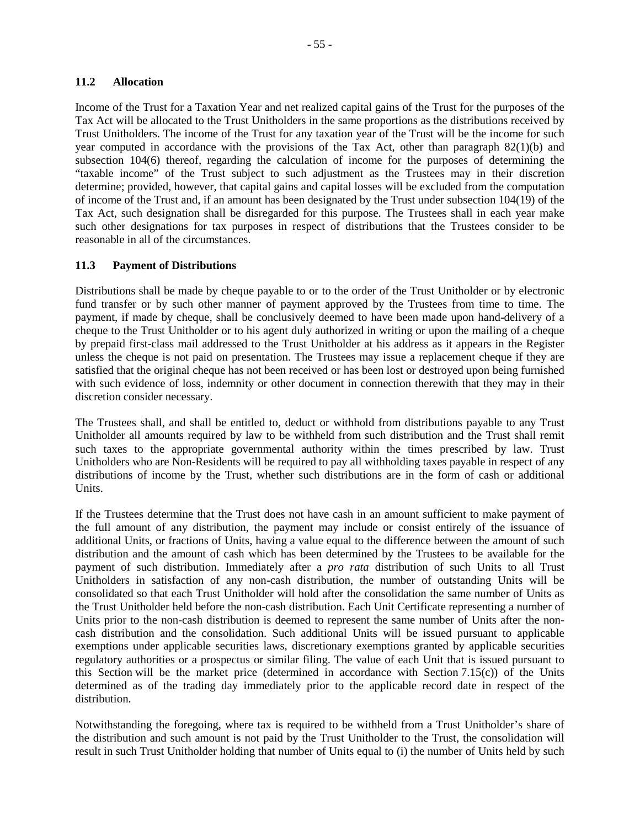## **11.2 Allocation**

Income of the Trust for a Taxation Year and net realized capital gains of the Trust for the purposes of the Tax Act will be allocated to the Trust Unitholders in the same proportions as the distributions received by Trust Unitholders. The income of the Trust for any taxation year of the Trust will be the income for such year computed in accordance with the provisions of the Tax Act, other than paragraph  $82(1)(b)$  and subsection 104(6) thereof, regarding the calculation of income for the purposes of determining the "taxable income" of the Trust subject to such adjustment as the Trustees may in their discretion determine; provided, however, that capital gains and capital losses will be excluded from the computation of income of the Trust and, if an amount has been designated by the Trust under subsection 104(19) of the Tax Act, such designation shall be disregarded for this purpose. The Trustees shall in each year make such other designations for tax purposes in respect of distributions that the Trustees consider to be reasonable in all of the circumstances.

## **11.3 Payment of Distributions**

Distributions shall be made by cheque payable to or to the order of the Trust Unitholder or by electronic fund transfer or by such other manner of payment approved by the Trustees from time to time. The payment, if made by cheque, shall be conclusively deemed to have been made upon hand-delivery of a cheque to the Trust Unitholder or to his agent duly authorized in writing or upon the mailing of a cheque by prepaid first-class mail addressed to the Trust Unitholder at his address as it appears in the Register unless the cheque is not paid on presentation. The Trustees may issue a replacement cheque if they are satisfied that the original cheque has not been received or has been lost or destroyed upon being furnished with such evidence of loss, indemnity or other document in connection therewith that they may in their discretion consider necessary.

The Trustees shall, and shall be entitled to, deduct or withhold from distributions payable to any Trust Unitholder all amounts required by law to be withheld from such distribution and the Trust shall remit such taxes to the appropriate governmental authority within the times prescribed by law. Trust Unitholders who are Non-Residents will be required to pay all withholding taxes payable in respect of any distributions of income by the Trust, whether such distributions are in the form of cash or additional Units.

If the Trustees determine that the Trust does not have cash in an amount sufficient to make payment of the full amount of any distribution, the payment may include or consist entirely of the issuance of additional Units, or fractions of Units, having a value equal to the difference between the amount of such distribution and the amount of cash which has been determined by the Trustees to be available for the payment of such distribution. Immediately after a *pro rata* distribution of such Units to all Trust Unitholders in satisfaction of any non-cash distribution, the number of outstanding Units will be consolidated so that each Trust Unitholder will hold after the consolidation the same number of Units as the Trust Unitholder held before the non-cash distribution. Each Unit Certificate representing a number of Units prior to the non-cash distribution is deemed to represent the same number of Units after the noncash distribution and the consolidation. Such additional Units will be issued pursuant to applicable exemptions under applicable securities laws, discretionary exemptions granted by applicable securities regulatory authorities or a prospectus or similar filing. The value of each Unit that is issued pursuant to this Section will be the market price (determined in accordance with Section [7.15\(c\)\)](#page-40-0) of the Units determined as of the trading day immediately prior to the applicable record date in respect of the distribution.

Notwithstanding the foregoing, where tax is required to be withheld from a Trust Unitholder's share of the distribution and such amount is not paid by the Trust Unitholder to the Trust, the consolidation will result in such Trust Unitholder holding that number of Units equal to (i) the number of Units held by such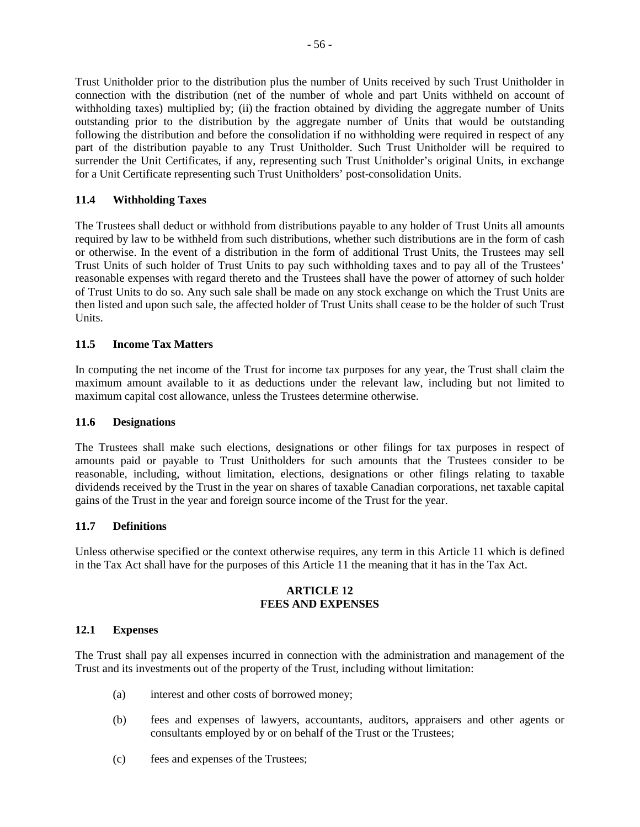Trust Unitholder prior to the distribution plus the number of Units received by such Trust Unitholder in connection with the distribution (net of the number of whole and part Units withheld on account of withholding taxes) multiplied by; (ii) the fraction obtained by dividing the aggregate number of Units outstanding prior to the distribution by the aggregate number of Units that would be outstanding following the distribution and before the consolidation if no withholding were required in respect of any part of the distribution payable to any Trust Unitholder. Such Trust Unitholder will be required to surrender the Unit Certificates, if any, representing such Trust Unitholder's original Units, in exchange for a Unit Certificate representing such Trust Unitholders' post-consolidation Units.

# **11.4 Withholding Taxes**

The Trustees shall deduct or withhold from distributions payable to any holder of Trust Units all amounts required by law to be withheld from such distributions, whether such distributions are in the form of cash or otherwise. In the event of a distribution in the form of additional Trust Units, the Trustees may sell Trust Units of such holder of Trust Units to pay such withholding taxes and to pay all of the Trustees' reasonable expenses with regard thereto and the Trustees shall have the power of attorney of such holder of Trust Units to do so. Any such sale shall be made on any stock exchange on which the Trust Units are then listed and upon such sale, the affected holder of Trust Units shall cease to be the holder of such Trust Units.

# **11.5 Income Tax Matters**

In computing the net income of the Trust for income tax purposes for any year, the Trust shall claim the maximum amount available to it as deductions under the relevant law, including but not limited to maximum capital cost allowance, unless the Trustees determine otherwise.

## **11.6 Designations**

The Trustees shall make such elections, designations or other filings for tax purposes in respect of amounts paid or payable to Trust Unitholders for such amounts that the Trustees consider to be reasonable, including, without limitation, elections, designations or other filings relating to taxable dividends received by the Trust in the year on shares of taxable Canadian corporations, net taxable capital gains of the Trust in the year and foreign source income of the Trust for the year.

## **11.7 Definitions**

Unless otherwise specified or the context otherwise requires, any term in this [Article](#page-58-0) 11 which is defined in the Tax Act shall have for the purposes of this [Article](#page-58-0) 11 the meaning that it has in the Tax Act.

## **ARTICLE 12 FEES AND EXPENSES**

#### **12.1 Expenses**

The Trust shall pay all expenses incurred in connection with the administration and management of the Trust and its investments out of the property of the Trust, including without limitation:

- (a) interest and other costs of borrowed money;
- (b) fees and expenses of lawyers, accountants, auditors, appraisers and other agents or consultants employed by or on behalf of the Trust or the Trustees;
- (c) fees and expenses of the Trustees;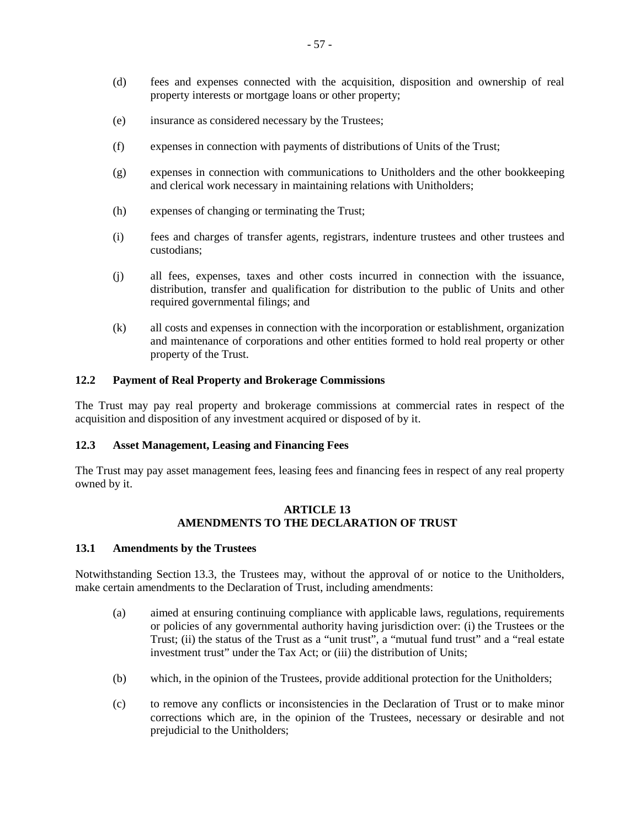- (d) fees and expenses connected with the acquisition, disposition and ownership of real property interests or mortgage loans or other property;
- (e) insurance as considered necessary by the Trustees;
- (f) expenses in connection with payments of distributions of Units of the Trust;
- (g) expenses in connection with communications to Unitholders and the other bookkeeping and clerical work necessary in maintaining relations with Unitholders;
- (h) expenses of changing or terminating the Trust;
- (i) fees and charges of transfer agents, registrars, indenture trustees and other trustees and custodians;
- (j) all fees, expenses, taxes and other costs incurred in connection with the issuance, distribution, transfer and qualification for distribution to the public of Units and other required governmental filings; and
- (k) all costs and expenses in connection with the incorporation or establishment, organization and maintenance of corporations and other entities formed to hold real property or other property of the Trust.

## **12.2 Payment of Real Property and Brokerage Commissions**

The Trust may pay real property and brokerage commissions at commercial rates in respect of the acquisition and disposition of any investment acquired or disposed of by it.

#### **12.3 Asset Management, Leasing and Financing Fees**

The Trust may pay asset management fees, leasing fees and financing fees in respect of any real property owned by it.

## **ARTICLE 13 AMENDMENTS TO THE DECLARATION OF TRUST**

#### <span id="page-61-1"></span><span id="page-61-0"></span>**13.1 Amendments by the Trustees**

Notwithstanding Section [13.3,](#page-63-1) the Trustees may, without the approval of or notice to the Unitholders, make certain amendments to the Declaration of Trust, including amendments:

- (a) aimed at ensuring continuing compliance with applicable laws, regulations, requirements or policies of any governmental authority having jurisdiction over: (i) the Trustees or the Trust; (ii) the status of the Trust as a "unit trust", a "mutual fund trust" and a "real estate investment trust" under the Tax Act; or (iii) the distribution of Units;
- (b) which, in the opinion of the Trustees, provide additional protection for the Unitholders;
- (c) to remove any conflicts or inconsistencies in the Declaration of Trust or to make minor corrections which are, in the opinion of the Trustees, necessary or desirable and not prejudicial to the Unitholders;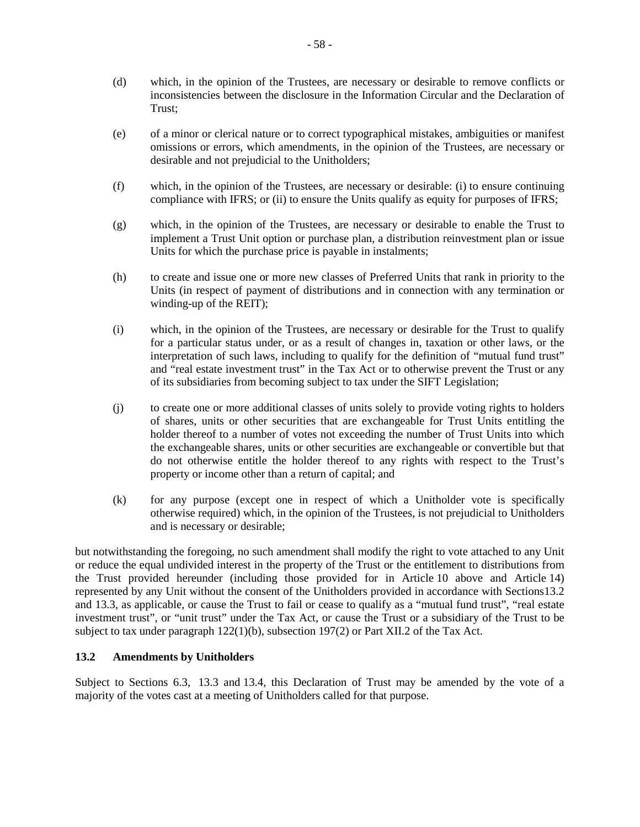- (d) which, in the opinion of the Trustees, are necessary or desirable to remove conflicts or inconsistencies between the disclosure in the Information Circular and the Declaration of Trust;
- (e) of a minor or clerical nature or to correct typographical mistakes, ambiguities or manifest omissions or errors, which amendments, in the opinion of the Trustees, are necessary or desirable and not prejudicial to the Unitholders;
- (f) which, in the opinion of the Trustees, are necessary or desirable: (i) to ensure continuing compliance with IFRS; or (ii) to ensure the Units qualify as equity for purposes of IFRS;
- (g) which, in the opinion of the Trustees, are necessary or desirable to enable the Trust to implement a Trust Unit option or purchase plan, a distribution reinvestment plan or issue Units for which the purchase price is payable in instalments;
- (h) to create and issue one or more new classes of Preferred Units that rank in priority to the Units (in respect of payment of distributions and in connection with any termination or winding-up of the REIT);
- (i) which, in the opinion of the Trustees, are necessary or desirable for the Trust to qualify for a particular status under, or as a result of changes in, taxation or other laws, or the interpretation of such laws, including to qualify for the definition of "mutual fund trust" and "real estate investment trust" in the Tax Act or to otherwise prevent the Trust or any of its subsidiaries from becoming subject to tax under the SIFT Legislation;
- (j) to create one or more additional classes of units solely to provide voting rights to holders of shares, units or other securities that are exchangeable for Trust Units entitling the holder thereof to a number of votes not exceeding the number of Trust Units into which the exchangeable shares, units or other securities are exchangeable or convertible but that do not otherwise entitle the holder thereof to any rights with respect to the Trust's property or income other than a return of capital; and
- (k) for any purpose (except one in respect of which a Unitholder vote is specifically otherwise required) which, in the opinion of the Trustees, is not prejudicial to Unitholders and is necessary or desirable;

but notwithstanding the foregoing, no such amendment shall modify the right to vote attached to any Unit or reduce the equal undivided interest in the property of the Trust or the entitlement to distributions from the Trust provided hereunder (including those provided for in Article [10 above](#page-57-0) and [Article](#page-64-1) 14) represented by any Unit without the consent of the Unitholders provided in accordance with Section[s13.2](#page-62-0) and [13.3,](#page-63-1) as applicable, or cause the Trust to fail or cease to qualify as a "mutual fund trust", "real estate investment trust", or "unit trust" under the Tax Act, or cause the Trust or a subsidiary of the Trust to be subject to tax under paragraph  $122(1)(b)$ , subsection  $197(2)$  or Part XII.2 of the Tax Act.

# <span id="page-62-0"></span>**13.2 Amendments by Unitholders**

Subject to Sections 6.3, [13.3](#page-63-1) and [13.4,](#page-63-0) this Declaration of Trust may be amended by the vote of a majority of the votes cast at a meeting of Unitholders called for that purpose.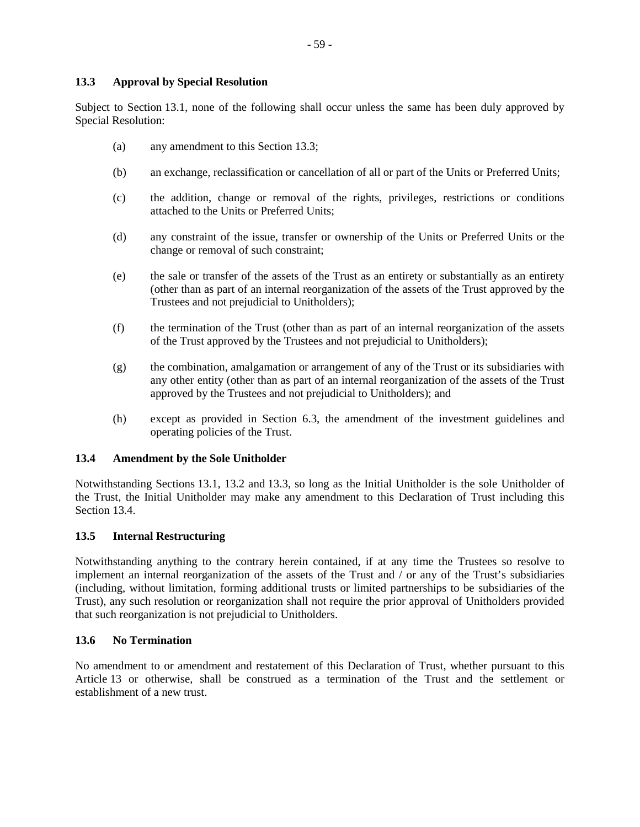## <span id="page-63-1"></span>**13.3 Approval by Special Resolution**

Subject to Section [13.1,](#page-61-0) none of the following shall occur unless the same has been duly approved by Special Resolution:

- (a) any amendment to this Section [13.3;](#page-63-1)
- (b) an exchange, reclassification or cancellation of all or part of the Units or Preferred Units;
- (c) the addition, change or removal of the rights, privileges, restrictions or conditions attached to the Units or Preferred Units;
- (d) any constraint of the issue, transfer or ownership of the Units or Preferred Units or the change or removal of such constraint;
- (e) the sale or transfer of the assets of the Trust as an entirety or substantially as an entirety (other than as part of an internal reorganization of the assets of the Trust approved by the Trustees and not prejudicial to Unitholders);
- (f) the termination of the Trust (other than as part of an internal reorganization of the assets of the Trust approved by the Trustees and not prejudicial to Unitholders);
- (g) the combination, amalgamation or arrangement of any of the Trust or its subsidiaries with any other entity (other than as part of an internal reorganization of the assets of the Trust approved by the Trustees and not prejudicial to Unitholders); and
- (h) except as provided in Section [6.3,](#page-32-0) the amendment of the investment guidelines and operating policies of the Trust.

## <span id="page-63-0"></span>**13.4 Amendment by the Sole Unitholder**

Notwithstanding Sections [13.1,](#page-61-0) [13.2](#page-62-0) and [13.3,](#page-63-1) so long as the Initial Unitholder is the sole Unitholder of the Trust, the Initial Unitholder may make any amendment to this Declaration of Trust including this Section [13.4.](#page-63-0)

## **13.5 Internal Restructuring**

Notwithstanding anything to the contrary herein contained, if at any time the Trustees so resolve to implement an internal reorganization of the assets of the Trust and / or any of the Trust's subsidiaries (including, without limitation, forming additional trusts or limited partnerships to be subsidiaries of the Trust), any such resolution or reorganization shall not require the prior approval of Unitholders provided that such reorganization is not prejudicial to Unitholders.

## **13.6 No Termination**

No amendment to or amendment and restatement of this Declaration of Trust, whether pursuant to this [Article](#page-61-1) 13 or otherwise, shall be construed as a termination of the Trust and the settlement or establishment of a new trust.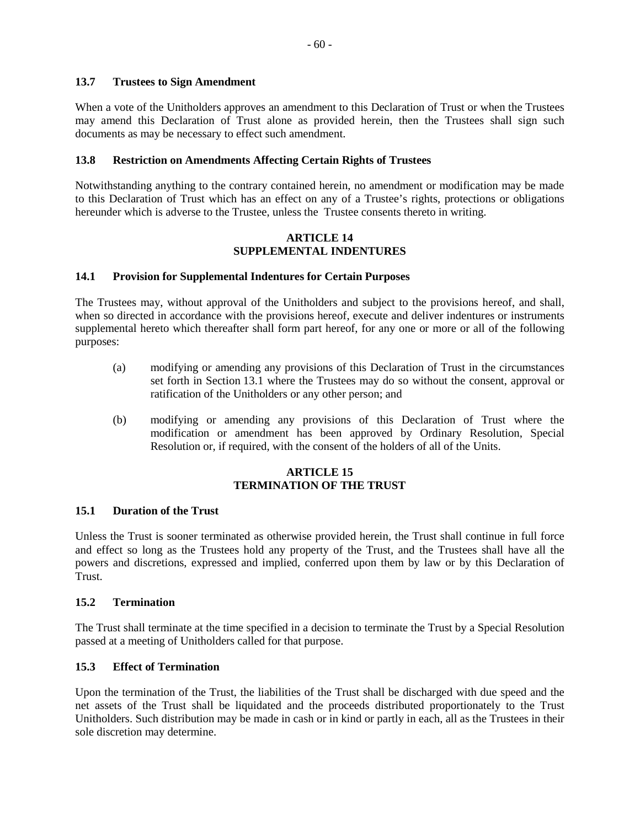## **13.7 Trustees to Sign Amendment**

When a vote of the Unitholders approves an amendment to this Declaration of Trust or when the Trustees may amend this Declaration of Trust alone as provided herein, then the Trustees shall sign such documents as may be necessary to effect such amendment.

## **13.8 Restriction on Amendments Affecting Certain Rights of Trustees**

Notwithstanding anything to the contrary contained herein, no amendment or modification may be made to this Declaration of Trust which has an effect on any of a Trustee's rights, protections or obligations hereunder which is adverse to the Trustee, unless the Trustee consents thereto in writing.

### **ARTICLE 14 SUPPLEMENTAL INDENTURES**

## <span id="page-64-1"></span>**14.1 Provision for Supplemental Indentures for Certain Purposes**

The Trustees may, without approval of the Unitholders and subject to the provisions hereof, and shall, when so directed in accordance with the provisions hereof, execute and deliver indentures or instruments supplemental hereto which thereafter shall form part hereof, for any one or more or all of the following purposes:

- (a) modifying or amending any provisions of this Declaration of Trust in the circumstances set forth in Section [13.1](#page-61-0) where the Trustees may do so without the consent, approval or ratification of the Unitholders or any other person; and
- (b) modifying or amending any provisions of this Declaration of Trust where the modification or amendment has been approved by Ordinary Resolution, Special Resolution or, if required, with the consent of the holders of all of the Units.

## **ARTICLE 15 TERMINATION OF THE TRUST**

## **15.1 Duration of the Trust**

Unless the Trust is sooner terminated as otherwise provided herein, the Trust shall continue in full force and effect so long as the Trustees hold any property of the Trust, and the Trustees shall have all the powers and discretions, expressed and implied, conferred upon them by law or by this Declaration of Trust.

## <span id="page-64-0"></span>**15.2 Termination**

The Trust shall terminate at the time specified in a decision to terminate the Trust by a Special Resolution passed at a meeting of Unitholders called for that purpose.

## <span id="page-64-2"></span>**15.3 Effect of Termination**

Upon the termination of the Trust, the liabilities of the Trust shall be discharged with due speed and the net assets of the Trust shall be liquidated and the proceeds distributed proportionately to the Trust Unitholders. Such distribution may be made in cash or in kind or partly in each, all as the Trustees in their sole discretion may determine.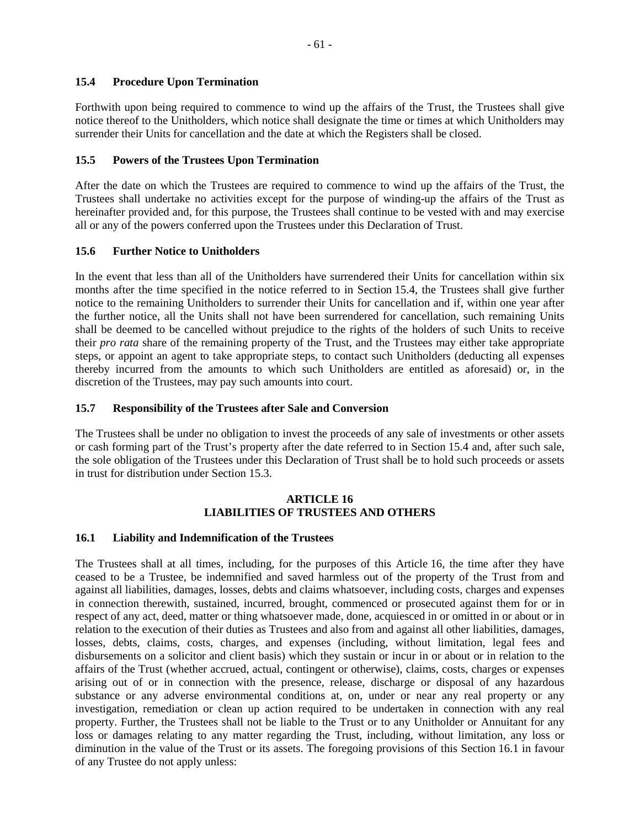## <span id="page-65-0"></span>**15.4 Procedure Upon Termination**

Forthwith upon being required to commence to wind up the affairs of the Trust, the Trustees shall give notice thereof to the Unitholders, which notice shall designate the time or times at which Unitholders may surrender their Units for cancellation and the date at which the Registers shall be closed.

## **15.5 Powers of the Trustees Upon Termination**

After the date on which the Trustees are required to commence to wind up the affairs of the Trust, the Trustees shall undertake no activities except for the purpose of winding-up the affairs of the Trust as hereinafter provided and, for this purpose, the Trustees shall continue to be vested with and may exercise all or any of the powers conferred upon the Trustees under this Declaration of Trust.

## **15.6 Further Notice to Unitholders**

In the event that less than all of the Unitholders have surrendered their Units for cancellation within six months after the time specified in the notice referred to in Section [15.4,](#page-65-0) the Trustees shall give further notice to the remaining Unitholders to surrender their Units for cancellation and if, within one year after the further notice, all the Units shall not have been surrendered for cancellation, such remaining Units shall be deemed to be cancelled without prejudice to the rights of the holders of such Units to receive their *pro rata* share of the remaining property of the Trust, and the Trustees may either take appropriate steps, or appoint an agent to take appropriate steps, to contact such Unitholders (deducting all expenses thereby incurred from the amounts to which such Unitholders are entitled as aforesaid) or, in the discretion of the Trustees, may pay such amounts into court.

## **15.7 Responsibility of the Trustees after Sale and Conversion**

The Trustees shall be under no obligation to invest the proceeds of any sale of investments or other assets or cash forming part of the Trust's property after the date referred to in Section [15.4](#page-65-0) and, after such sale, the sole obligation of the Trustees under this Declaration of Trust shall be to hold such proceeds or assets in trust for distribution under Section [15.3.](#page-64-2)

## **ARTICLE 16 LIABILITIES OF TRUSTEES AND OTHERS**

#### <span id="page-65-2"></span><span id="page-65-1"></span>**16.1 Liability and Indemnification of the Trustees**

The Trustees shall at all times, including, for the purposes of this [Article](#page-65-1) 16, the time after they have ceased to be a Trustee, be indemnified and saved harmless out of the property of the Trust from and against all liabilities, damages, losses, debts and claims whatsoever, including costs, charges and expenses in connection therewith, sustained, incurred, brought, commenced or prosecuted against them for or in respect of any act, deed, matter or thing whatsoever made, done, acquiesced in or omitted in or about or in relation to the execution of their duties as Trustees and also from and against all other liabilities, damages, losses, debts, claims, costs, charges, and expenses (including, without limitation, legal fees and disbursements on a solicitor and client basis) which they sustain or incur in or about or in relation to the affairs of the Trust (whether accrued, actual, contingent or otherwise), claims, costs, charges or expenses arising out of or in connection with the presence, release, discharge or disposal of any hazardous substance or any adverse environmental conditions at, on, under or near any real property or any investigation, remediation or clean up action required to be undertaken in connection with any real property. Further, the Trustees shall not be liable to the Trust or to any Unitholder or Annuitant for any loss or damages relating to any matter regarding the Trust, including, without limitation, any loss or diminution in the value of the Trust or its assets. The foregoing provisions of this Section [16.1](#page-65-2) in favour of any Trustee do not apply unless: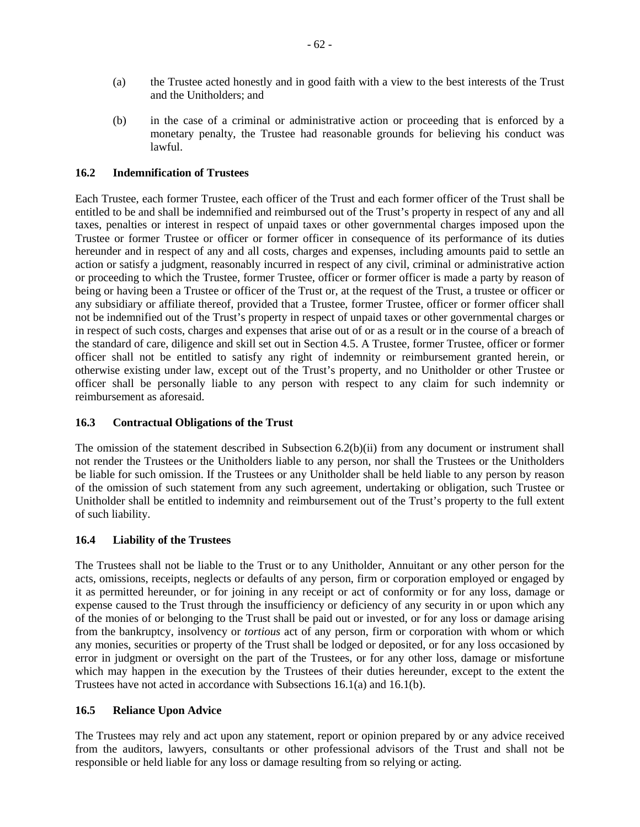- <span id="page-66-0"></span>(a) the Trustee acted honestly and in good faith with a view to the best interests of the Trust and the Unitholders; and
- <span id="page-66-1"></span>(b) in the case of a criminal or administrative action or proceeding that is enforced by a monetary penalty, the Trustee had reasonable grounds for believing his conduct was lawful.

## **16.2 Indemnification of Trustees**

Each Trustee, each former Trustee, each officer of the Trust and each former officer of the Trust shall be entitled to be and shall be indemnified and reimbursed out of the Trust's property in respect of any and all taxes, penalties or interest in respect of unpaid taxes or other governmental charges imposed upon the Trustee or former Trustee or officer or former officer in consequence of its performance of its duties hereunder and in respect of any and all costs, charges and expenses, including amounts paid to settle an action or satisfy a judgment, reasonably incurred in respect of any civil, criminal or administrative action or proceeding to which the Trustee, former Trustee, officer or former officer is made a party by reason of being or having been a Trustee or officer of the Trust or, at the request of the Trust, a trustee or officer or any subsidiary or affiliate thereof, provided that a Trustee, former Trustee, officer or former officer shall not be indemnified out of the Trust's property in respect of unpaid taxes or other governmental charges or in respect of such costs, charges and expenses that arise out of or as a result or in the course of a breach of the standard of care, diligence and skill set out in Section [4.5.](#page-24-0) A Trustee, former Trustee, officer or former officer shall not be entitled to satisfy any right of indemnity or reimbursement granted herein, or otherwise existing under law, except out of the Trust's property, and no Unitholder or other Trustee or officer shall be personally liable to any person with respect to any claim for such indemnity or reimbursement as aforesaid.

## **16.3 Contractual Obligations of the Trust**

The omission of the statement described in Subsection [6.2\(b\)\(](#page-31-0)ii) from any document or instrument shall not render the Trustees or the Unitholders liable to any person, nor shall the Trustees or the Unitholders be liable for such omission. If the Trustees or any Unitholder shall be held liable to any person by reason of the omission of such statement from any such agreement, undertaking or obligation, such Trustee or Unitholder shall be entitled to indemnity and reimbursement out of the Trust's property to the full extent of such liability.

## <span id="page-66-2"></span>**16.4 Liability of the Trustees**

The Trustees shall not be liable to the Trust or to any Unitholder, Annuitant or any other person for the acts, omissions, receipts, neglects or defaults of any person, firm or corporation employed or engaged by it as permitted hereunder, or for joining in any receipt or act of conformity or for any loss, damage or expense caused to the Trust through the insufficiency or deficiency of any security in or upon which any of the monies of or belonging to the Trust shall be paid out or invested, or for any loss or damage arising from the bankruptcy, insolvency or *tortious* act of any person, firm or corporation with whom or which any monies, securities or property of the Trust shall be lodged or deposited, or for any loss occasioned by error in judgment or oversight on the part of the Trustees, or for any other loss, damage or misfortune which may happen in the execution by the Trustees of their duties hereunder, except to the extent the Trustees have not acted in accordance with Subsections [16.1\(a\)](#page-66-0) and [16.1\(b\).](#page-66-1)

## <span id="page-66-3"></span>**16.5 Reliance Upon Advice**

The Trustees may rely and act upon any statement, report or opinion prepared by or any advice received from the auditors, lawyers, consultants or other professional advisors of the Trust and shall not be responsible or held liable for any loss or damage resulting from so relying or acting.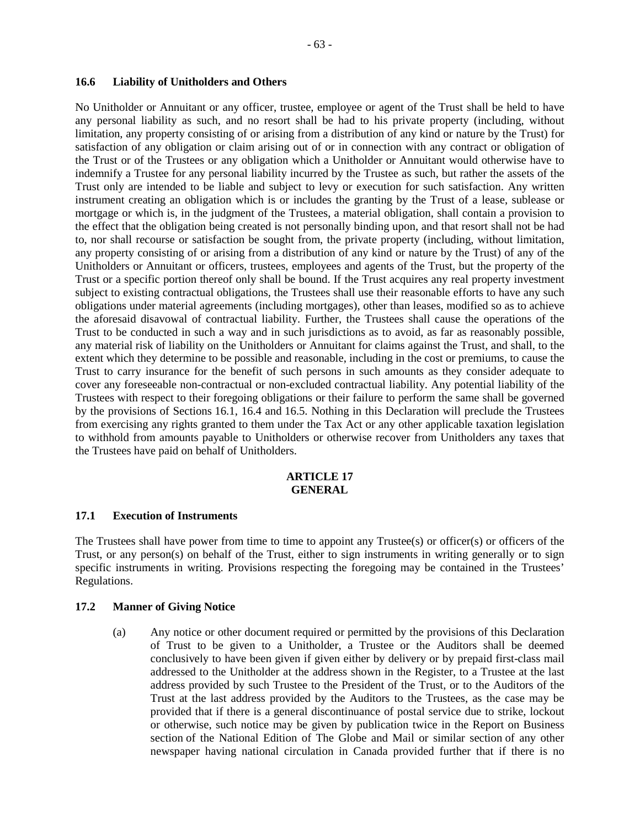#### **16.6 Liability of Unitholders and Others**

No Unitholder or Annuitant or any officer, trustee, employee or agent of the Trust shall be held to have any personal liability as such, and no resort shall be had to his private property (including, without limitation, any property consisting of or arising from a distribution of any kind or nature by the Trust) for satisfaction of any obligation or claim arising out of or in connection with any contract or obligation of the Trust or of the Trustees or any obligation which a Unitholder or Annuitant would otherwise have to indemnify a Trustee for any personal liability incurred by the Trustee as such, but rather the assets of the Trust only are intended to be liable and subject to levy or execution for such satisfaction. Any written instrument creating an obligation which is or includes the granting by the Trust of a lease, sublease or mortgage or which is, in the judgment of the Trustees, a material obligation, shall contain a provision to the effect that the obligation being created is not personally binding upon, and that resort shall not be had to, nor shall recourse or satisfaction be sought from, the private property (including, without limitation, any property consisting of or arising from a distribution of any kind or nature by the Trust) of any of the Unitholders or Annuitant or officers, trustees, employees and agents of the Trust, but the property of the Trust or a specific portion thereof only shall be bound. If the Trust acquires any real property investment subject to existing contractual obligations, the Trustees shall use their reasonable efforts to have any such obligations under material agreements (including mortgages), other than leases, modified so as to achieve the aforesaid disavowal of contractual liability. Further, the Trustees shall cause the operations of the Trust to be conducted in such a way and in such jurisdictions as to avoid, as far as reasonably possible, any material risk of liability on the Unitholders or Annuitant for claims against the Trust, and shall, to the extent which they determine to be possible and reasonable, including in the cost or premiums, to cause the Trust to carry insurance for the benefit of such persons in such amounts as they consider adequate to cover any foreseeable non-contractual or non-excluded contractual liability. Any potential liability of the Trustees with respect to their foregoing obligations or their failure to perform the same shall be governed by the provisions of Sections [16.1,](#page-65-2) [16.4](#page-66-2) and [16.5.](#page-66-3) Nothing in this Declaration will preclude the Trustees from exercising any rights granted to them under the Tax Act or any other applicable taxation legislation to withhold from amounts payable to Unitholders or otherwise recover from Unitholders any taxes that the Trustees have paid on behalf of Unitholders.

#### **ARTICLE 17 GENERAL**

#### <span id="page-67-0"></span>**17.1 Execution of Instruments**

The Trustees shall have power from time to time to appoint any Trustee(s) or officer(s) or officers of the Trust, or any person(s) on behalf of the Trust, either to sign instruments in writing generally or to sign specific instruments in writing. Provisions respecting the foregoing may be contained in the Trustees' Regulations.

#### **17.2 Manner of Giving Notice**

(a) Any notice or other document required or permitted by the provisions of this Declaration of Trust to be given to a Unitholder, a Trustee or the Auditors shall be deemed conclusively to have been given if given either by delivery or by prepaid first-class mail addressed to the Unitholder at the address shown in the Register, to a Trustee at the last address provided by such Trustee to the President of the Trust, or to the Auditors of the Trust at the last address provided by the Auditors to the Trustees, as the case may be provided that if there is a general discontinuance of postal service due to strike, lockout or otherwise, such notice may be given by publication twice in the Report on Business section of the National Edition of The Globe and Mail or similar section of any other newspaper having national circulation in Canada provided further that if there is no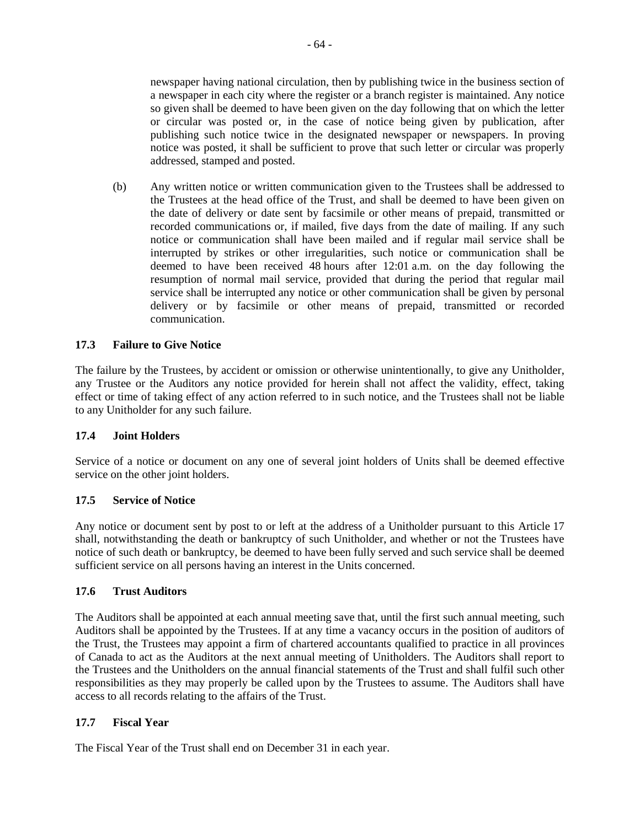newspaper having national circulation, then by publishing twice in the business section of a newspaper in each city where the register or a branch register is maintained. Any notice so given shall be deemed to have been given on the day following that on which the letter or circular was posted or, in the case of notice being given by publication, after publishing such notice twice in the designated newspaper or newspapers. In proving notice was posted, it shall be sufficient to prove that such letter or circular was properly addressed, stamped and posted.

(b) Any written notice or written communication given to the Trustees shall be addressed to the Trustees at the head office of the Trust, and shall be deemed to have been given on the date of delivery or date sent by facsimile or other means of prepaid, transmitted or recorded communications or, if mailed, five days from the date of mailing. If any such notice or communication shall have been mailed and if regular mail service shall be interrupted by strikes or other irregularities, such notice or communication shall be deemed to have been received 48 hours after 12:01 a.m. on the day following the resumption of normal mail service, provided that during the period that regular mail service shall be interrupted any notice or other communication shall be given by personal delivery or by facsimile or other means of prepaid, transmitted or recorded communication.

# **17.3 Failure to Give Notice**

The failure by the Trustees, by accident or omission or otherwise unintentionally, to give any Unitholder, any Trustee or the Auditors any notice provided for herein shall not affect the validity, effect, taking effect or time of taking effect of any action referred to in such notice, and the Trustees shall not be liable to any Unitholder for any such failure.

## **17.4 Joint Holders**

Service of a notice or document on any one of several joint holders of Units shall be deemed effective service on the other joint holders.

## **17.5 Service of Notice**

Any notice or document sent by post to or left at the address of a Unitholder pursuant to this [Article](#page-67-0) 17 shall, notwithstanding the death or bankruptcy of such Unitholder, and whether or not the Trustees have notice of such death or bankruptcy, be deemed to have been fully served and such service shall be deemed sufficient service on all persons having an interest in the Units concerned.

## <span id="page-68-0"></span>**17.6 Trust Auditors**

The Auditors shall be appointed at each annual meeting save that, until the first such annual meeting, such Auditors shall be appointed by the Trustees. If at any time a vacancy occurs in the position of auditors of the Trust, the Trustees may appoint a firm of chartered accountants qualified to practice in all provinces of Canada to act as the Auditors at the next annual meeting of Unitholders. The Auditors shall report to the Trustees and the Unitholders on the annual financial statements of the Trust and shall fulfil such other responsibilities as they may properly be called upon by the Trustees to assume. The Auditors shall have access to all records relating to the affairs of the Trust.

#### **17.7 Fiscal Year**

The Fiscal Year of the Trust shall end on December 31 in each year.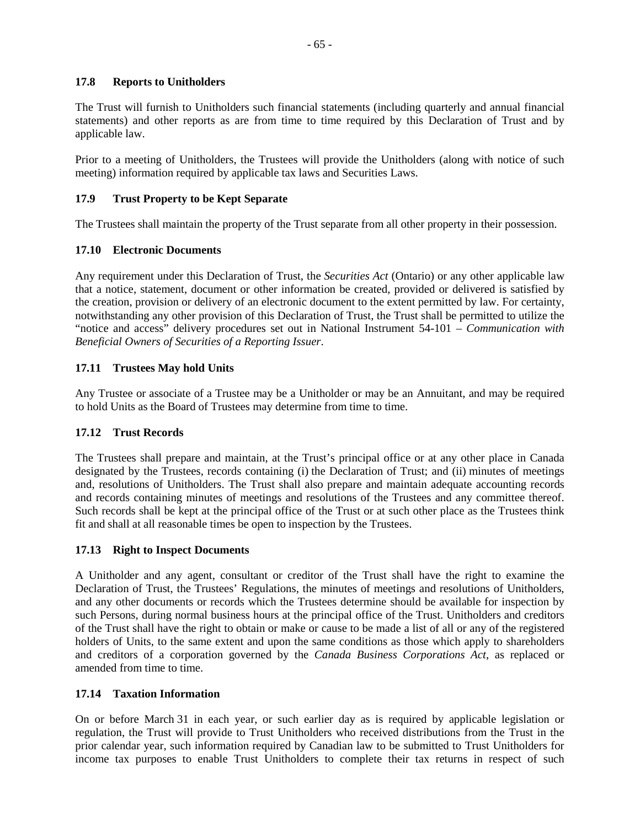## <span id="page-69-0"></span>**17.8 Reports to Unitholders**

The Trust will furnish to Unitholders such financial statements (including quarterly and annual financial statements) and other reports as are from time to time required by this Declaration of Trust and by applicable law.

Prior to a meeting of Unitholders, the Trustees will provide the Unitholders (along with notice of such meeting) information required by applicable tax laws and Securities Laws.

## **17.9 Trust Property to be Kept Separate**

The Trustees shall maintain the property of the Trust separate from all other property in their possession.

## **17.10 Electronic Documents**

Any requirement under this Declaration of Trust, the *Securities Act* (Ontario) or any other applicable law that a notice, statement, document or other information be created, provided or delivered is satisfied by the creation, provision or delivery of an electronic document to the extent permitted by law. For certainty, notwithstanding any other provision of this Declaration of Trust, the Trust shall be permitted to utilize the "notice and access" delivery procedures set out in National Instrument 54-101 – *Communication with Beneficial Owners of Securities of a Reporting Issuer*.

# **17.11 Trustees May hold Units**

Any Trustee or associate of a Trustee may be a Unitholder or may be an Annuitant, and may be required to hold Units as the Board of Trustees may determine from time to time.

## **17.12 Trust Records**

The Trustees shall prepare and maintain, at the Trust's principal office or at any other place in Canada designated by the Trustees, records containing (i) the Declaration of Trust; and (ii) minutes of meetings and, resolutions of Unitholders. The Trust shall also prepare and maintain adequate accounting records and records containing minutes of meetings and resolutions of the Trustees and any committee thereof. Such records shall be kept at the principal office of the Trust or at such other place as the Trustees think fit and shall at all reasonable times be open to inspection by the Trustees.

## **17.13 Right to Inspect Documents**

A Unitholder and any agent, consultant or creditor of the Trust shall have the right to examine the Declaration of Trust, the Trustees' Regulations, the minutes of meetings and resolutions of Unitholders, and any other documents or records which the Trustees determine should be available for inspection by such Persons, during normal business hours at the principal office of the Trust. Unitholders and creditors of the Trust shall have the right to obtain or make or cause to be made a list of all or any of the registered holders of Units, to the same extent and upon the same conditions as those which apply to shareholders and creditors of a corporation governed by the *Canada Business Corporations Act*, as replaced or amended from time to time.

## **17.14 Taxation Information**

On or before March 31 in each year, or such earlier day as is required by applicable legislation or regulation, the Trust will provide to Trust Unitholders who received distributions from the Trust in the prior calendar year, such information required by Canadian law to be submitted to Trust Unitholders for income tax purposes to enable Trust Unitholders to complete their tax returns in respect of such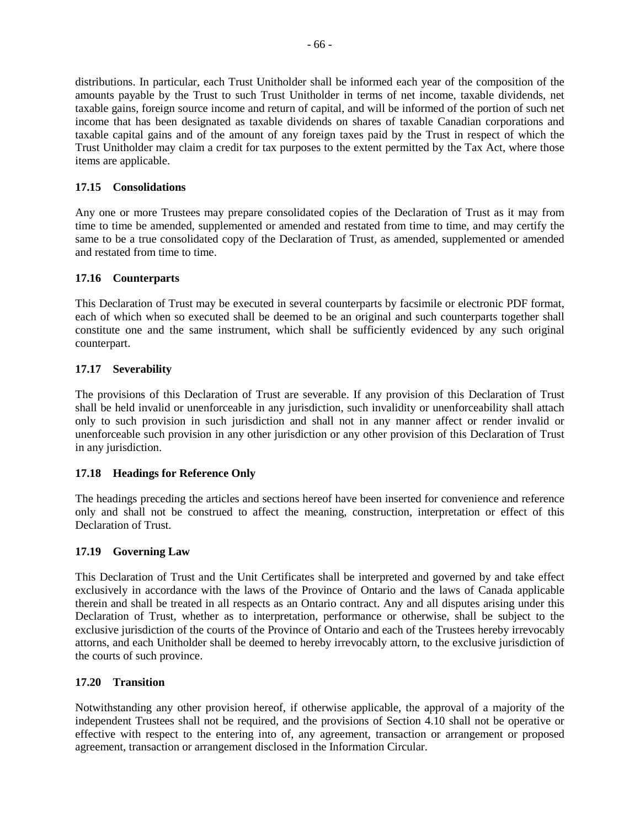distributions. In particular, each Trust Unitholder shall be informed each year of the composition of the amounts payable by the Trust to such Trust Unitholder in terms of net income, taxable dividends, net taxable gains, foreign source income and return of capital, and will be informed of the portion of such net income that has been designated as taxable dividends on shares of taxable Canadian corporations and taxable capital gains and of the amount of any foreign taxes paid by the Trust in respect of which the Trust Unitholder may claim a credit for tax purposes to the extent permitted by the Tax Act, where those items are applicable.

# **17.15 Consolidations**

Any one or more Trustees may prepare consolidated copies of the Declaration of Trust as it may from time to time be amended, supplemented or amended and restated from time to time, and may certify the same to be a true consolidated copy of the Declaration of Trust, as amended, supplemented or amended and restated from time to time.

## **17.16 Counterparts**

This Declaration of Trust may be executed in several counterparts by facsimile or electronic PDF format, each of which when so executed shall be deemed to be an original and such counterparts together shall constitute one and the same instrument, which shall be sufficiently evidenced by any such original counterpart.

# **17.17 Severability**

The provisions of this Declaration of Trust are severable. If any provision of this Declaration of Trust shall be held invalid or unenforceable in any jurisdiction, such invalidity or unenforceability shall attach only to such provision in such jurisdiction and shall not in any manner affect or render invalid or unenforceable such provision in any other jurisdiction or any other provision of this Declaration of Trust in any jurisdiction.

## **17.18 Headings for Reference Only**

The headings preceding the articles and sections hereof have been inserted for convenience and reference only and shall not be construed to affect the meaning, construction, interpretation or effect of this Declaration of Trust.

## **17.19 Governing Law**

This Declaration of Trust and the Unit Certificates shall be interpreted and governed by and take effect exclusively in accordance with the laws of the Province of Ontario and the laws of Canada applicable therein and shall be treated in all respects as an Ontario contract. Any and all disputes arising under this Declaration of Trust, whether as to interpretation, performance or otherwise, shall be subject to the exclusive jurisdiction of the courts of the Province of Ontario and each of the Trustees hereby irrevocably attorns, and each Unitholder shall be deemed to hereby irrevocably attorn, to the exclusive jurisdiction of the courts of such province.

## **17.20 Transition**

Notwithstanding any other provision hereof, if otherwise applicable, the approval of a majority of the independent Trustees shall not be required, and the provisions of Section [4.10](#page-25-0) shall not be operative or effective with respect to the entering into of, any agreement, transaction or arrangement or proposed agreement, transaction or arrangement disclosed in the Information Circular.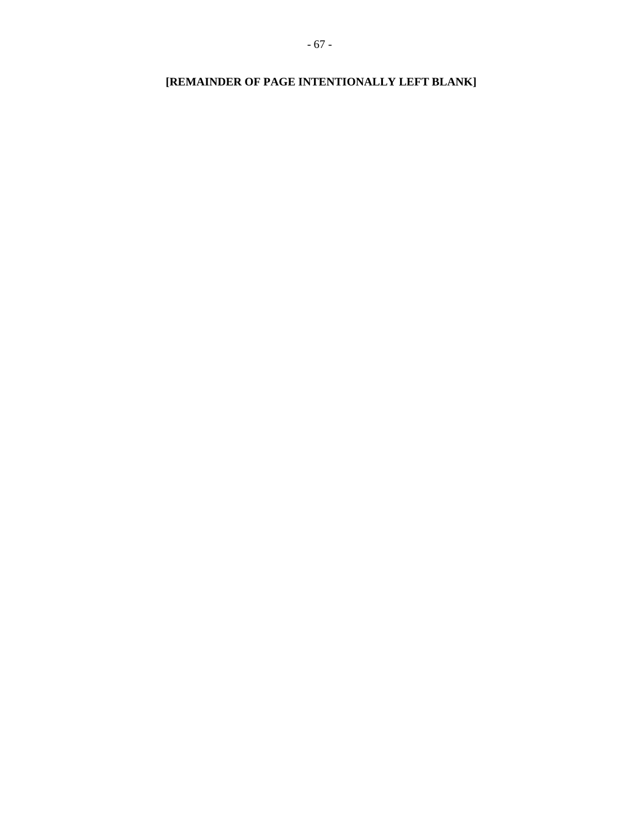# **[REMAINDER OF PAGE INTENTIONALLY LEFT BLANK]**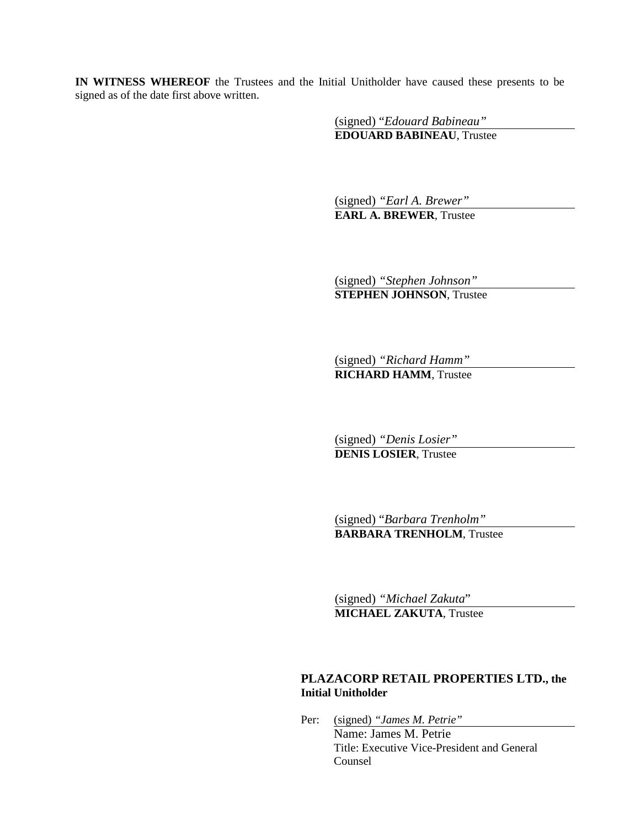**IN WITNESS WHEREOF** the Trustees and the Initial Unitholder have caused these presents to be signed as of the date first above written.

> (signed) "*Edouard Babineau"* **EDOUARD BABINEAU**, Trustee

(signed) *"Earl A. Brewer"* **EARL A. BREWER**, Trustee

(signed) *"Stephen Johnson"* **STEPHEN JOHNSON**, Trustee

(signed) *"Richard Hamm"* **RICHARD HAMM**, Trustee

(signed) *"Denis Losier"* **DENIS LOSIER**, Trustee

(signed) "*Barbara Trenholm"* **BARBARA TRENHOLM**, Trustee

(signed) *"Michael Zakuta*" **MICHAEL ZAKUTA**, Trustee

# **PLAZACORP RETAIL PROPERTIES LTD., the Initial Unitholder**

Per: (signed) *"James M. Petrie"* Name: James M. Petrie Title: Executive Vice-President and General Counsel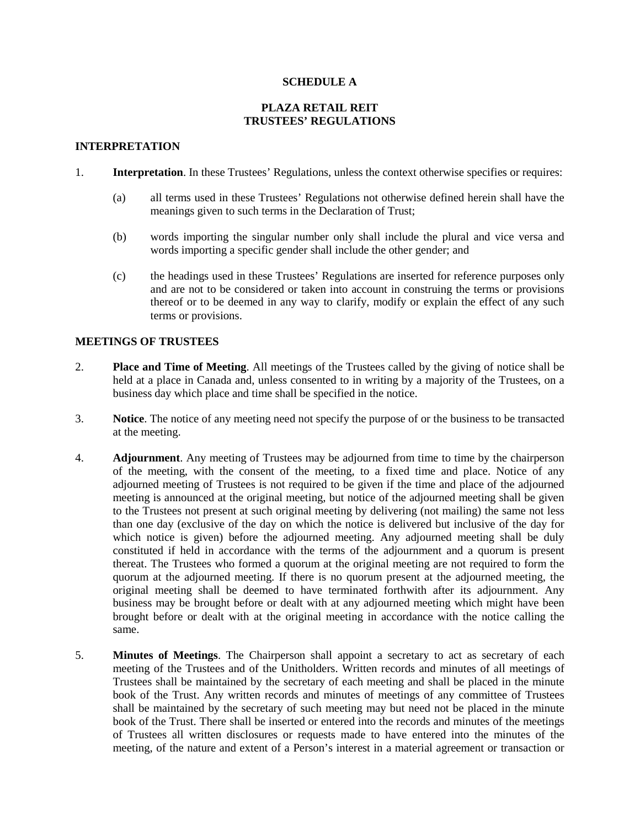#### **SCHEDULE A**

#### **PLAZA RETAIL REIT TRUSTEES' REGULATIONS**

#### **INTERPRETATION**

- 1. **Interpretation**. In these Trustees' Regulations, unless the context otherwise specifies or requires:
	- (a) all terms used in these Trustees' Regulations not otherwise defined herein shall have the meanings given to such terms in the Declaration of Trust;
	- (b) words importing the singular number only shall include the plural and vice versa and words importing a specific gender shall include the other gender; and
	- (c) the headings used in these Trustees' Regulations are inserted for reference purposes only and are not to be considered or taken into account in construing the terms or provisions thereof or to be deemed in any way to clarify, modify or explain the effect of any such terms or provisions.

#### **MEETINGS OF TRUSTEES**

- 2. **Place and Time of Meeting**. All meetings of the Trustees called by the giving of notice shall be held at a place in Canada and, unless consented to in writing by a majority of the Trustees, on a business day which place and time shall be specified in the notice.
- 3. **Notice**. The notice of any meeting need not specify the purpose of or the business to be transacted at the meeting.
- 4. **Adjournment**. Any meeting of Trustees may be adjourned from time to time by the chairperson of the meeting, with the consent of the meeting, to a fixed time and place. Notice of any adjourned meeting of Trustees is not required to be given if the time and place of the adjourned meeting is announced at the original meeting, but notice of the adjourned meeting shall be given to the Trustees not present at such original meeting by delivering (not mailing) the same not less than one day (exclusive of the day on which the notice is delivered but inclusive of the day for which notice is given) before the adjourned meeting. Any adjourned meeting shall be duly constituted if held in accordance with the terms of the adjournment and a quorum is present thereat. The Trustees who formed a quorum at the original meeting are not required to form the quorum at the adjourned meeting. If there is no quorum present at the adjourned meeting, the original meeting shall be deemed to have terminated forthwith after its adjournment. Any business may be brought before or dealt with at any adjourned meeting which might have been brought before or dealt with at the original meeting in accordance with the notice calling the same.
- 5. **Minutes of Meetings**. The Chairperson shall appoint a secretary to act as secretary of each meeting of the Trustees and of the Unitholders. Written records and minutes of all meetings of Trustees shall be maintained by the secretary of each meeting and shall be placed in the minute book of the Trust. Any written records and minutes of meetings of any committee of Trustees shall be maintained by the secretary of such meeting may but need not be placed in the minute book of the Trust. There shall be inserted or entered into the records and minutes of the meetings of Trustees all written disclosures or requests made to have entered into the minutes of the meeting, of the nature and extent of a Person's interest in a material agreement or transaction or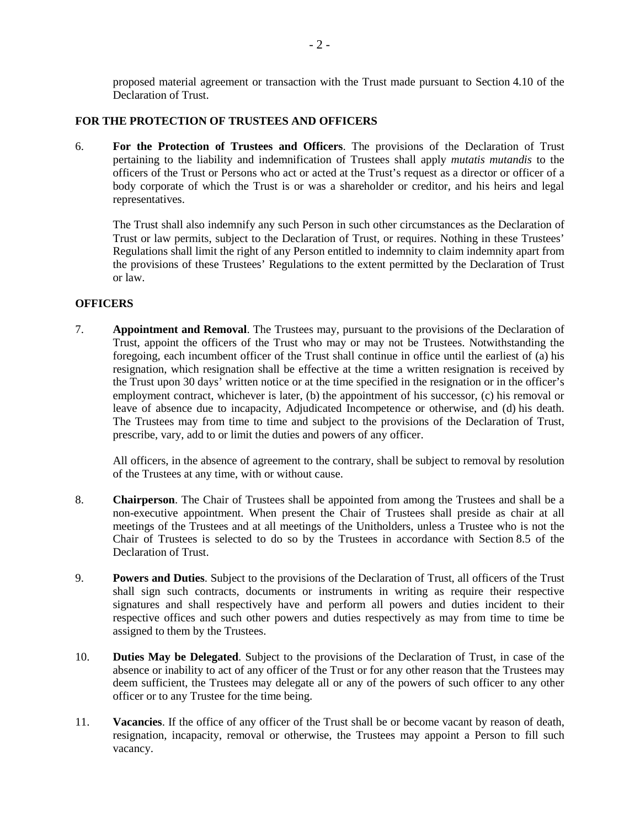proposed material agreement or transaction with the Trust made pursuant to Section [4.10](#page-25-0) of the Declaration of Trust.

## **FOR THE PROTECTION OF TRUSTEES AND OFFICERS**

6. **For the Protection of Trustees and Officers**. The provisions of the Declaration of Trust pertaining to the liability and indemnification of Trustees shall apply *mutatis mutandis* to the officers of the Trust or Persons who act or acted at the Trust's request as a director or officer of a body corporate of which the Trust is or was a shareholder or creditor, and his heirs and legal representatives.

The Trust shall also indemnify any such Person in such other circumstances as the Declaration of Trust or law permits, subject to the Declaration of Trust, or requires. Nothing in these Trustees' Regulations shall limit the right of any Person entitled to indemnity to claim indemnity apart from the provisions of these Trustees' Regulations to the extent permitted by the Declaration of Trust or law.

## **OFFICERS**

7. **Appointment and Removal**. The Trustees may, pursuant to the provisions of the Declaration of Trust, appoint the officers of the Trust who may or may not be Trustees. Notwithstanding the foregoing, each incumbent officer of the Trust shall continue in office until the earliest of (a) his resignation, which resignation shall be effective at the time a written resignation is received by the Trust upon 30 days' written notice or at the time specified in the resignation or in the officer's employment contract, whichever is later, (b) the appointment of his successor, (c) his removal or leave of absence due to incapacity, Adjudicated Incompetence or otherwise, and (d) his death. The Trustees may from time to time and subject to the provisions of the Declaration of Trust, prescribe, vary, add to or limit the duties and powers of any officer.

All officers, in the absence of agreement to the contrary, shall be subject to removal by resolution of the Trustees at any time, with or without cause.

- 8. **Chairperson**. The Chair of Trustees shall be appointed from among the Trustees and shall be a non-executive appointment. When present the Chair of Trustees shall preside as chair at all meetings of the Trustees and at all meetings of the Unitholders, unless a Trustee who is not the Chair of Trustees is selected to do so by the Trustees in accordance with Section [8.5](#page-52-0) of the Declaration of Trust.
- 9. **Powers and Duties**. Subject to the provisions of the Declaration of Trust, all officers of the Trust shall sign such contracts, documents or instruments in writing as require their respective signatures and shall respectively have and perform all powers and duties incident to their respective offices and such other powers and duties respectively as may from time to time be assigned to them by the Trustees.
- 10. **Duties May be Delegated**. Subject to the provisions of the Declaration of Trust, in case of the absence or inability to act of any officer of the Trust or for any other reason that the Trustees may deem sufficient, the Trustees may delegate all or any of the powers of such officer to any other officer or to any Trustee for the time being.
- 11. **Vacancies**. If the office of any officer of the Trust shall be or become vacant by reason of death, resignation, incapacity, removal or otherwise, the Trustees may appoint a Person to fill such vacancy.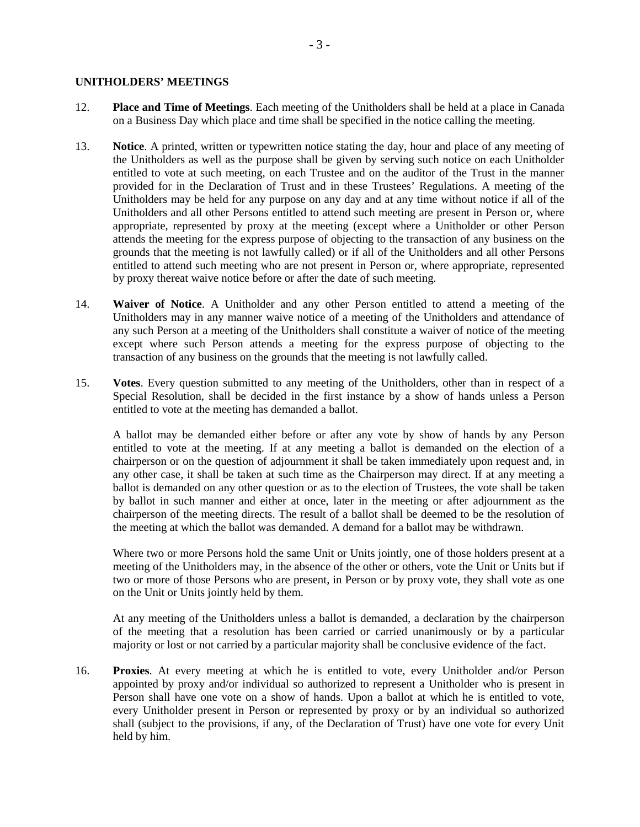#### **UNITHOLDERS' MEETINGS**

- 12. **Place and Time of Meetings**. Each meeting of the Unitholders shall be held at a place in Canada on a Business Day which place and time shall be specified in the notice calling the meeting.
- 13. **Notice**. A printed, written or typewritten notice stating the day, hour and place of any meeting of the Unitholders as well as the purpose shall be given by serving such notice on each Unitholder entitled to vote at such meeting, on each Trustee and on the auditor of the Trust in the manner provided for in the Declaration of Trust and in these Trustees' Regulations. A meeting of the Unitholders may be held for any purpose on any day and at any time without notice if all of the Unitholders and all other Persons entitled to attend such meeting are present in Person or, where appropriate, represented by proxy at the meeting (except where a Unitholder or other Person attends the meeting for the express purpose of objecting to the transaction of any business on the grounds that the meeting is not lawfully called) or if all of the Unitholders and all other Persons entitled to attend such meeting who are not present in Person or, where appropriate, represented by proxy thereat waive notice before or after the date of such meeting.
- 14. **Waiver of Notice**. A Unitholder and any other Person entitled to attend a meeting of the Unitholders may in any manner waive notice of a meeting of the Unitholders and attendance of any such Person at a meeting of the Unitholders shall constitute a waiver of notice of the meeting except where such Person attends a meeting for the express purpose of objecting to the transaction of any business on the grounds that the meeting is not lawfully called.
- 15. **Votes**. Every question submitted to any meeting of the Unitholders, other than in respect of a Special Resolution, shall be decided in the first instance by a show of hands unless a Person entitled to vote at the meeting has demanded a ballot.

A ballot may be demanded either before or after any vote by show of hands by any Person entitled to vote at the meeting. If at any meeting a ballot is demanded on the election of a chairperson or on the question of adjournment it shall be taken immediately upon request and, in any other case, it shall be taken at such time as the Chairperson may direct. If at any meeting a ballot is demanded on any other question or as to the election of Trustees, the vote shall be taken by ballot in such manner and either at once, later in the meeting or after adjournment as the chairperson of the meeting directs. The result of a ballot shall be deemed to be the resolution of the meeting at which the ballot was demanded. A demand for a ballot may be withdrawn.

Where two or more Persons hold the same Unit or Units jointly, one of those holders present at a meeting of the Unitholders may, in the absence of the other or others, vote the Unit or Units but if two or more of those Persons who are present, in Person or by proxy vote, they shall vote as one on the Unit or Units jointly held by them.

At any meeting of the Unitholders unless a ballot is demanded, a declaration by the chairperson of the meeting that a resolution has been carried or carried unanimously or by a particular majority or lost or not carried by a particular majority shall be conclusive evidence of the fact.

16. **Proxies**. At every meeting at which he is entitled to vote, every Unitholder and/or Person appointed by proxy and/or individual so authorized to represent a Unitholder who is present in Person shall have one vote on a show of hands. Upon a ballot at which he is entitled to vote, every Unitholder present in Person or represented by proxy or by an individual so authorized shall (subject to the provisions, if any, of the Declaration of Trust) have one vote for every Unit held by him.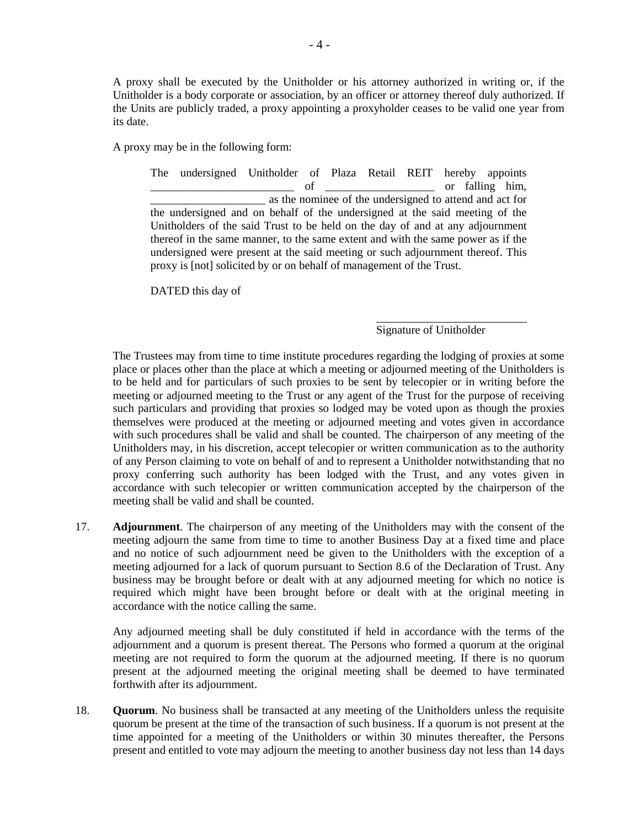A proxy shall be executed by the Unitholder or his attorney authorized in writing or, if the Unitholder is a body corporate or association, by an officer or attorney thereof duly authorized. If the Units are publicly traded, a proxy appointing a proxyholder ceases to be valid one year from its date.

A proxy may be in the following form:

The undersigned Unitholder of Plaza Retail REIT hereby appoints of or falling him, \_\_\_\_\_\_\_\_\_\_\_\_\_\_\_\_\_\_\_\_ as the nominee of the undersigned to attend and act for the undersigned and on behalf of the undersigned at the said meeting of the Unitholders of the said Trust to be held on the day of and at any adjournment thereof in the same manner, to the same extent and with the same power as if the undersigned were present at the said meeting or such adjournment thereof. This proxy is [not] solicited by or on behalf of management of the Trust.

DATED this day of

## Signature of Unitholder

The Trustees may from time to time institute procedures regarding the lodging of proxies at some place or places other than the place at which a meeting or adjourned meeting of the Unitholders is to be held and for particulars of such proxies to be sent by telecopier or in writing before the meeting or adjourned meeting to the Trust or any agent of the Trust for the purpose of receiving such particulars and providing that proxies so lodged may be voted upon as though the proxies themselves were produced at the meeting or adjourned meeting and votes given in accordance with such procedures shall be valid and shall be counted. The chairperson of any meeting of the Unitholders may, in his discretion, accept telecopier or written communication as to the authority of any Person claiming to vote on behalf of and to represent a Unitholder notwithstanding that no proxy conferring such authority has been lodged with the Trust, and any votes given in accordance with such telecopier or written communication accepted by the chairperson of the meeting shall be valid and shall be counted.

17. **Adjournment**. The chairperson of any meeting of the Unitholders may with the consent of the meeting adjourn the same from time to time to another Business Day at a fixed time and place and no notice of such adjournment need be given to the Unitholders with the exception of a meeting adjourned for a lack of quorum pursuant to Section [8.6](#page-52-1) of the Declaration of Trust. Any business may be brought before or dealt with at any adjourned meeting for which no notice is required which might have been brought before or dealt with at the original meeting in accordance with the notice calling the same.

Any adjourned meeting shall be duly constituted if held in accordance with the terms of the adjournment and a quorum is present thereat. The Persons who formed a quorum at the original meeting are not required to form the quorum at the adjourned meeting. If there is no quorum present at the adjourned meeting the original meeting shall be deemed to have terminated forthwith after its adjournment.

18. **Quorum**. No business shall be transacted at any meeting of the Unitholders unless the requisite quorum be present at the time of the transaction of such business. If a quorum is not present at the time appointed for a meeting of the Unitholders or within 30 minutes thereafter, the Persons present and entitled to vote may adjourn the meeting to another business day not less than 14 days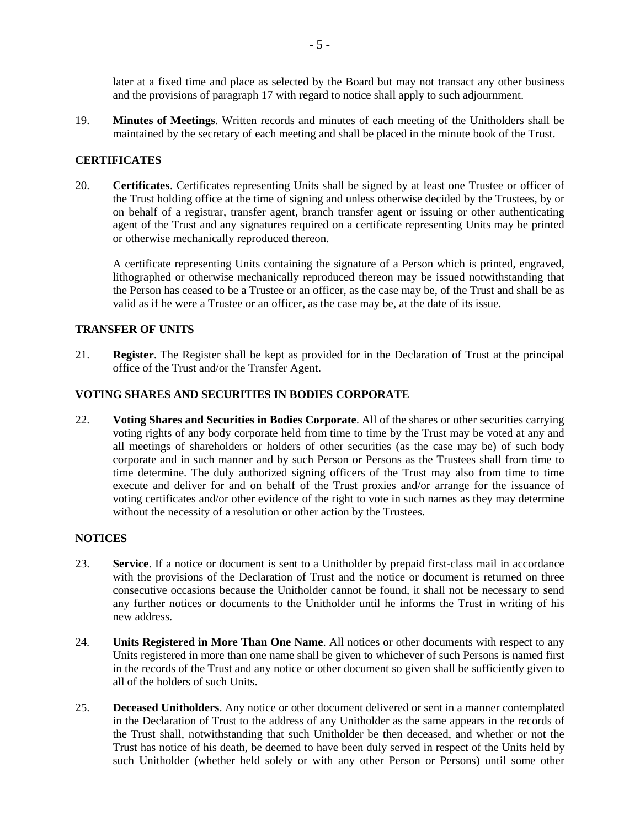later at a fixed time and place as selected by the Board but may not transact any other business and the provisions of paragraph 17 with regard to notice shall apply to such adjournment.

19. **Minutes of Meetings**. Written records and minutes of each meeting of the Unitholders shall be maintained by the secretary of each meeting and shall be placed in the minute book of the Trust.

#### **CERTIFICATES**

20. **Certificates**. Certificates representing Units shall be signed by at least one Trustee or officer of the Trust holding office at the time of signing and unless otherwise decided by the Trustees, by or on behalf of a registrar, transfer agent, branch transfer agent or issuing or other authenticating agent of the Trust and any signatures required on a certificate representing Units may be printed or otherwise mechanically reproduced thereon.

A certificate representing Units containing the signature of a Person which is printed, engraved, lithographed or otherwise mechanically reproduced thereon may be issued notwithstanding that the Person has ceased to be a Trustee or an officer, as the case may be, of the Trust and shall be as valid as if he were a Trustee or an officer, as the case may be, at the date of its issue.

#### **TRANSFER OF UNITS**

21. **Register**. The Register shall be kept as provided for in the Declaration of Trust at the principal office of the Trust and/or the Transfer Agent.

#### **VOTING SHARES AND SECURITIES IN BODIES CORPORATE**

22. **Voting Shares and Securities in Bodies Corporate**. All of the shares or other securities carrying voting rights of any body corporate held from time to time by the Trust may be voted at any and all meetings of shareholders or holders of other securities (as the case may be) of such body corporate and in such manner and by such Person or Persons as the Trustees shall from time to time determine. The duly authorized signing officers of the Trust may also from time to time execute and deliver for and on behalf of the Trust proxies and/or arrange for the issuance of voting certificates and/or other evidence of the right to vote in such names as they may determine without the necessity of a resolution or other action by the Trustees.

#### **NOTICES**

- 23. **Service**. If a notice or document is sent to a Unitholder by prepaid first-class mail in accordance with the provisions of the Declaration of Trust and the notice or document is returned on three consecutive occasions because the Unitholder cannot be found, it shall not be necessary to send any further notices or documents to the Unitholder until he informs the Trust in writing of his new address.
- 24. **Units Registered in More Than One Name**. All notices or other documents with respect to any Units registered in more than one name shall be given to whichever of such Persons is named first in the records of the Trust and any notice or other document so given shall be sufficiently given to all of the holders of such Units.
- 25. **Deceased Unitholders**. Any notice or other document delivered or sent in a manner contemplated in the Declaration of Trust to the address of any Unitholder as the same appears in the records of the Trust shall, notwithstanding that such Unitholder be then deceased, and whether or not the Trust has notice of his death, be deemed to have been duly served in respect of the Units held by such Unitholder (whether held solely or with any other Person or Persons) until some other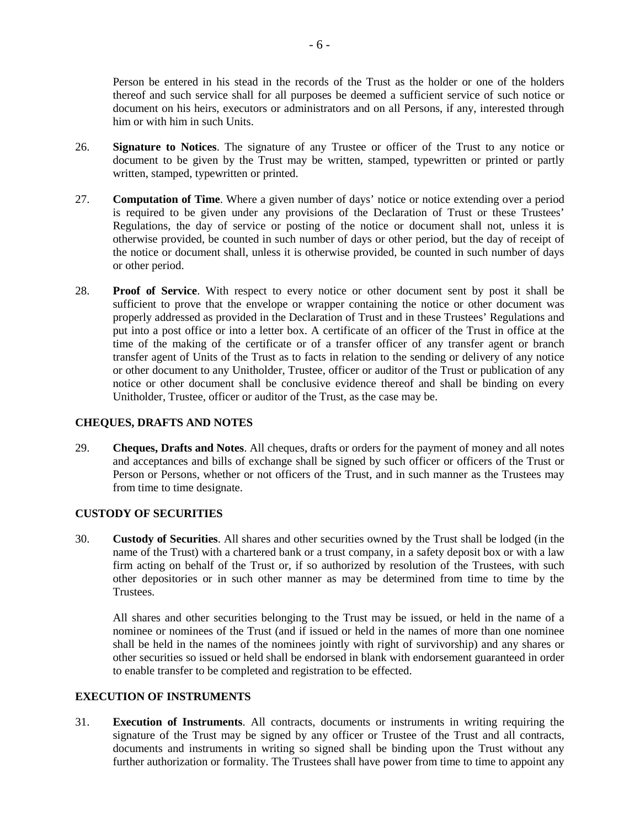Person be entered in his stead in the records of the Trust as the holder or one of the holders thereof and such service shall for all purposes be deemed a sufficient service of such notice or document on his heirs, executors or administrators and on all Persons, if any, interested through him or with him in such Units.

- 26. **Signature to Notices**. The signature of any Trustee or officer of the Trust to any notice or document to be given by the Trust may be written, stamped, typewritten or printed or partly written, stamped, typewritten or printed.
- 27. **Computation of Time**. Where a given number of days' notice or notice extending over a period is required to be given under any provisions of the Declaration of Trust or these Trustees' Regulations, the day of service or posting of the notice or document shall not, unless it is otherwise provided, be counted in such number of days or other period, but the day of receipt of the notice or document shall, unless it is otherwise provided, be counted in such number of days or other period.
- 28. **Proof of Service**. With respect to every notice or other document sent by post it shall be sufficient to prove that the envelope or wrapper containing the notice or other document was properly addressed as provided in the Declaration of Trust and in these Trustees' Regulations and put into a post office or into a letter box. A certificate of an officer of the Trust in office at the time of the making of the certificate or of a transfer officer of any transfer agent or branch transfer agent of Units of the Trust as to facts in relation to the sending or delivery of any notice or other document to any Unitholder, Trustee, officer or auditor of the Trust or publication of any notice or other document shall be conclusive evidence thereof and shall be binding on every Unitholder, Trustee, officer or auditor of the Trust, as the case may be.

## **CHEQUES, DRAFTS AND NOTES**

29. **Cheques, Drafts and Notes**. All cheques, drafts or orders for the payment of money and all notes and acceptances and bills of exchange shall be signed by such officer or officers of the Trust or Person or Persons, whether or not officers of the Trust, and in such manner as the Trustees may from time to time designate.

## **CUSTODY OF SECURITIES**

30. **Custody of Securities**. All shares and other securities owned by the Trust shall be lodged (in the name of the Trust) with a chartered bank or a trust company, in a safety deposit box or with a law firm acting on behalf of the Trust or, if so authorized by resolution of the Trustees, with such other depositories or in such other manner as may be determined from time to time by the Trustees.

All shares and other securities belonging to the Trust may be issued, or held in the name of a nominee or nominees of the Trust (and if issued or held in the names of more than one nominee shall be held in the names of the nominees jointly with right of survivorship) and any shares or other securities so issued or held shall be endorsed in blank with endorsement guaranteed in order to enable transfer to be completed and registration to be effected.

## **EXECUTION OF INSTRUMENTS**

31. **Execution of Instruments**. All contracts, documents or instruments in writing requiring the signature of the Trust may be signed by any officer or Trustee of the Trust and all contracts, documents and instruments in writing so signed shall be binding upon the Trust without any further authorization or formality. The Trustees shall have power from time to time to appoint any